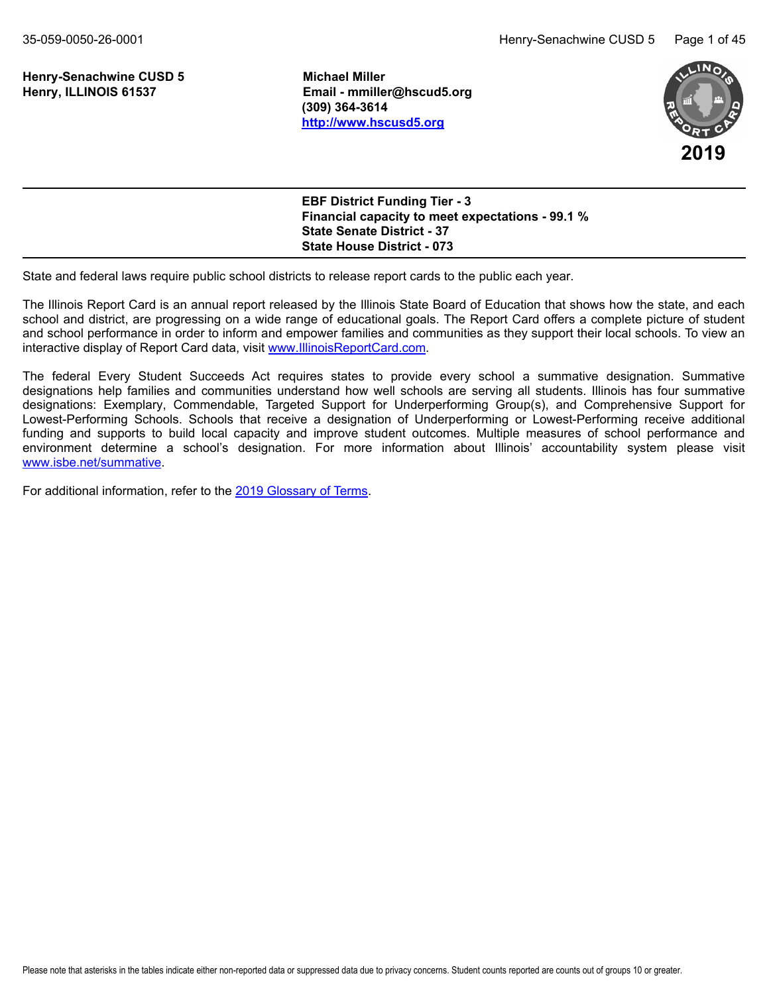**Henry-Senachwine CUSD 5 Michael Miller**

**Henry, ILLINOIS 61537 Email - mmiller@hscud5.org (309) 364-3614 <http://www.hscusd5.org>**



**EBF District Funding Tier - 3 Financial capacity to meet expectations - 99.1 % State Senate District - 37 State House District - 073**

State and federal laws require public school districts to release report cards to the public each year.

The Illinois Report Card is an annual report released by the Illinois State Board of Education that shows how the state, and each school and district, are progressing on a wide range of educational goals. The Report Card offers a complete picture of student and school performance in order to inform and empower families and communities as they support their local schools. To view an interactive display of Report Card data, visit [www.IllinoisReportCard.com](https://www.illinoisreportcard.com/).

The federal Every Student Succeeds Act requires states to provide every school a summative designation. Summative designations help families and communities understand how well schools are serving all students. Illinois has four summative designations: Exemplary, Commendable, Targeted Support for Underperforming Group(s), and Comprehensive Support for Lowest-Performing Schools. Schools that receive a designation of Underperforming or Lowest-Performing receive additional funding and supports to build local capacity and improve student outcomes. Multiple measures of school performance and environment determine a school's designation. For more information about Illinois' accountability system please visit [www.isbe.net/summative](https://www.isbe.net/summative).

For additional information, refer to th[e 2019 Glossary of Terms](https://www.isbe.net/Documents/2019-Report-Card-Glossary-Terms.pdf).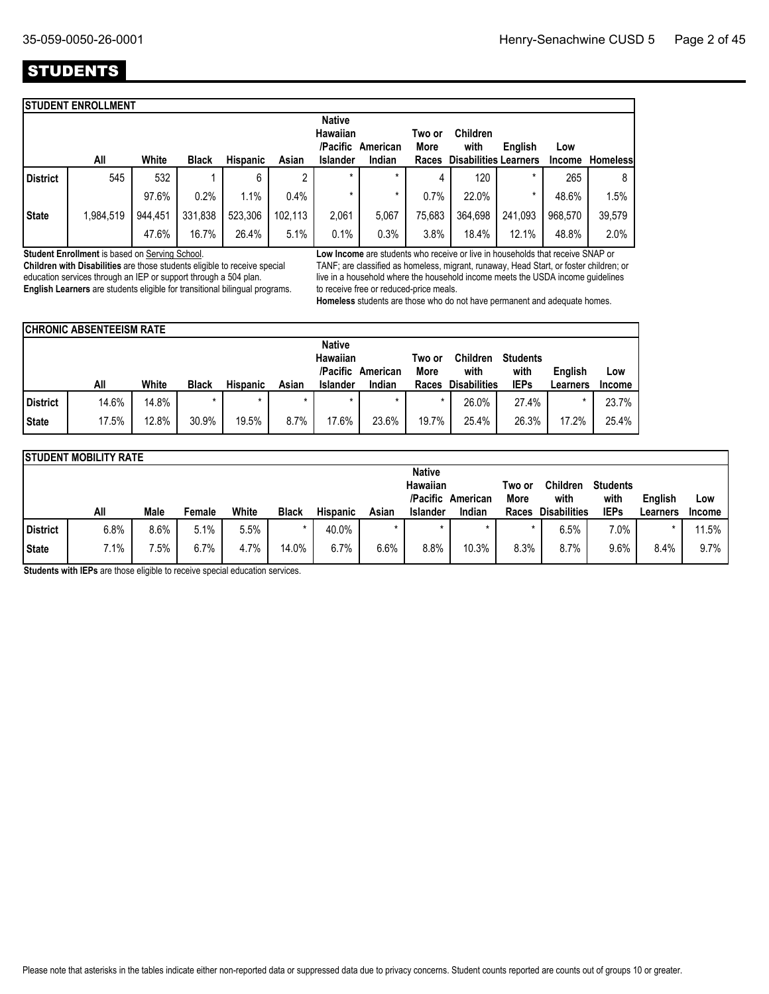## **STUDENTS**

|                 | <b>STUDENT ENROLLMENT</b> |         |              |                 |         |                      |          |                |                              |         |               |                 |
|-----------------|---------------------------|---------|--------------|-----------------|---------|----------------------|----------|----------------|------------------------------|---------|---------------|-----------------|
|                 |                           |         |              |                 |         | <b>Native</b>        |          |                |                              |         |               |                 |
|                 |                           |         |              |                 |         | Hawaiian<br>/Pacific | American | Two or<br>More | <b>Children</b><br>with      | English | Low           |                 |
|                 | All                       | White   | <b>Black</b> | <b>Hispanic</b> | Asian   | <b>Islander</b>      | Indian   | Races          | <b>Disabilities Learners</b> |         | <b>Income</b> | <b>Homeless</b> |
| <b>District</b> | 545                       | 532     |              | 6               | c       | $\star$              | *        | 4              | 120                          | $\star$ | 265           | 8               |
|                 |                           | 97.6%   | 0.2%         | 1.1%            | 0.4%    | $\star$              | *        | 0.7%           | 22.0%                        | $\star$ | 48.6%         | 1.5%            |
| <b>State</b>    | 1,984,519                 | 944,451 | 331,838      | 523,306         | 102.113 | 2,061                | 5.067    | 75,683         | 364,698                      | 241,093 | 968.570       | 39,579          |
|                 |                           | 47.6%   | 16.7%        | 26.4%           | 5.1%    | 0.1%                 | 0.3%     | 3.8%           | 18.4%                        | 12.1%   | 48.8%         | 2.0%            |
|                 |                           |         |              |                 |         |                      |          |                |                              |         |               |                 |

**Student Enrollment** is based on Serving School.

**Children with Disabilities** are those students eligible to receive special education services through an IEP or support through a 504 plan. **English Learners** are students eligible for transitional bilingual programs. **Low Income** are students who receive or live in households that receive SNAP or TANF; are classified as homeless, migrant, runaway, Head Start, or foster children; or live in a household where the household income meets the USDA income guidelines to receive free or reduced-price meals.

**Homeless** students are those who do not have permanent and adequate homes.

|              | <b>CHRONIC ABSENTEEISM RATE</b> |       |              |                 |         |                           |                   |                |                         |                         |          |               |
|--------------|---------------------------------|-------|--------------|-----------------|---------|---------------------------|-------------------|----------------|-------------------------|-------------------------|----------|---------------|
|              |                                 |       |              |                 |         | <b>Native</b><br>Hawaiian | /Pacific American | Two or<br>More | <b>Children</b><br>with | <b>Students</b><br>with | English  | Low           |
|              | All                             | White | <b>Black</b> | <b>Hispanic</b> | Asian   | <b>Islander</b>           | Indian            | Races          | <b>Disabilities</b>     | <b>IEPs</b>             | Learners | <b>Income</b> |
| District     | 14.6%                           | 14.8% | $\star$      | $\star$         | $\star$ | $\star$                   | $\star$           | $\star$        | 26.0%                   | 27.4%                   |          | 23.7%         |
| <b>State</b> | 17.5%                           | 12.8% | 30.9%        | 19.5%           | $8.7\%$ | 17.6%                     | 23.6%             | 19.7%          | 25.4%                   | 26.3%                   | 17.2%    | 25.4%         |

|          | <b>STUDENT MOBILITY RATE</b> |      |        |       |              |                 |       |                           |                             |        |                             |                     |          |               |
|----------|------------------------------|------|--------|-------|--------------|-----------------|-------|---------------------------|-----------------------------|--------|-----------------------------|---------------------|----------|---------------|
|          |                              |      |        |       |              |                 |       | <b>Native</b><br>Hawaiian |                             | Two or | <b>Children</b>             | <b>Students</b>     |          |               |
|          | All                          | Male |        | White | <b>Black</b> | <b>Hispanic</b> | Asian | <b>Islander</b>           | /Pacific American<br>Indian | More   | with<br><b>Disabilities</b> | with<br><b>IEPs</b> | English  | Low           |
|          |                              |      | Female |       |              |                 |       |                           |                             | Races  |                             |                     | Learners | <b>Income</b> |
| District | 6.8%                         | 8.6% | 5.1%   | 5.5%  |              | 40.0%           |       | $\star$                   |                             |        | 6.5%                        | 7.0%                |          | 11.5%         |
|          |                              |      |        |       |              |                 |       |                           |                             |        |                             |                     |          |               |

**Students with IEPs** are those eligible to receive special education services.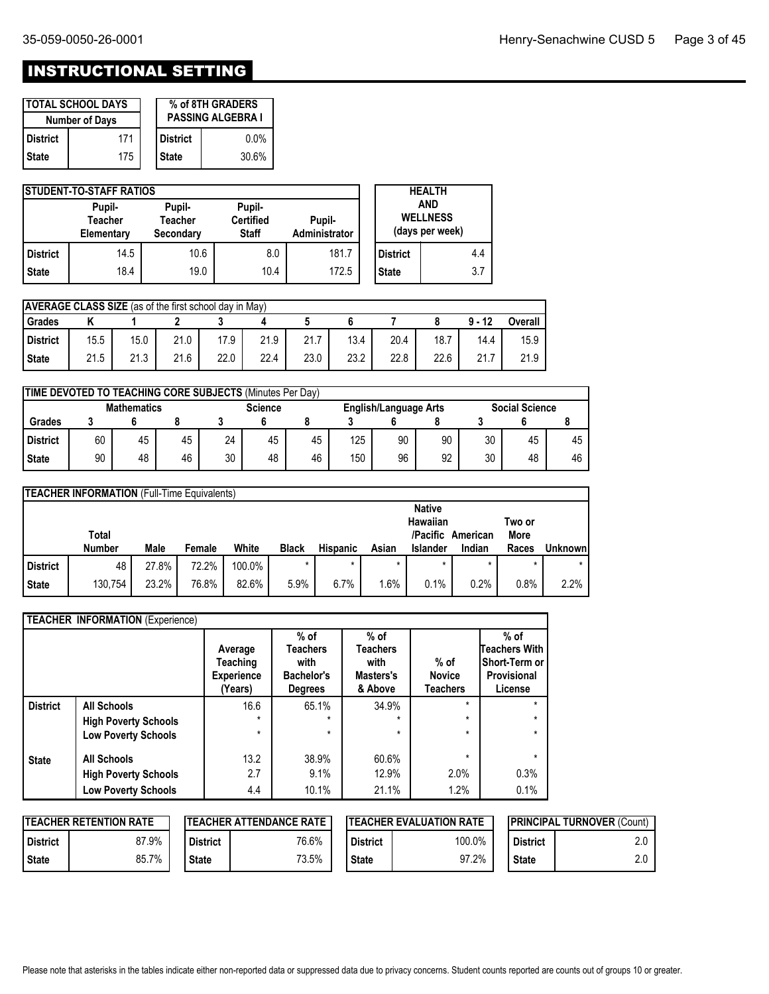# INSTRUCTIONAL SETTING

|                 | <b>ITOTAL SCHOOL DAYS</b><br><b>Number of Days</b> | % of 8TH GRADERS<br><b>PASSING ALGEBRA I</b> |         |  |  |  |
|-----------------|----------------------------------------------------|----------------------------------------------|---------|--|--|--|
| <b>District</b> | 171                                                | l District                                   | $0.0\%$ |  |  |  |
| <b>State</b>    | 175                                                | <b>State</b>                                 | 30.6%   |  |  |  |

|                 | <b>ISTUDENT-TO-STAFF RATIOS</b>        |                                |                                            | <b>HEALTH</b>           |                                                  |                 |  |     |
|-----------------|----------------------------------------|--------------------------------|--------------------------------------------|-------------------------|--------------------------------------------------|-----------------|--|-----|
|                 | Pupil-<br><b>Teacher</b><br>Elementary | Pupil-<br>Teacher<br>Secondary | Pupil-<br><b>Certified</b><br><b>Staff</b> | Pupil-<br>Administrator | <b>AND</b><br><b>WELLNESS</b><br>(days per week) |                 |  |     |
| <b>District</b> | 14.5                                   | 10.6                           | 8.0                                        | 181.7                   |                                                  | <b>District</b> |  | 4.4 |
| <b>State</b>    | 18.4                                   | 19.0                           | 10.4                                       | 172.5                   |                                                  | <b>State</b>    |  | 3.7 |

|              | <b>AVERAGE CLASS SIZE</b> (as of the first school day in May) |      |      |      |      |      |      |      |      |          |                |
|--------------|---------------------------------------------------------------|------|------|------|------|------|------|------|------|----------|----------------|
| Grades       |                                                               |      |      |      |      |      |      |      |      | $9 - 12$ | <b>Overall</b> |
| l District   | 15.5                                                          | 15.0 | 21.0 | 17.9 | 21.9 | 21.  | 13.4 | 20.4 | 18.7 | 14.4     | 15.9           |
| <b>State</b> | 21.5                                                          | 21.3 | 21.6 | 22.0 | 22.4 | 23.0 | 23.2 | 22.8 | 22.6 | 21.7     | 21.9           |

|                 | <b>TIME DEVOTED TO TEACHING CORE SUBJECTS (Minutes Per Day)</b> |                    |    |    |                |    |     |                              |    |    |                       |    |  |
|-----------------|-----------------------------------------------------------------|--------------------|----|----|----------------|----|-----|------------------------------|----|----|-----------------------|----|--|
|                 |                                                                 | <b>Mathematics</b> |    |    | <b>Science</b> |    |     | <b>English/Language Arts</b> |    |    | <b>Social Science</b> |    |  |
| Grades          |                                                                 |                    |    |    |                |    |     |                              |    |    |                       |    |  |
| <b>District</b> | 60                                                              | 45                 | 45 | 24 | 45             | 45 | 125 | 90                           | 90 | 30 | 45                    | 45 |  |
| <b>State</b>    | 90                                                              | 48                 | 46 | 30 | 48             | 46 | 150 | 96                           | 92 | 30 | 48                    | 46 |  |

|                 | <b>TEACHER INFORMATION</b> (Full-Time Equivalents) |       |        |        |              |                 |        |                                                          |                    |                         |          |
|-----------------|----------------------------------------------------|-------|--------|--------|--------------|-----------------|--------|----------------------------------------------------------|--------------------|-------------------------|----------|
|                 | Total<br><b>Number</b>                             | Male  | Female | White  | <b>Black</b> | <b>Hispanic</b> | Asian  | <b>Native</b><br>Hawaiian<br>/Pacific<br><b>Islander</b> | American<br>Indian | Two or<br>More<br>Races | Unknownl |
| <b>District</b> | 48                                                 | 27.8% | 72.2%  | 100.0% | $\star$      |                 |        | $\star$                                                  |                    | $\star$                 | $\star$  |
| <b>State</b>    | 130,754                                            | 23.2% | 76.8%  | 82.6%  | 5.9%         | 6.7%            | $.6\%$ | 0.1%                                                     | 0.2%               | 0.8%                    | 2.2%     |

|                 | <b>TEACHER INFORMATION (Experience)</b> |                                                     |                                                                   |                                                    |                                            |                                                                    |
|-----------------|-----------------------------------------|-----------------------------------------------------|-------------------------------------------------------------------|----------------------------------------------------|--------------------------------------------|--------------------------------------------------------------------|
|                 |                                         | Average<br>Teaching<br><b>Experience</b><br>(Years) | $%$ of<br><b>Teachers</b><br>with<br>Bachelor's<br><b>Degrees</b> | $%$ of<br>Teachers<br>with<br>Masters's<br>& Above | $%$ of<br><b>Novice</b><br><b>Teachers</b> | $%$ of<br>Teachers With<br>Short-Term or<br>Provisional<br>License |
| <b>District</b> | <b>All Schools</b>                      | 16.6                                                | 65.1%                                                             | 34.9%                                              | $\star$                                    | $\star$                                                            |
|                 | <b>High Poverty Schools</b>             | $\star$                                             | $\star$                                                           | $\star$                                            | $\star$                                    | $\star$                                                            |
|                 | <b>Low Poverty Schools</b>              | $\star$                                             | $\star$                                                           | $\star$                                            | $\star$                                    | $\star$                                                            |
| <b>State</b>    | <b>All Schools</b>                      | 13.2                                                | 38.9%                                                             | 60.6%                                              |                                            | $\star$                                                            |
|                 | <b>High Poverty Schools</b>             | 2.7                                                 | 9.1%                                                              | 12.9%                                              | 2.0%                                       | 0.3%                                                               |
|                 | <b>Low Poverty Schools</b>              | 4.4                                                 | 10.1%                                                             | 21.1%                                              | 1.2%                                       | 0.1%                                                               |

|              | <b>ITEACHER RETENTION RATE</b> |                 | <b>ITEACHER ATTENDANCE RATE</b> |                 | <b>ITEACHER EVALUATION RATE</b> | <b>IPRINCIPAL TURNOVER (Count)</b> |    |  |
|--------------|--------------------------------|-----------------|---------------------------------|-----------------|---------------------------------|------------------------------------|----|--|
| l District   | 87.9%                          | <b>District</b> | 76.6%                           | <b>District</b> | 100.0%                          | <b>District</b>                    | ۰۰ |  |
| <b>State</b> | 85.7%                          | <b>State</b>    | 73.5%                           | <b>State</b>    | 97.2%                           | <b>State</b>                       |    |  |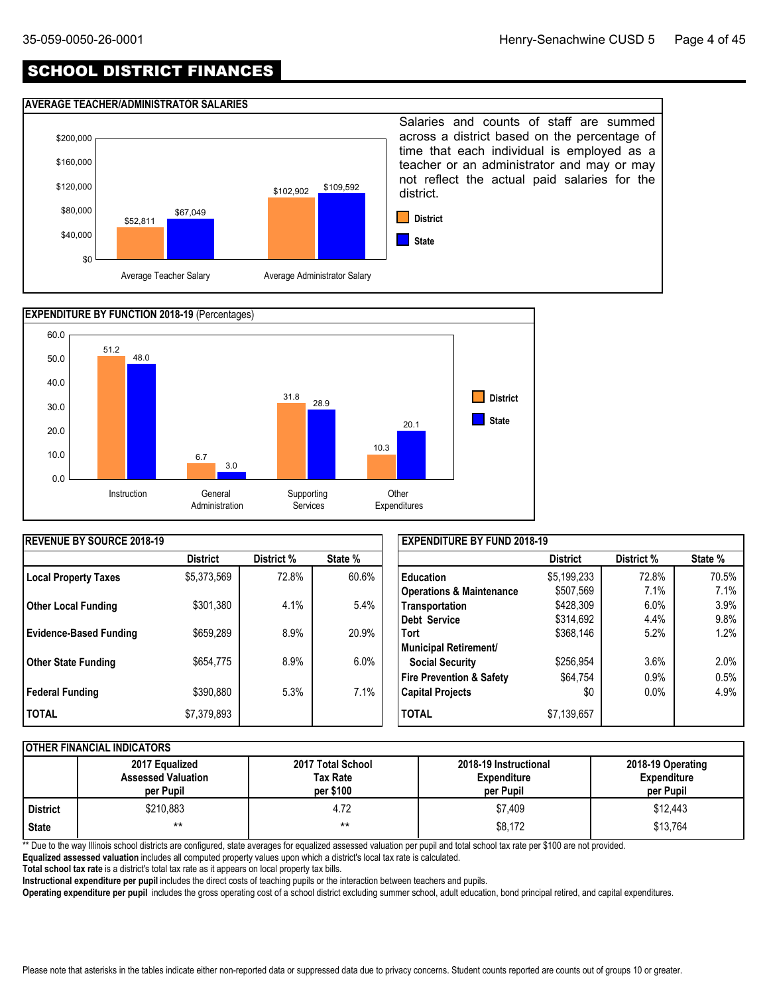## SCHOOL DISTRICT FINANCES

#### **AVERAGE TEACHER/ADMINISTRATOR SALARIES**





| <b>IREVENUE BY SOURCE 2018-19</b> |                 |            |         | <b>EXPENDITURE BY FUND 2018-19</b>  |                 |            |         |  |
|-----------------------------------|-----------------|------------|---------|-------------------------------------|-----------------|------------|---------|--|
|                                   | <b>District</b> | District % | State % |                                     | <b>District</b> | District % | State % |  |
| <b>Local Property Taxes</b>       | \$5,373,569     | 72.8%      | 60.6%   | <b>Education</b>                    | \$5,199,233     | 72.8%      | 70.5%   |  |
|                                   |                 |            |         | <b>Operations &amp; Maintenance</b> | \$507,569       | 7.1%       | 7.1%    |  |
| <b>Other Local Funding</b>        | \$301,380       | 4.1%       | 5.4%    | Transportation                      | \$428,309       | 6.0%       | 3.9%    |  |
|                                   |                 |            |         | Debt Service                        | \$314,692       | 4.4%       | 9.8%    |  |
| <b>Evidence-Based Funding</b>     | \$659,289       | 8.9%       | 20.9%   | <b>Tort</b>                         | \$368,146       | 5.2%       | 1.2%    |  |
|                                   |                 |            |         | Municipal Retirement/               |                 |            |         |  |
| <b>Other State Funding</b>        | \$654,775       | 8.9%       | $6.0\%$ | <b>Social Security</b>              | \$256,954       | 3.6%       | 2.0%    |  |
|                                   |                 |            |         | Fire Prevention & Safety            | \$64,754        | 0.9%       | 0.5%    |  |
| <b>Federal Funding</b>            | \$390,880       | 5.3%       | 7.1%    | <b>Capital Projects</b>             | \$0             | $0.0\%$    | 4.9%    |  |
| <b>I TOTAL</b>                    | \$7,379,893     |            |         | <b>TOTAL</b>                        | \$7,139,657     |            |         |  |

#### **OTHER FINANCIAL INDICATORS**

|          | 2017 Equalized<br><b>Assessed Valuation</b><br>per Pupil | 2017 Total School<br>Tax Rate<br>per \$100 | 2018-19 Instructional<br><b>Expenditure</b><br>per Pupil | 2018-19 Operating<br><b>Expenditure</b><br>per Pupil |
|----------|----------------------------------------------------------|--------------------------------------------|----------------------------------------------------------|------------------------------------------------------|
| District | \$210,883                                                | 4.72                                       | \$7,409                                                  | \$12,443                                             |
| State    | $***$                                                    | $***$                                      | \$8,172                                                  | \$13,764                                             |

\*\* Due to the way Illinois school districts are configured, state averages for equalized assessed valuation per pupil and total school tax rate per \$100 are not provided.

**Equalized assessed valuation** includes all computed property values upon which a district's local tax rate is calculated.

**Total school tax rate** is a district's total tax rate as it appears on local property tax bills.

**Instructional expenditure per pupil** includes the direct costs of teaching pupils or the interaction between teachers and pupils.

**Operating expenditure per pupil** includes the gross operating cost of a school district excluding summer school, adult education, bond principal retired, and capital expenditures.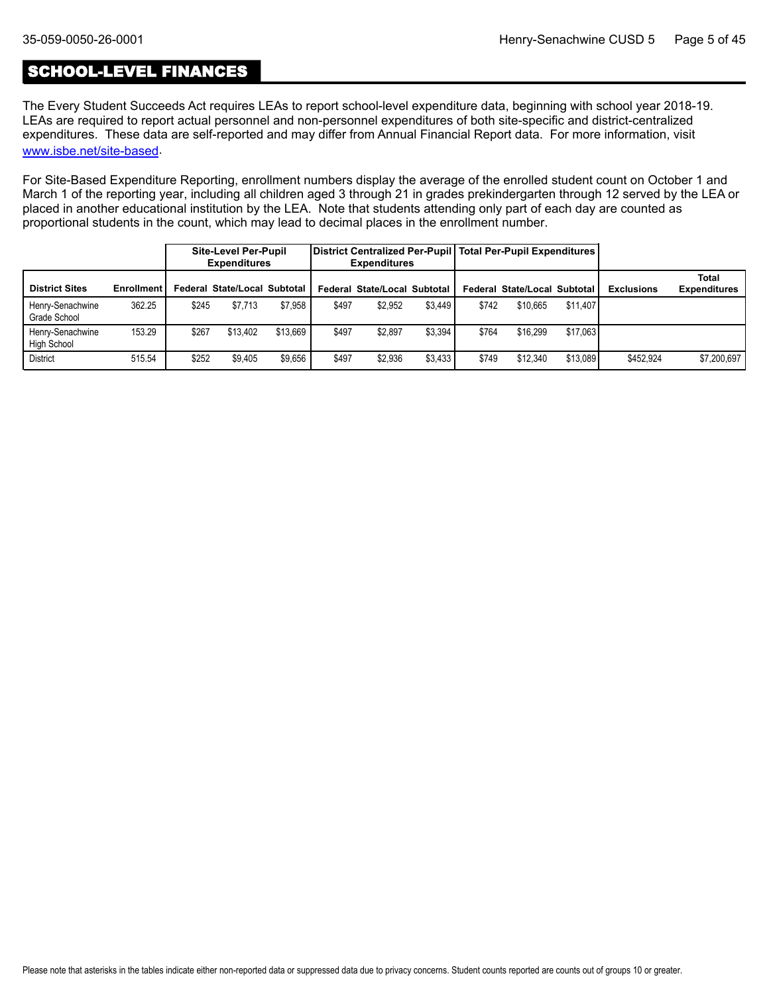## SCHOOL-LEVEL FINANCES

The Every Student Succeeds Act requires LEAs to report school-level expenditure data, beginning with school year 2018-19. LEAs are required to report actual personnel and non-personnel expenditures of both site-specific and district-centralized expenditures. These data are self-reported and may differ from Annual Financial Report data. For more information, visit [www.isbe.net/site-based](https://www.isbe.net/site-based).

For Site-Based Expenditure Reporting, enrollment numbers display the average of the enrolled student count on October 1 and March 1 of the reporting year, including all children aged 3 through 21 in grades prekindergarten through 12 served by the LEA or placed in another educational institution by the LEA. Note that students attending only part of each day are counted as proportional students in the count, which may lead to decimal places in the enrollment number.

|                                  |                   |       | <b>Site-Level Per-Pupil</b><br><b>Expenditures</b> |          |       | <b>Expenditures</b>          |         |       | District Centralized Per-Pupil Total Per-Pupil Expenditures |          |                   |                              |
|----------------------------------|-------------------|-------|----------------------------------------------------|----------|-------|------------------------------|---------|-------|-------------------------------------------------------------|----------|-------------------|------------------------------|
| <b>District Sites</b>            | <b>Enrollment</b> |       | Federal State/Local Subtotal I                     |          |       | Federal State/Local Subtotal |         |       | Federal State/Local Subtotal                                |          | <b>Exclusions</b> | Total<br><b>Expenditures</b> |
| Henry-Senachwine<br>Grade School | 362.25            | \$245 | \$7.713                                            | \$7.958  | \$497 | \$2.952                      | \$3.449 | \$742 | \$10.665                                                    | \$11,407 |                   |                              |
| Henry-Senachwine<br>High School  | 153.29            | \$267 | \$13,402                                           | \$13.669 | \$497 | \$2,897                      | \$3,394 | \$764 | \$16,299                                                    | \$17.063 |                   |                              |
| <b>District</b>                  | 515.54            | \$252 | \$9.405                                            | \$9.656  | \$497 | \$2.936                      | \$3.433 | \$749 | \$12,340                                                    | \$13.089 | \$452.924         | \$7,200,697                  |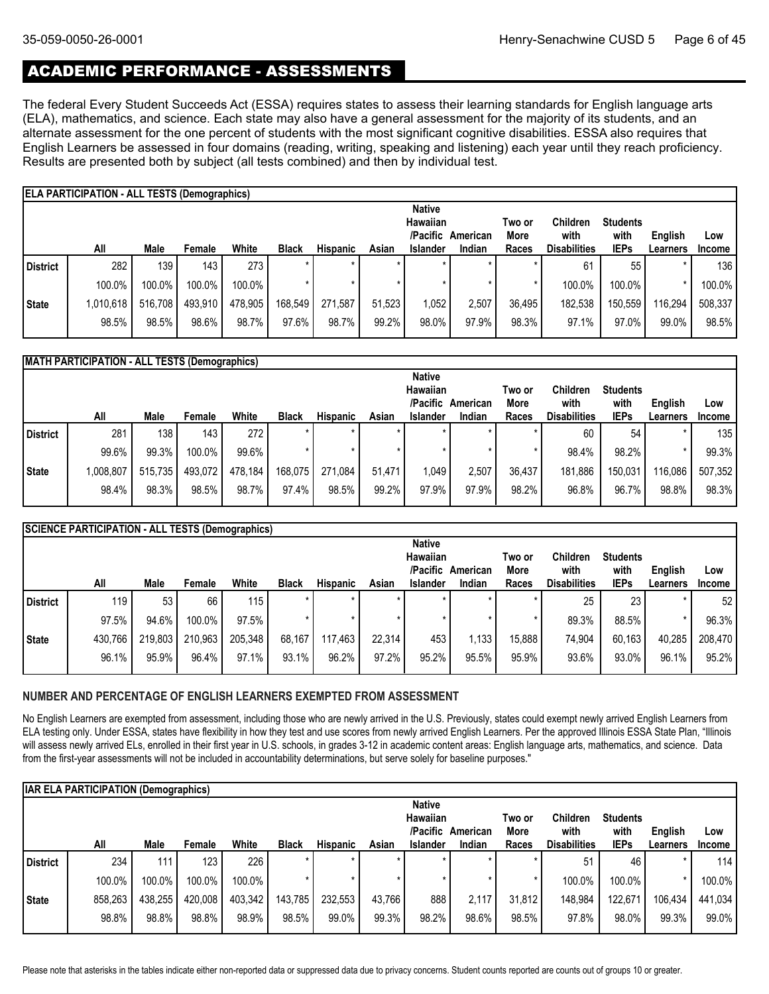## ACADEMIC PERFORMANCE - ASSESSMENTS

The federal Every Student Succeeds Act (ESSA) requires states to assess their learning standards for English language arts (ELA), mathematics, and science. Each state may also have a general assessment for the majority of its students, and an alternate assessment for the one percent of students with the most significant cognitive disabilities. ESSA also requires that English Learners be assessed in four domains (reading, writing, speaking and listening) each year until they reach proficiency. Results are presented both by subject (all tests combined) and then by individual test.

|          | <b>ELA PARTICIPATION - ALL TESTS (Demographics)</b> |         |         |         |              |                 |        |                      |          |                |                         |                         |          |                  |
|----------|-----------------------------------------------------|---------|---------|---------|--------------|-----------------|--------|----------------------|----------|----------------|-------------------------|-------------------------|----------|------------------|
|          |                                                     |         |         |         |              |                 |        | <b>Native</b>        |          |                |                         |                         |          |                  |
|          |                                                     |         |         |         |              |                 |        | Hawaiian<br>/Pacific | American | Two or<br>More | <b>Children</b><br>with | <b>Students</b><br>with | English  | Low              |
|          | All                                                 | Male    | Female  | White   | <b>Black</b> | <b>Hispanic</b> | Asian  | <b>Islander</b>      | Indian   | Races          | <b>Disabilities</b>     | <b>IEPs</b>             | Learners | <b>Income</b>    |
| District | 282                                                 | 139     | 143     | 273     |              | $\star$         |        |                      | $\star$  |                | 61                      | 55                      |          | 136 <sub>1</sub> |
|          | 100.0%                                              | 100.0%  | 100.0%  | 100.0%  |              |                 |        |                      |          |                | 100.0%                  | 100.0%                  |          | 100.0%           |
| State    | 1,010,618                                           | 516,708 | 493,910 | 478,905 | 168,549      | 271.587         | 51.523 | 1,052                | 2.507    | 36.495         | 182,538                 | 150,559                 | 116,294  | 508,337          |
|          | 98.5%                                               | 98.5%   | 98.6%   | 98.7%   | 97.6%        | 98.7%           | 99.2%  | 98.0%                | 97.9%    | 98.3%          | 97.1%                   | 97.0%                   | 99.0%    | 98.5%            |

|              | <b>MATH PARTICIPATION - ALL TESTS (Demographics)</b> |         |                  |         |              |                 |        |                 |          |        |                     |                 |          |                  |
|--------------|------------------------------------------------------|---------|------------------|---------|--------------|-----------------|--------|-----------------|----------|--------|---------------------|-----------------|----------|------------------|
|              |                                                      |         |                  |         |              |                 |        | <b>Native</b>   |          |        |                     |                 |          |                  |
|              |                                                      |         |                  |         |              |                 |        | Hawaiian        |          | Two or | Children            | <b>Students</b> |          |                  |
|              |                                                      |         |                  |         |              |                 |        | /Pacific        | American | More   | with                | with            | English  | Low              |
|              | All                                                  | Male    | Female           | White   | <b>Black</b> | <b>Hispanic</b> | Asian  | <b>Islander</b> | Indian   | Races  | <b>Disabilities</b> | <b>IEPs</b>     | Learners | <b>Income</b>    |
| District     | 281                                                  | 138     | 143 <sub>1</sub> | 272     |              | $\star$         |        | ÷               |          |        | 60                  | 54              | $\star$  | 135 <sub>1</sub> |
|              | 99.6%                                                | 99.3%   | 100.0%           | 99.6%   |              |                 |        |                 |          |        | 98.4%               | 98.2%           |          | 99.3%            |
| <b>State</b> | 1,008,807                                            | 515,735 | 493,072          | 478,184 | 168,075      | 271.084         | 51.471 | 1,049           | 2,507    | 36.437 | 181.886             | 150,031         | 116.086  | 507,352          |
|              | 98.4%                                                | 98.3%   | 98.5%            | 98.7%   | 97.4%        | 98.5%           | 99.2%  | 97.9%           | 97.9%    | 98.2%  | 96.8%               | 96.7%           | 98.8%    | 98.3%            |
|              |                                                      |         |                  |         |              |                 |        |                 |          |        |                     |                 |          |                  |

|              | <b>SCIENCE PARTICIPATION - ALL TESTS (Demographics)</b> |         |         |         |              |                 |        |                 |          |        |                     |                 |          |         |
|--------------|---------------------------------------------------------|---------|---------|---------|--------------|-----------------|--------|-----------------|----------|--------|---------------------|-----------------|----------|---------|
|              |                                                         |         |         |         |              |                 |        | <b>Native</b>   |          |        |                     |                 |          |         |
|              |                                                         |         |         |         |              |                 |        | <b>Hawaiian</b> |          | Two or | <b>Children</b>     | <b>Students</b> |          |         |
|              |                                                         |         |         |         |              |                 |        | /Pacific        | American | More   | with                | with            | English  | Low     |
|              | All                                                     | Male    | Female  | White   | <b>Black</b> | <b>Hispanic</b> | Asian  | <b>Islander</b> | Indian   | Races  | <b>Disabilities</b> | <b>IEPs</b>     | Learners | Income  |
| District     | 119                                                     | 53      | 66      | 115     |              |                 |        |                 | $\star$  |        | 25                  | 23              |          | 52      |
|              | 97.5%                                                   | 94.6%   | 100.0%  | 97.5%   |              |                 |        |                 |          |        | 89.3%               | 88.5%           |          | 96.3%   |
| <b>State</b> | 430,766                                                 | 219,803 | 210,963 | 205,348 | 68,167       | 117,463         | 22.314 | 453             | 1,133    | 15,888 | 74.904              | 60,163          | 40,285   | 208,470 |
|              | 96.1%                                                   | 95.9%   | 96.4%   | 97.1%   | 93.1%        | 96.2%           | 97.2%  | 95.2%           | 95.5%    | 95.9%  | 93.6%               | 93.0%           | 96.1%    | 95.2%   |
|              |                                                         |         |         |         |              |                 |        |                 |          |        |                     |                 |          |         |

#### **NUMBER AND PERCENTAGE OF ENGLISH LEARNERS EXEMPTED FROM ASSESSMENT**

No English Learners are exempted from assessment, including those who are newly arrived in the U.S. Previously, states could exempt newly arrived English Learners from ELA testing only. Under ESSA, states have flexibility in how they test and use scores from newly arrived English Learners. Per the approved Illinois ESSA State Plan, "Illinois will assess newly arrived ELs, enrolled in their first year in U.S. schools, in grades 3-12 in academic content areas: English language arts, mathematics, and science. Data from the first-year assessments will not be included in accountability determinations, but serve solely for baseline purposes."

|          | <b>IAR ELA PARTICIPATION (Demographics)</b> |         |                  |         |              |                 |         |                 |          |        |                     |                 |          |               |
|----------|---------------------------------------------|---------|------------------|---------|--------------|-----------------|---------|-----------------|----------|--------|---------------------|-----------------|----------|---------------|
|          |                                             |         |                  |         |              |                 |         | <b>Native</b>   |          |        |                     |                 |          |               |
|          |                                             |         |                  |         |              |                 |         | Hawaiian        |          | Two or | <b>Children</b>     | <b>Students</b> |          |               |
|          |                                             |         |                  |         |              |                 |         | /Pacific        | American | More   | with                | with            | English  | Low           |
|          | All                                         | Male    | Female           | White   | <b>Black</b> | <b>Hispanic</b> | Asian   | <b>Islander</b> | Indian   | Races  | <b>Disabilities</b> | <b>IEPs</b>     | Learners | <b>Income</b> |
| District | 234                                         | 111     | 123 <sub>1</sub> | 226     |              | $\star$         | *       | $\star$         | $\star$  |        | 51                  | 46              |          | 114           |
|          | 100.0%                                      | 100.0%  | 100.0%           | 100.0%  |              | $\star$         | $\star$ |                 |          |        | 100.0%              | 100.0%          |          | 100.0%        |
| State    | 858,263                                     | 438,255 | 420,008          | 403,342 | 143,785      | 232,553         | 43.766  | 888             | 2.117    | 31.812 | 148,984             | 122,671         | 106,434  | 441,034       |
|          | 98.8%                                       | 98.8%   | 98.8%            | 98.9%   | 98.5%        | 99.0%           | 99.3%   | 98.2%           | 98.6%    | 98.5%  | 97.8%               | 98.0%           | 99.3%    | 99.0%         |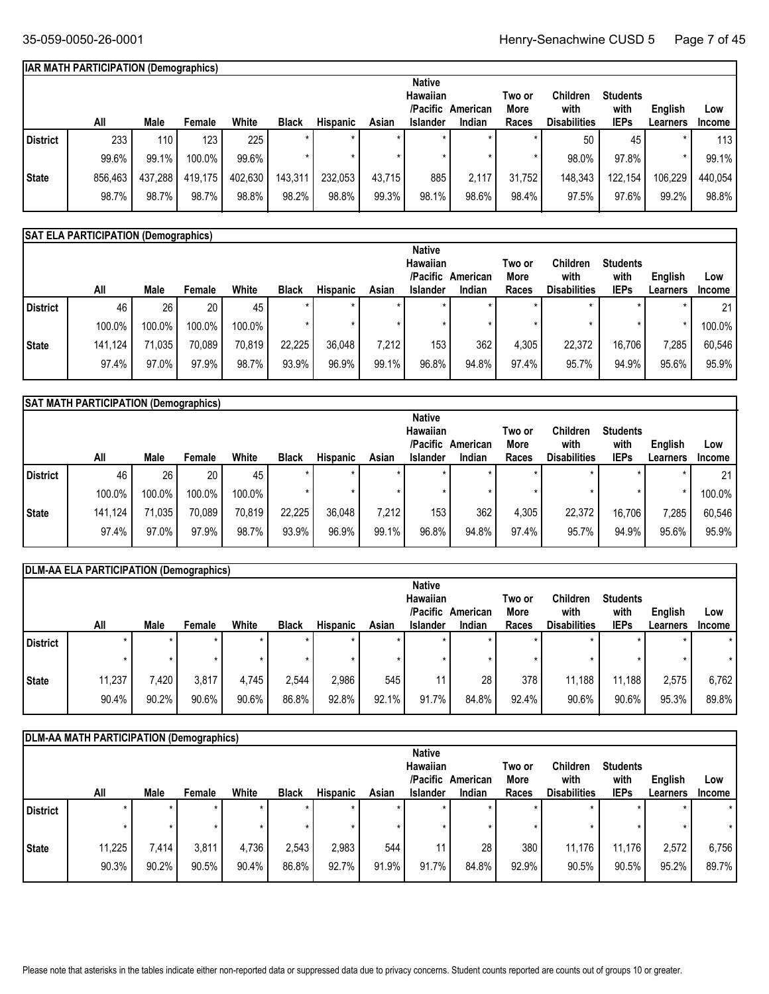## **IAR MATH PARTICIPATION (Demographics)**

|                 |         |         |                  |         |              |          |        | <b>Native</b>   |          |        |                     |                 |          |                  |
|-----------------|---------|---------|------------------|---------|--------------|----------|--------|-----------------|----------|--------|---------------------|-----------------|----------|------------------|
|                 |         |         |                  |         |              |          |        | Hawaiian        |          | Two or | Children            | <b>Students</b> |          |                  |
|                 |         |         |                  |         |              |          |        | /Pacific        | American | More   | with                | with            | English  | Low              |
|                 | All     | Male    | Female           | White   | <b>Black</b> | Hispanic | Asian  | <b>Islander</b> | Indian   | Races  | <b>Disabilities</b> | <b>IEPs</b>     | Learners | <b>Income</b>    |
| <b>District</b> | 233     | 110     | 123 <sub>1</sub> | 225     |              |          |        | $\star$         | $\star$  |        | 50                  | 45              |          | 113 <sub>1</sub> |
|                 | 99.6%   | 99.1%   | 100.0%           | 99.6%   |              |          |        |                 |          |        | 98.0%               | 97.8%           |          | 99.1%            |
| <b>State</b>    | 856,463 | 437,288 | 419,175          | 402,630 | 143,311      | 232,053  | 43.715 | 885             | 2,117    | 31,752 | 148,343             | 122,154         | 106,229  | 440,054          |
|                 | 98.7%   | 98.7%   | 98.7%            | 98.8%   | 98.2%        | 98.8%    | 99.3%  | 98.1%           | 98.6%    | 98.4%  | 97.5%               | 97.6%           | 99.2%    | 98.8%            |

## **SAT ELA PARTICIPATION (Demographics)**

|          |         |        |        |        |              |                 |       | <b>Native</b>    |          |        |                     |                 |          |               |
|----------|---------|--------|--------|--------|--------------|-----------------|-------|------------------|----------|--------|---------------------|-----------------|----------|---------------|
|          |         |        |        |        |              |                 |       | Hawaiian         |          | Two or | Children            | <b>Students</b> |          |               |
|          |         |        |        |        |              |                 |       | /Pacific         | American | More   | with                | with            | English  | Low           |
|          | All     | Male   | Female | White  | <b>Black</b> | <b>Hispanic</b> | Asian | <b>Islander</b>  | Indian   | Races  | <b>Disabilities</b> | <b>IEPs</b>     | Learners | <b>Income</b> |
| District | 46      | 26     | 20     | 45     |              | $\ast$          |       | $\star$          |          |        |                     |                 |          | 21            |
|          | 100.0%  | 100.0% | 100.0% | 100.0% |              |                 |       |                  |          |        |                     |                 |          | 100.0%        |
| State    | 141,124 | 71,035 | 70,089 | 70,819 | 22,225       | 36,048          | 7,212 | 153 <sub>1</sub> | 362      | 4,305  | 22,372              | 16,706          | 7,285    | 60,546        |
|          | 97.4%   | 97.0%  | 97.9%  | 98.7%  | 93.9%        | 96.9%           | 99.1% | 96.8%            | 94.8%    | 97.4%  | 95.7%               | 94.9%           | 95.6%    | 95.9%         |

|                 | SAT MATH PARTICIPATION (Demographics) |        |        |        |              |                 |         |                      |                    |               |                             |                     |                     |                      |
|-----------------|---------------------------------------|--------|--------|--------|--------------|-----------------|---------|----------------------|--------------------|---------------|-----------------------------|---------------------|---------------------|----------------------|
|                 |                                       |        |        |        |              |                 |         | <b>Native</b>        |                    |               |                             |                     |                     |                      |
|                 |                                       |        |        |        |              |                 |         | <b>Hawaiian</b>      |                    | Two or        | Children                    | <b>Students</b>     |                     |                      |
|                 | All                                   | Male   | Female | White  | <b>Black</b> | <b>Hispanic</b> | Asian   | /Pacific<br>Islander | American<br>Indian | More<br>Races | with<br><b>Disabilities</b> | with<br><b>IEPs</b> | English<br>Learners | Low<br><b>Income</b> |
|                 |                                       |        |        |        |              |                 | $\star$ |                      |                    |               |                             |                     |                     |                      |
| <b>District</b> | 46                                    | 26     | 20     | 45     |              |                 |         |                      |                    |               |                             |                     |                     | 21                   |
|                 | 100.0%                                | 100.0% | 100.0% | 100.0% |              |                 |         |                      |                    |               |                             |                     | $\star$             | 100.0%               |
| State           | 141,124                               | 71,035 | 70,089 | 70,819 | 22,225       | 36,048          | 7.212   | 153 <sub>1</sub>     | 362                | 4,305         | 22.372                      | 16.706              | 7,285               | 60,546               |
|                 | 97.4%                                 | 97.0%  | 97.9%  | 98.7%  | 93.9%        | 96.9%           | 99.1%   | 96.8%                | 94.8%              | 97.4%         | 95.7%                       | 94.9%               | 95.6%               | 95.9%                |
|                 |                                       |        |        |        |              |                 |         |                      |                    |               |                             |                     |                     |                      |

|          | DLM-AA ELA PARTICIPATION (Demographics) |       |        |       |              |                 |         |                 |          |        |                     |                 |                 |         |
|----------|-----------------------------------------|-------|--------|-------|--------------|-----------------|---------|-----------------|----------|--------|---------------------|-----------------|-----------------|---------|
|          |                                         |       |        |       |              |                 |         | <b>Native</b>   |          |        |                     |                 |                 |         |
|          |                                         |       |        |       |              |                 |         | <b>Hawaiian</b> |          | Two or | <b>Children</b>     | <b>Students</b> |                 |         |
|          |                                         |       |        |       |              |                 |         | /Pacific        | American | More   | with                | with            | English         | Low     |
|          | All                                     | Male  | Female | White | <b>Black</b> | <b>Hispanic</b> | Asian   | <b>Islander</b> | Indian   | Races  | <b>Disabilities</b> | <b>IEPs</b>     | <b>Learners</b> | Income  |
| District | $\star$                                 |       |        |       |              | $\star$         | $\star$ |                 |          |        |                     |                 |                 | $\star$ |
|          |                                         |       |        |       |              | $\star$         | $\star$ |                 |          |        |                     |                 |                 |         |
| State    | 11,237                                  | 7,420 | 3,817  | 4.745 | 2,544        | 2,986           | 545     | 11 <sub>1</sub> | 28       | 378    | 11.188              | 11,188          | 2,575           | 6,762   |
|          | 90.4%                                   | 90.2% | 90.6%  | 90.6% | 86.8%        | 92.8%           | 92.1%   | 91.7%           | 84.8%    | 92.4%  | 90.6%               | $90.6\%$        | 95.3%           | 89.8%   |

|                 | DLM-AA MATH PARTICIPATION (Demographics) |         |         |         |              |          |       |                 |          |        |                     |                 |          |               |
|-----------------|------------------------------------------|---------|---------|---------|--------------|----------|-------|-----------------|----------|--------|---------------------|-----------------|----------|---------------|
|                 |                                          |         |         |         |              |          |       | <b>Native</b>   |          |        |                     |                 |          |               |
|                 |                                          |         |         |         |              |          |       | <b>Hawaiian</b> |          | Two or | <b>Children</b>     | <b>Students</b> |          |               |
|                 |                                          |         |         |         |              |          |       | /Pacific        | American | More   | with                | with            | English  | Low           |
|                 | All                                      | Male    | Female  | White   | <b>Black</b> | Hispanic | Asian | <b>Islander</b> | Indian   | Races  | <b>Disabilities</b> | <b>IEPs</b>     | Learners | <b>Income</b> |
| <b>District</b> | $\star$                                  | $\star$ | $\star$ | $\star$ | $\star$      | $\star$  |       | $\star$         |          |        |                     | $\star$         |          | $\star$       |
|                 | $\star$                                  | $\star$ |         |         |              | *        |       |                 |          |        |                     | $^\star$        |          | $\star$       |
| State           | 11,225                                   | 7,414   | 3,811   | 4,736   | 2,543        | 2,983    | 544   | 11              | 28       | 380    | 11,176              | 11,176          | 2,572    | 6,756         |
|                 | 90.3%                                    | 90.2%   | 90.5%   | 90.4%   | 86.8%        | 92.7%    | 91.9% | 91.7%           | 84.8%    | 92.9%  | 90.5%               | 90.5%           | 95.2%    | 89.7%         |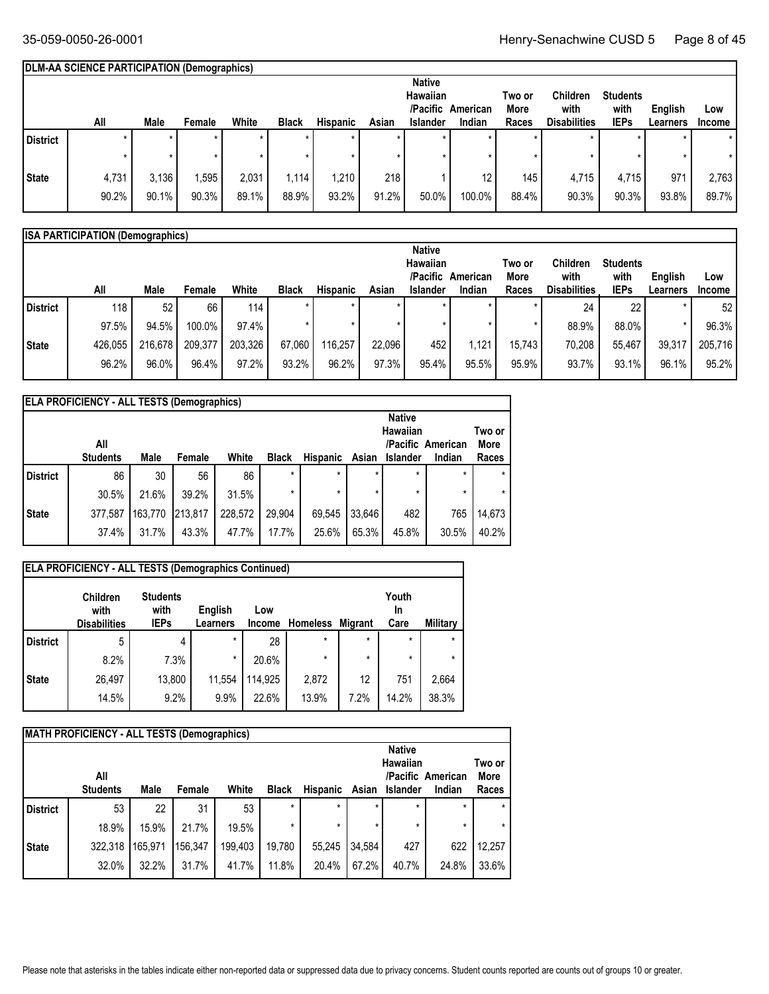## **DLM-AA SCIENCE PARTICIPATION (Demographics)**

|                 |         |       |         |         |              |                 |       | <b>Native</b>   |          |        |                     |                 |          |               |
|-----------------|---------|-------|---------|---------|--------------|-----------------|-------|-----------------|----------|--------|---------------------|-----------------|----------|---------------|
|                 |         |       |         |         |              |                 |       | Hawaiian        |          | Two or | Children            | <b>Students</b> |          |               |
|                 |         |       |         |         |              |                 |       | /Pacific        | American | More   | with                | with            | English  | Low           |
|                 | All     | Male  | Female  | White   | <b>Black</b> | <b>Hispanic</b> | Asian | <b>Islander</b> | Indian   | Races  | <b>Disabilities</b> | <b>IEPs</b>     | Learners | <b>Income</b> |
| <b>District</b> | $\star$ | ÷     | $\star$ | $\star$ |              |                 |       |                 | $\star$  |        |                     | $\star$         |          | $\star$       |
|                 |         |       |         |         |              |                 |       |                 |          |        |                     | $\star$         |          |               |
| <b>State</b>    | 4,731   | 3,136 | .595    | 2,031   | 1,114        | 1,210           | 218   |                 | 12       | 145    | 4,715               | 4,715           | 971      | 2,763         |
|                 | 90.2%   | 90.1% | 90.3%   | 89.1%   | 88.9%        | 93.2%           | 91.2% | 50.0%           | 100.0%   | 88.4%  | 90.3%               | 90.3%           | 93.8%    | 89.7%         |

|              | <b>ISA PARTICIPATION (Demographics)</b> |         |         |         |              |          |        |                 |          |         |                     |                 |          |                 |
|--------------|-----------------------------------------|---------|---------|---------|--------------|----------|--------|-----------------|----------|---------|---------------------|-----------------|----------|-----------------|
|              |                                         |         |         |         |              |          |        | <b>Native</b>   |          |         |                     |                 |          |                 |
|              |                                         |         |         |         |              |          |        | Hawaiian        |          | Two or  | <b>Children</b>     | <b>Students</b> |          |                 |
|              |                                         |         |         |         |              |          |        | /Pacific        | American | More    | with                | with            | English  | Low             |
|              | All                                     | Male    | Female  | White   | <b>Black</b> | Hispanic | Asian  | <b>Islander</b> | Indian   | Races   | <b>Disabilities</b> | <b>IEPs</b>     | Learners | <b>Income</b>   |
| l District   | 118                                     | 52      | 66      | 114     |              |          |        |                 |          |         | 24                  | 22 <sub>1</sub> |          | 52 <sub>1</sub> |
|              | 97.5%                                   | 94.5%   | 100.0%  | 97.4%   |              |          |        |                 |          | $\star$ | 88.9%               | 88.0%           |          | 96.3%           |
| <b>State</b> | 426,055                                 | 216,678 | 209,377 | 203,326 | 67,060       | 116,257  | 22.096 | 452             | 1,121    | 15.743  | 70,208              | 55.467          | 39,317   | 205,716         |
|              | 96.2%                                   | 96.0%   | 96.4%   | 97.2%   | 93.2%        | 96.2%    | 97.3%  | 95.4%           | 95.5%    | 95.9%   | 93.7%               | $93.1\%$        | 96.1%    | 95.2%           |

|            | <b>ELA PROFICIENCY - ALL TESTS (Demographics)</b> |         |         |         |              |          |         |                 |                   |             |  |  |  |
|------------|---------------------------------------------------|---------|---------|---------|--------------|----------|---------|-----------------|-------------------|-------------|--|--|--|
|            |                                                   |         |         |         |              |          |         | <b>Native</b>   |                   |             |  |  |  |
|            |                                                   |         |         |         |              |          |         | Hawaiian        |                   | Two or      |  |  |  |
|            | All                                               |         |         |         |              |          |         |                 | /Pacific American | <b>More</b> |  |  |  |
|            | <b>Students</b>                                   | Male    | Female  | White   | <b>Black</b> | Hispanic | Asian   | <b>Islander</b> | Indian            | Races       |  |  |  |
| l District | 86                                                | 30      | 56      | 86      | $\star$      | $\star$  | $\star$ | $\star$         | $\star$           | $\star$     |  |  |  |
|            | 30.5%                                             | 21.6%   | 39.2%   | 31.5%   | $\star$      | $\star$  | *       | $\star$         | $\star$           | $\star$     |  |  |  |
| State      | 377,587                                           | 163.770 | 213.817 | 228.572 | 29.904       | 69.545   | 33.646  | 482             | 765               | 14,673      |  |  |  |
|            | 37.4%                                             | 31.7%   | 43.3%   | 47.7%   | 17.7%        | 25.6%    | 65.3%   | 45.8%           | 30.5%             | 40.2%       |  |  |  |

|                 | <b>ELA PROFICIENCY - ALL TESTS (Demographics Continued)</b> |                                        |                     |                      |                  |         |                     |          |
|-----------------|-------------------------------------------------------------|----------------------------------------|---------------------|----------------------|------------------|---------|---------------------|----------|
|                 | <b>Children</b><br>with<br><b>Disabilities</b>              | <b>Students</b><br>with<br><b>IEPs</b> | English<br>Learners | Low<br><b>Income</b> | Homeless Migrant |         | Youth<br>In<br>Care | Military |
| <b>District</b> | 5                                                           | 4                                      | $\star$             | 28                   | $\star$          | $\star$ | $\star$             | $\star$  |
|                 | 8.2%                                                        | 7.3%                                   | $\star$             | 20.6%                | $\star$          | $\star$ | $\star$             | *        |
| <b>State</b>    | 26,497                                                      | 13,800                                 | 11,554              | 114,925              | 2,872            | 12      | 751                 | 2,664    |
|                 | 14.5%                                                       | 9.2%                                   | 9.9%                | 22.6%                | 13.9%            | 7.2%    | 14.2%               | 38.3%    |

|                 | <b>MATH PROFICIENCY - ALL TESTS (Demographics)</b> |         |         |         |              |                 |         |                                  |                   |                |
|-----------------|----------------------------------------------------|---------|---------|---------|--------------|-----------------|---------|----------------------------------|-------------------|----------------|
|                 | All                                                |         |         |         |              |                 |         | <b>Native</b><br><b>Hawaiian</b> | /Pacific American | Two or<br>More |
|                 | <b>Students</b>                                    | Male    | Female  | White   | <b>Black</b> | <b>Hispanic</b> | Asian   | <b>Islander</b>                  | Indian            | Races          |
| <b>District</b> | 53                                                 | 22      | 31      | 53      | $\star$      | *               | $\ast$  | $\star$                          | $\star$           |                |
|                 | 18.9%                                              | 15.9%   | 21.7%   | 19.5%   | $\star$      | *               | $\star$ | $\star$                          | $\star$           | $\star$        |
| <b>State</b>    | 322,318                                            | 165,971 | 156.347 | 199,403 | 19,780       | 55.245          | 34.584  | 427                              | 622               | 12,257         |
|                 | 32.0%                                              | 32.2%   | 31.7%   | 41.7%   | 11.8%        | 20.4%           | 67.2%   | 40.7%                            | 24.8%             | 33.6%          |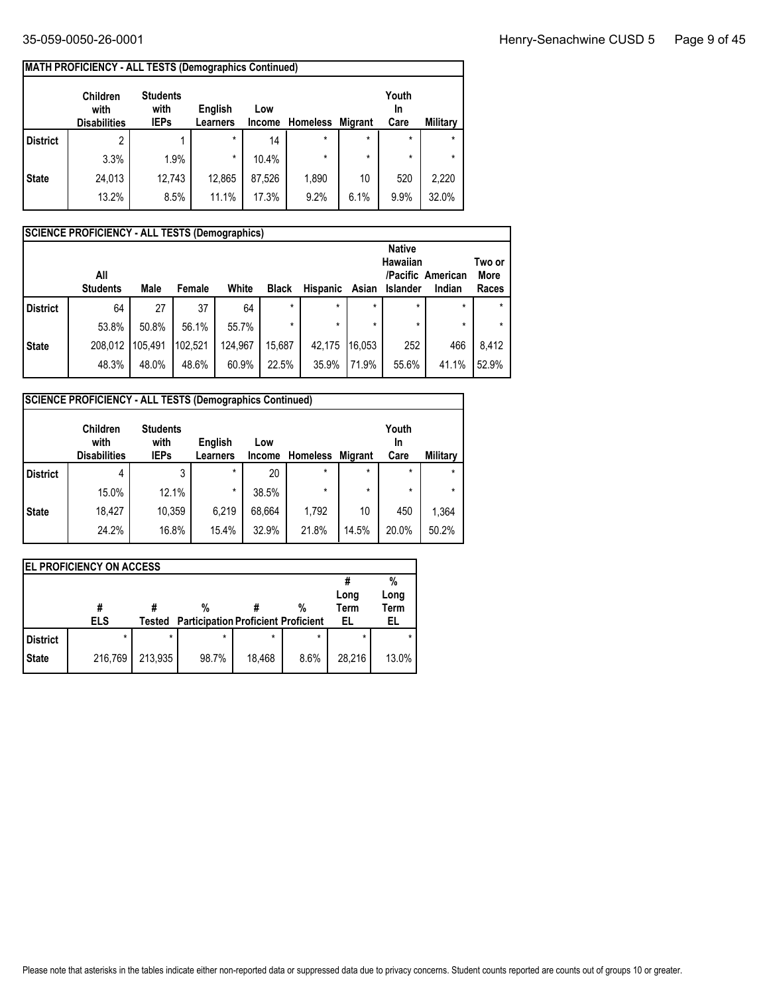| MATH PROFICIENCY - ALL TESTS (Demographics Continued) |
|-------------------------------------------------------|

|                 | <b>MATH PROFICIENCY - ALL TESTS (Demographics Continued)</b><br><b>Children</b><br>with<br><b>Disabilities</b> | <b>Students</b><br>with<br><b>IEPs</b> | English<br><b>Learners</b> | Low<br><b>Income</b> | <b>Homeless</b> | <b>Migrant</b> | Youth<br>In<br>Care | Military |
|-----------------|----------------------------------------------------------------------------------------------------------------|----------------------------------------|----------------------------|----------------------|-----------------|----------------|---------------------|----------|
| <b>District</b> | 2                                                                                                              |                                        | $\star$                    | 14                   | $\star$         | $\star$        | $\star$             | $\star$  |
|                 | 3.3%                                                                                                           | 1.9%                                   | $\star$                    | 10.4%                | $\star$         | $\star$        | $\star$             | $\star$  |
| <b>State</b>    | 24,013                                                                                                         | 12,743                                 | 12,865                     | 87,526               | 1,890           | 10             | 520                 | 2,220    |
|                 | 13.2%                                                                                                          | 8.5%                                   | 11.1%                      | 17.3%                | 9.2%            | 6.1%           | 9.9%                | 32.0%    |

|                 | <b>SCIENCE PROFICIENCY - ALL TESTS (Demographics)</b> |         |         |         |              |          |         |                 |                   |             |  |  |  |
|-----------------|-------------------------------------------------------|---------|---------|---------|--------------|----------|---------|-----------------|-------------------|-------------|--|--|--|
|                 |                                                       |         |         |         |              |          |         | <b>Native</b>   |                   |             |  |  |  |
|                 |                                                       |         |         |         |              |          |         | <b>Hawaiian</b> |                   | Two or      |  |  |  |
|                 | All                                                   |         |         |         |              |          |         |                 | /Pacific American | <b>More</b> |  |  |  |
|                 | <b>Students</b>                                       | Male    | Female  | White   | <b>Black</b> | Hispanic | Asian   | Islander        | Indian            | Races       |  |  |  |
| <b>District</b> | 64                                                    | 27      | 37      | 64      | $\star$      | $\star$  | $\star$ | $\star$         | $\star$           |             |  |  |  |
|                 | 53.8%                                                 | 50.8%   | 56.1%   | 55.7%   | $\star$      | *        | $\star$ | $\star$         | $\star$           |             |  |  |  |
| <b>State</b>    | 208,012                                               | 105,491 | 102.521 | 124,967 | 15,687       | 42.175   | 116.053 | 252             | 466               | 8.412       |  |  |  |
|                 | 48.3%                                                 | 48.0%   | 48.6%   | 60.9%   | 22.5%        | 35.9%    | 71.9%   | 55.6%           | 41.1%             | 52.9%       |  |  |  |

|                 | <b>SCIENCE PROFICIENCY - ALL TESTS (Demographics Continued)</b> |                                        |                            |                      |                 |                |                     |          |  |  |  |  |  |  |
|-----------------|-----------------------------------------------------------------|----------------------------------------|----------------------------|----------------------|-----------------|----------------|---------------------|----------|--|--|--|--|--|--|
|                 | <b>Children</b><br>with<br><b>Disabilities</b>                  | <b>Students</b><br>with<br><b>IEPs</b> | English<br><b>Learners</b> | Low<br><b>Income</b> | <b>Homeless</b> | <b>Migrant</b> | Youth<br>In<br>Care | Military |  |  |  |  |  |  |
| <b>District</b> | 4                                                               | 3                                      | $\star$                    | 20                   | $\star$         | $\star$        | $\star$             | $\star$  |  |  |  |  |  |  |
|                 | 15.0%                                                           | 12.1%                                  | $\star$                    | 38.5%                | $\star$         | $\star$        | $\star$             | $\star$  |  |  |  |  |  |  |
| <b>State</b>    | 18.427                                                          | 10,359                                 | 6,219                      | 68,664               | 1,792           | 10             | 450                 | 1.364    |  |  |  |  |  |  |
|                 | 24.2%                                                           | 16.8%                                  | 15.4%                      | 32.9%                | 21.8%           | 14.5%          | 20.0%               | 50.2%    |  |  |  |  |  |  |

|                 | <b>EL PROFICIENCY ON ACCESS</b> |         |                                            |         |         |             |             |  |  |  |  |  |  |  |
|-----------------|---------------------------------|---------|--------------------------------------------|---------|---------|-------------|-------------|--|--|--|--|--|--|--|
|                 |                                 |         |                                            |         |         |             | %           |  |  |  |  |  |  |  |
|                 |                                 |         |                                            |         |         | Long        | Long        |  |  |  |  |  |  |  |
|                 | #                               |         | %                                          |         | %       | <b>Term</b> | <b>Term</b> |  |  |  |  |  |  |  |
|                 | <b>ELS</b>                      | Tested  | <b>Participation Proficient Proficient</b> |         |         | EL          | EL          |  |  |  |  |  |  |  |
| <b>District</b> | $\star$                         | $\star$ | $\star$                                    | $\star$ | $\star$ | $\star$     |             |  |  |  |  |  |  |  |
| <b>State</b>    | 216,769                         | 213.935 | 98.7%                                      | 18.468  | 8.6%    | 28.216      | 13.0%       |  |  |  |  |  |  |  |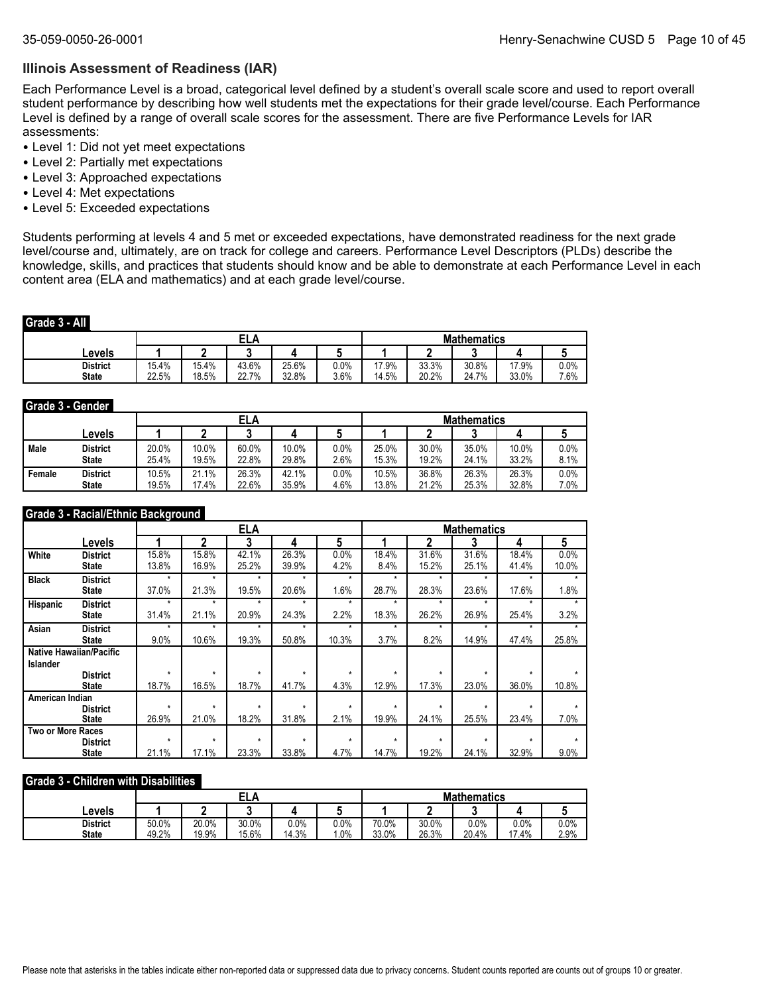#### **Illinois Assessment of Readiness (IAR)**

Each Performance Level is a broad, categorical level defined by a student's overall scale score and used to report overall student performance by describing how well students met the expectations for their grade level/course. Each Performance Level is defined by a range of overall scale scores for the assessment. There are five Performance Levels for IAR assessments:

- Level 1: Did not yet meet expectations
- Level 2: Partially met expectations
- Level 3: Approached expectations
- Level 4: Met expectations
- Level 5: Exceeded expectations

Students performing at levels 4 and 5 met or exceeded expectations, have demonstrated readiness for the next grade level/course and, ultimately, are on track for college and careers. Performance Level Descriptors (PLDs) describe the knowledge, skills, and practices that students should know and be able to demonstrate at each Performance Level in each content area (ELA and mathematics) and at each grade level/course.

#### **Grade 3 - All**

|                                 |                |                | сι<br>ELA      |                |                 | <b>Mathematics</b> |                |                |                |              |  |
|---------------------------------|----------------|----------------|----------------|----------------|-----------------|--------------------|----------------|----------------|----------------|--------------|--|
| Levels                          |                |                |                |                |                 |                    |                |                |                |              |  |
| <b>District</b><br><b>State</b> | 15.4%<br>22.5% | 15.4%<br>18.5% | 43.6%<br>22.7% | 25.6%<br>32.8% | $0.0\%$<br>3.6% | 17.9%<br>14.5%     | 33.3%<br>20.2% | 30.8%<br>24.7% | 17.9%<br>33.0% | 0.0%<br>7.6% |  |

#### **Grade 3 - Gender**

|        |                 |       |       | ELA   |       |      | <b>Mathematics</b> |       |       |       |         |  |
|--------|-----------------|-------|-------|-------|-------|------|--------------------|-------|-------|-------|---------|--|
|        | ∟evels          |       |       |       |       |      |                    |       |       |       |         |  |
| Male   | <b>District</b> | 20.0% | 10.0% | 60.0% | 10.0% | 0.0% | 25.0%              | 30.0% | 35.0% | 10.0% | $0.0\%$ |  |
|        | <b>State</b>    | 25.4% | 19.5% | 22.8% | 29.8% | 2.6% | 15.3%              | 19.2% | 24.1% | 33.2% | 8.1%    |  |
| Female | <b>District</b> | 10.5% | 21.1% | 26.3% | 42.1% | 0.0% | 10.5%              | 36.8% | 26.3% | 26.3% | 0.0%    |  |
|        | <b>State</b>    | 19.5% | 17.4% | 22.6% | 35.9% | 4.6% | 13.8%              | 21.2% | 25.3% | 32.8% | 7.0%    |  |

#### **Grade 3 - Racial/Ethnic Background**

|                          |                                |         |         | <b>ELA</b> |         |         |         |         | <b>Mathematics</b> |         |       |
|--------------------------|--------------------------------|---------|---------|------------|---------|---------|---------|---------|--------------------|---------|-------|
|                          | Levels                         |         | 2       | 3          | 4       | 5       |         | 2       | 3                  | 4       | 5     |
| White                    | <b>District</b>                | 15.8%   | 15.8%   | 42.1%      | 26.3%   | 0.0%    | 18.4%   | 31.6%   | 31.6%              | 18.4%   | 0.0%  |
|                          | <b>State</b>                   | 13.8%   | 16.9%   | 25.2%      | 39.9%   | 4.2%    | 8.4%    | 15.2%   | 25.1%              | 41.4%   | 10.0% |
| <b>Black</b>             | <b>District</b>                | $\star$ | $\star$ | $\star$    | $\star$ | $\star$ | $\star$ | ÷       | ÷                  | ÷       |       |
|                          | <b>State</b>                   | 37.0%   | 21.3%   | 19.5%      | 20.6%   | 1.6%    | 28.7%   | 28.3%   | 23.6%              | 17.6%   | 1.8%  |
| Hispanic                 | <b>District</b>                | $\star$ | $\star$ | $\star$    | $\star$ | ÷       | $\star$ | ÷       | ÷                  | ÷       |       |
|                          | <b>State</b>                   | 31.4%   | 21.1%   | 20.9%      | 24.3%   | 2.2%    | 18.3%   | 26.2%   | 26.9%              | 25.4%   | 3.2%  |
| Asian                    | <b>District</b>                | $\star$ | $\star$ | $\star$    | $\star$ | $\star$ | $\star$ | $\star$ | $\star$            | $\star$ |       |
|                          | <b>State</b>                   | 9.0%    | 10.6%   | 19.3%      | 50.8%   | 10.3%   | 3.7%    | 8.2%    | 14.9%              | 47.4%   | 25.8% |
|                          | <b>Native Hawaiian/Pacific</b> |         |         |            |         |         |         |         |                    |         |       |
| <b>Islander</b>          |                                |         |         |            |         |         |         |         |                    |         |       |
|                          | <b>District</b>                | $\star$ | $\star$ | $\star$    | $\star$ | $\star$ | $\star$ | $\star$ | ÷                  | $\star$ |       |
|                          | <b>State</b>                   | 18.7%   | 16.5%   | 18.7%      | 41.7%   | 4.3%    | 12.9%   | 17.3%   | 23.0%              | 36.0%   | 10.8% |
| American Indian          |                                | $\star$ | $\star$ | $\star$    | $\star$ | $\star$ | $\star$ | $\star$ | $\star$            | $\star$ |       |
|                          | <b>District</b>                |         |         |            |         |         |         |         |                    |         |       |
|                          | <b>State</b>                   | 26.9%   | 21.0%   | 18.2%      | 31.8%   | 2.1%    | 19.9%   | 24.1%   | 25.5%              | 23.4%   | 7.0%  |
| <b>Two or More Races</b> |                                | $\star$ | $\star$ | $\star$    | $\star$ | $\star$ | $\star$ | $\star$ | $\star$            | $\star$ |       |
|                          | <b>District</b>                | 21.1%   | 17.1%   | 23.3%      | 33.8%   | 4.7%    | 14.7%   | 19.2%   | 24.1%              | 32.9%   | 9.0%  |
|                          | <b>State</b>                   |         |         |            |         |         |         |         |                    |         |       |

#### **Grade 3 - Children with Disabilities**

|                                 |                |                |                |               |             | <b>Mathematics</b> |                |               |                   |                 |  |
|---------------------------------|----------------|----------------|----------------|---------------|-------------|--------------------|----------------|---------------|-------------------|-----------------|--|
| Levels                          |                |                |                |               |             |                    |                |               |                   |                 |  |
| <b>District</b><br><b>State</b> | 50.0%<br>49.2% | 20.0%<br>19.9% | 30.0%<br>15.6% | 0.0%<br>14.3% | 0.0%<br>.0% | 70.0%<br>33.0%     | 30.0%<br>26.3% | 0.0%<br>20.4% | $0.0\%$<br>$.4\%$ | $0.0\%$<br>2.9% |  |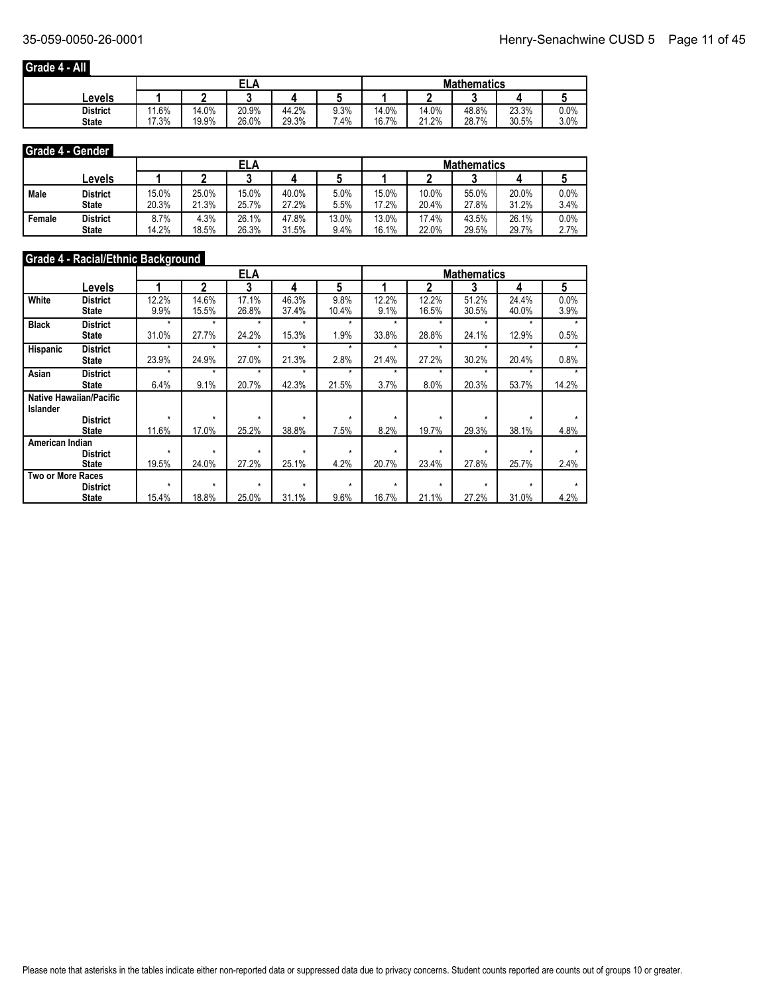## **Grade 4 - All**

|                 |                        |       | ELA   |       |        | <b>Mathematics</b> |       |       |       |      |  |
|-----------------|------------------------|-------|-------|-------|--------|--------------------|-------|-------|-------|------|--|
| Levels          |                        |       |       |       |        |                    |       |       |       |      |  |
| <b>District</b> | 1.6%<br>$\overline{A}$ | 14.0% | 20.9% | 44.2% | 9.3%   | 14.0%              | 14.0% | 48.8% | 23.3% | 0.0% |  |
| <b>State</b>    | 7.3%                   | 19.9% | 26.0% | 29.3% | $.4\%$ | 16.7%              | 21.2% | 28.7% | 30.5% | 3.0% |  |

## **Grade 4 - Gender**

|        |                 |       |       | ELA   |       |       |       |       | <b>Mathematics</b> |       |      |
|--------|-----------------|-------|-------|-------|-------|-------|-------|-------|--------------------|-------|------|
|        | Levels          |       |       |       |       |       |       |       |                    |       |      |
| Male   | District        | 15.0% | 25.0% | 15.0% | 40.0% | 5.0%  | 15.0% | 10.0% | 55.0%              | 20.0% | 0.0% |
|        | <b>State</b>    | 20.3% | 21.3% | 25.7% | 27.2% | 5.5%  | 17.2% | 20.4% | 27.8%              | 31.2% | 3.4% |
| Female | <b>District</b> | 8.7%  | 4.3%  | 26.1% | 47.8% | 13.0% | 13.0% | 17.4% | 43.5%              | 26.1% | 0.0% |
|        | <b>State</b>    | 14.2% | 18.5% | 26.3% | 31.5% | 9.4%  | 16.1% | 22.0% | 29.5%              | 29.7% | 2.7% |

## **Grade 4 - Racial/Ethnic Background**

|                          |                                |         |         | <b>ELA</b> |         |         |         |              | <b>Mathematics</b> |         |       |
|--------------------------|--------------------------------|---------|---------|------------|---------|---------|---------|--------------|--------------------|---------|-------|
|                          | Levels                         |         | 2       | 3          | 4       | 5       |         | $\mathbf{2}$ | 3                  | 4       | 5     |
| White                    | <b>District</b>                | 12.2%   | 14.6%   | 17.1%      | 46.3%   | 9.8%    | 12.2%   | 12.2%        | 51.2%              | 24.4%   | 0.0%  |
|                          | State                          | 9.9%    | 15.5%   | 26.8%      | 37.4%   | 10.4%   | 9.1%    | 16.5%        | 30.5%              | 40.0%   | 3.9%  |
| <b>Black</b>             | <b>District</b>                | $\star$ | $\star$ | $\star$    | $\star$ | $\star$ | $\star$ | $\star$      | $\star$            | $\star$ | ٠     |
|                          | State                          | 31.0%   | 27.7%   | 24.2%      | 15.3%   | 1.9%    | 33.8%   | 28.8%        | 24.1%              | 12.9%   | 0.5%  |
| <b>Hispanic</b>          | <b>District</b>                | $\star$ | $\star$ | $\star$    | $\star$ | $\star$ | $\star$ | $\star$      | ۰                  | ÷       |       |
|                          | State                          | 23.9%   | 24.9%   | 27.0%      | 21.3%   | 2.8%    | 21.4%   | 27.2%        | 30.2%              | 20.4%   | 0.8%  |
| Asian                    | <b>District</b>                | $\star$ | $\star$ | $\star$    | $\star$ | $\star$ | $\star$ | ÷            | $\star$            | ÷       |       |
|                          | State                          | 6.4%    | 9.1%    | 20.7%      | 42.3%   | 21.5%   | 3.7%    | 8.0%         | 20.3%              | 53.7%   | 14.2% |
|                          | <b>Native Hawaiian/Pacific</b> |         |         |            |         |         |         |              |                    |         |       |
| <b>Islander</b>          |                                |         |         |            |         |         |         |              |                    |         |       |
|                          | <b>District</b>                | $\star$ | $\star$ | $\star$    | $\star$ | $\star$ | $\star$ | $\star$      | $\star$            | $\star$ |       |
|                          | <b>State</b>                   | 11.6%   | 17.0%   | 25.2%      | 38.8%   | 7.5%    | 8.2%    | 19.7%        | 29.3%              | 38.1%   | 4.8%  |
| American Indian          |                                |         |         |            |         |         |         |              |                    |         |       |
|                          | <b>District</b>                | $\star$ | $\star$ | $\star$    | $\star$ | $\star$ | $\star$ | $\star$      | $\star$            | $\star$ |       |
|                          | <b>State</b>                   | 19.5%   | 24.0%   | 27.2%      | 25.1%   | 4.2%    | 20.7%   | 23.4%        | 27.8%              | 25.7%   | 2.4%  |
| <b>Two or More Races</b> |                                |         |         |            |         |         |         |              |                    |         |       |
|                          | <b>District</b>                | $\star$ | $\star$ | $\star$    | $\star$ | $\star$ | $\star$ | $\star$      | $\star$            | $\star$ |       |
|                          | <b>State</b>                   | 15.4%   | 18.8%   | 25.0%      | 31.1%   | 9.6%    | 16.7%   | 21.1%        | 27.2%              | 31.0%   | 4.2%  |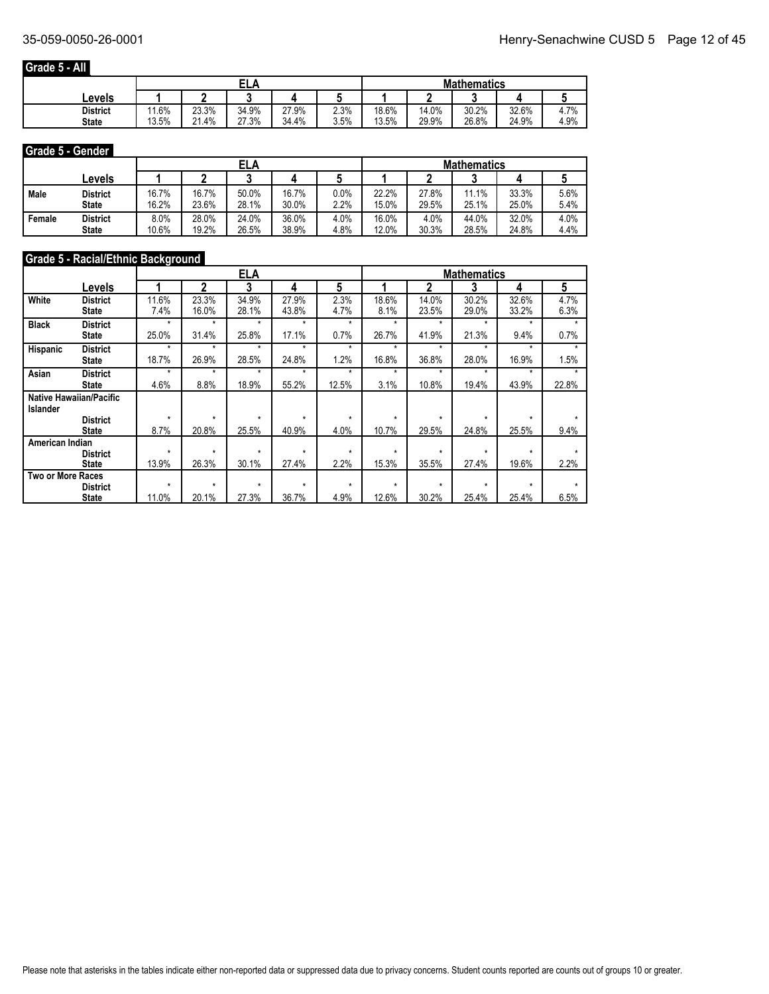## **Grade 5 - All**

|                 |       | EL,   |       |       |      |       | <b>Mathematics</b> |       |       |           |  |  |
|-----------------|-------|-------|-------|-------|------|-------|--------------------|-------|-------|-----------|--|--|
| Levels          |       |       |       |       |      |       |                    |       |       |           |  |  |
| <b>District</b> | .6%   | 23.3% | 34.9% | 27.9% | 2.3% | 18.6% | 14.0%              | 30.2% | 32.6% | 7%<br>4.1 |  |  |
| <b>State</b>    | 13.5% | 21.4% | 27.3% | 34.4% | 3.5% | 13.5% | 29.9%              | 26.8% | 24.9% | 4.9%      |  |  |

#### **Grade 5 - Gender**

|        |                 |       |       | ELA   |       |      | <b>Mathematics</b> |       |       |       |      |  |
|--------|-----------------|-------|-------|-------|-------|------|--------------------|-------|-------|-------|------|--|
|        | ∟evels          |       |       |       |       |      |                    |       |       |       |      |  |
| Male   | District        | 16.7% | 16.7% | 50.0% | 16.7% | 0.0% | 22.2%              | 27.8% | 11.1% | 33.3% | 5.6% |  |
|        | <b>State</b>    | 16.2% | 23.6% | 28.1% | 30.0% | 2.2% | 15.0%              | 29.5% | 25.1% | 25.0% | 5.4% |  |
| Female | <b>District</b> | 8.0%  | 28.0% | 24.0% | 36.0% | 4.0% | 16.0%              | 4.0%  | 44.0% | 32.0% | 4.0% |  |
|        | <b>State</b>    | 10.6% | 19.2% | 26.5% | 38.9% | 4.8% | 12.0%              | 30.3% | 28.5% | 24.8% | 4.4% |  |

## **Grade 5 - Racial/Ethnic Background**

|                   |                                |         |         | ELA     |         |         |         |         | <b>Mathematics</b> |         |       |
|-------------------|--------------------------------|---------|---------|---------|---------|---------|---------|---------|--------------------|---------|-------|
|                   | Levels                         |         | 2       | 3       | 4       | 5       |         | 2       | 3                  | 4       | 5     |
| White             | <b>District</b>                | 11.6%   | 23.3%   | 34.9%   | 27.9%   | 2.3%    | 18.6%   | 14.0%   | 30.2%              | 32.6%   | 4.7%  |
|                   | State                          | 7.4%    | 16.0%   | 28.1%   | 43.8%   | 4.7%    | 8.1%    | 23.5%   | 29.0%              | 33.2%   | 6.3%  |
| <b>Black</b>      | <b>District</b>                | $\star$ | $\star$ | $\star$ | $\star$ | $\star$ | ÷       | $\star$ | $\star$            | ÷       | ٠     |
|                   | State                          | 25.0%   | 31.4%   | 25.8%   | 17.1%   | 0.7%    | 26.7%   | 41.9%   | 21.3%              | 9.4%    | 0.7%  |
| Hispanic          | <b>District</b>                | $\star$ | $\star$ | $\star$ | ÷       | ÷       | ÷       | ۰       | ÷                  | ÷       |       |
|                   | State                          | 18.7%   | 26.9%   | 28.5%   | 24.8%   | 1.2%    | 16.8%   | 36.8%   | 28.0%              | 16.9%   | 1.5%  |
| Asian             | <b>District</b>                | $\star$ | $\star$ | $\star$ | $\star$ | ÷       | ÷       | ۰       | ۰                  | ÷       |       |
|                   | State                          | 4.6%    | 8.8%    | 18.9%   | 55.2%   | 12.5%   | 3.1%    | 10.8%   | 19.4%              | 43.9%   | 22.8% |
|                   | <b>Native Hawaiian/Pacific</b> |         |         |         |         |         |         |         |                    |         |       |
| <b>Islander</b>   |                                |         |         |         |         |         |         |         |                    |         |       |
|                   | <b>District</b>                | $\star$ | $\star$ | $\star$ | $\star$ | $\star$ | $\star$ | $\star$ | $\star$            | $\star$ |       |
|                   | <b>State</b>                   | 8.7%    | 20.8%   | 25.5%   | 40.9%   | 4.0%    | 10.7%   | 29.5%   | 24.8%              | 25.5%   | 9.4%  |
| American Indian   |                                |         |         |         |         |         |         |         |                    | $\star$ |       |
|                   | <b>District</b>                | $\star$ | $\star$ | $\star$ | $\star$ | $\star$ | $\star$ | $\star$ | $\star$            |         |       |
|                   | <b>State</b>                   | 13.9%   | 26.3%   | 30.1%   | 27.4%   | 2.2%    | 15.3%   | 35.5%   | 27.4%              | 19.6%   | 2.2%  |
| Two or More Races |                                |         |         |         |         |         |         |         |                    |         |       |
|                   | <b>District</b>                | $\star$ | $\star$ | $\star$ | $\star$ | $\star$ | $\star$ | $\star$ | $\star$            | $\star$ |       |
|                   | <b>State</b>                   | 11.0%   | 20.1%   | 27.3%   | 36.7%   | 4.9%    | 12.6%   | 30.2%   | 25.4%              | 25.4%   | 6.5%  |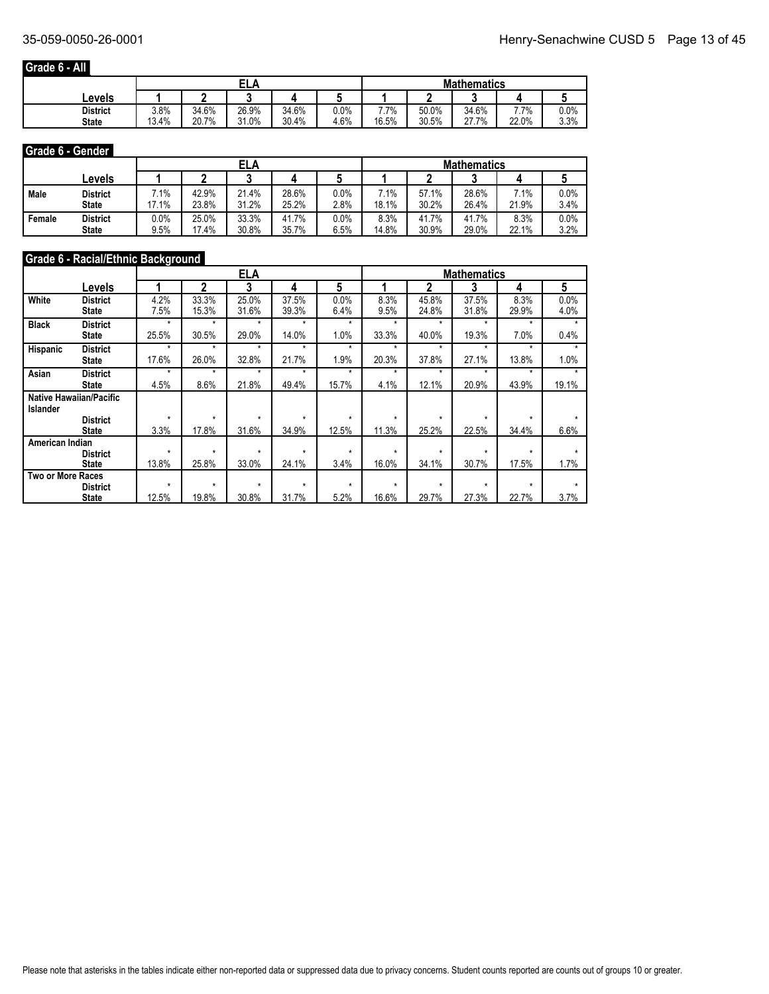## **Grade 6 - All**

|                 |       | EL/<br>£ |       |       |         |       | <b>Mathematics</b> |       |       |                 |  |  |
|-----------------|-------|----------|-------|-------|---------|-------|--------------------|-------|-------|-----------------|--|--|
| Levels          |       |          |       |       |         |       |                    |       |       |                 |  |  |
| <b>District</b> | 3.8%  | 34.6%    | 26.9% | 34.6% | $0.0\%$ | 7.7%  | 50.0%              | 34.6% | 7.7%  | 0.0%            |  |  |
| <b>State</b>    | 13.4% | 20.7%    | 31.0% | 30.4% | 4.6%    | 16.5% | 30.5%              | 27.7% | 22.0% | 3.30/<br>0/ ن.پ |  |  |

#### **Grade 6 - Gender**

|        |                 |                 |       | ELA   |       |      |       |       | <b>Mathematics</b> |                 |      |
|--------|-----------------|-----------------|-------|-------|-------|------|-------|-------|--------------------|-----------------|------|
|        | ∟evels          |                 |       |       |       |      |       |       |                    |                 |      |
| Male   | District        | $^{\prime}$ .1% | 42.9% | 21.4% | 28.6% | 0.0% | 7.1%  | 57.1% | 28.6%              | $^{\prime}$ .1% | 0.0% |
|        | <b>State</b>    | 17.1%           | 23.8% | 31.2% | 25.2% | 2.8% | 18.1% | 30.2% | 26.4%              | 21.9%           | 3.4% |
| Female | <b>District</b> | 0.0%            | 25.0% | 33.3% | 41.7% | 0.0% | 8.3%  | 41.7% | 41.7%              | 8.3%            | 0.0% |
|        | <b>State</b>    | 9.5%            | 17.4% | 30.8% | 35.7% | 6.5% | 14.8% | 30.9% | 29.0%              | 22.1%           | 3.2% |

## **Grade 6 - Racial/Ethnic Background**

|                          |                                |         |         | <b>ELA</b> |         |         |         |         | <b>Mathematics</b> |         |       |
|--------------------------|--------------------------------|---------|---------|------------|---------|---------|---------|---------|--------------------|---------|-------|
|                          | Levels                         |         | 2       | 3          | 4       | 5       |         | 2       | 3                  | 4       | 5     |
| White                    | <b>District</b>                | 4.2%    | 33.3%   | 25.0%      | 37.5%   | 0.0%    | 8.3%    | 45.8%   | 37.5%              | 8.3%    | 0.0%  |
|                          | State                          | 7.5%    | 15.3%   | 31.6%      | 39.3%   | 6.4%    | 9.5%    | 24.8%   | 31.8%              | 29.9%   | 4.0%  |
| <b>Black</b>             | <b>District</b>                | $\star$ | $\star$ | $\star$    | $\star$ | $\star$ | $\star$ | $\star$ | $\star$            | ÷       | ۰     |
|                          | State                          | 25.5%   | 30.5%   | 29.0%      | 14.0%   | 1.0%    | 33.3%   | 40.0%   | 19.3%              | 7.0%    | 0.4%  |
| <b>Hispanic</b>          | <b>District</b>                | $\star$ | $\star$ | $\star$    | $\star$ | $\star$ | $\star$ | $\star$ | $\star$            | $\star$ |       |
|                          | State                          | 17.6%   | 26.0%   | 32.8%      | 21.7%   | 1.9%    | 20.3%   | 37.8%   | 27.1%              | 13.8%   | 1.0%  |
| Asian                    | <b>District</b>                | $\star$ | $\star$ | $\star$    | $\star$ | $\star$ | $\star$ | $\star$ | $\star$            | $\star$ |       |
|                          | State                          | 4.5%    | 8.6%    | 21.8%      | 49.4%   | 15.7%   | 4.1%    | 12.1%   | 20.9%              | 43.9%   | 19.1% |
|                          | <b>Native Hawaiian/Pacific</b> |         |         |            |         |         |         |         |                    |         |       |
| <b>Islander</b>          |                                |         |         |            |         |         |         |         |                    |         |       |
|                          | <b>District</b>                | $\star$ | $\star$ | $\star$    | $\star$ | $\star$ | $\star$ | $\star$ | $\star$            | ÷       |       |
|                          | <b>State</b>                   | 3.3%    | 17.8%   | 31.6%      | 34.9%   | 12.5%   | 11.3%   | 25.2%   | 22.5%              | 34.4%   | 6.6%  |
| American Indian          |                                |         |         |            |         |         |         |         |                    |         |       |
|                          | <b>District</b>                | $\star$ | $\star$ | $\star$    | $\star$ | $\star$ | $\star$ | $\star$ | $\star$            | $\star$ |       |
|                          | <b>State</b>                   | 13.8%   | 25.8%   | 33.0%      | 24.1%   | 3.4%    | 16.0%   | 34.1%   | 30.7%              | 17.5%   | 1.7%  |
| <b>Two or More Races</b> |                                |         |         |            |         |         |         |         |                    |         |       |
|                          | <b>District</b>                | $\star$ | $\star$ | $\star$    | $\star$ | $\star$ | $\star$ | $\star$ | $\star$            | $\star$ |       |
|                          | <b>State</b>                   | 12.5%   | 19.8%   | 30.8%      | 31.7%   | 5.2%    | 16.6%   | 29.7%   | 27.3%              | 22.7%   | 3.7%  |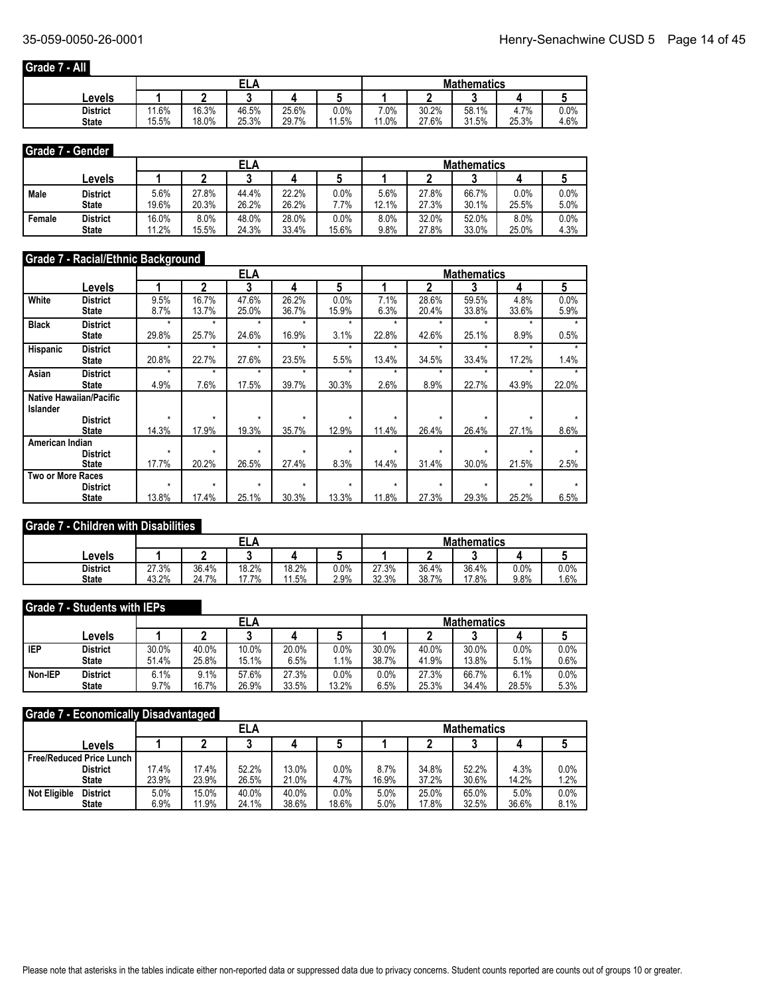## **Grade 7 - All**

|                 |       |       | ELA   |       |         | <b>Mathematics</b> |       |       |         |      |
|-----------------|-------|-------|-------|-------|---------|--------------------|-------|-------|---------|------|
| ∟evels          |       |       |       |       |         |                    |       |       |         |      |
| <b>District</b> | 11.6% | 16.3% | 46.5% | 25.6% | $0.0\%$ | 7.0%               | 30.2% | 58.1% | 7%<br>4 | 0.0% |
| <b>State</b>    | 15.5% | 18.0% | 25.3% | 29.7% | 11.5%   | 11.0%              | 27.6% | 31.5% | 25.3%   | 4.6% |

## **Grade 7 - Gender**

|        |                 |       |       | ELA   |       |       | <b>Mathematics</b> |       |       |       |      |  |
|--------|-----------------|-------|-------|-------|-------|-------|--------------------|-------|-------|-------|------|--|
|        | ∟evels          |       |       |       |       |       |                    |       |       |       |      |  |
| Male   | District        | 5.6%  | 27.8% | 44.4% | 22.2% | 0.0%  | 5.6%               | 27.8% | 66.7% | 0.0%  | 0.0% |  |
|        | <b>State</b>    | 19.6% | 20.3% | 26.2% | 26.2% | '.7%  | 12.1%              | 27.3% | 30.1% | 25.5% | 5.0% |  |
| Female | <b>District</b> | 16.0% | 8.0%  | 48.0% | 28.0% | 0.0%  | 8.0%               | 32.0% | 52.0% | 8.0%  | 0.0% |  |
|        | <b>State</b>    | 11.2% | 15.5% | 24.3% | 33.4% | 15.6% | 9.8%               | 27.8% | 33.0% | 25.0% | 4.3% |  |

## **Grade 7 - Racial/Ethnic Background**

|                          |                                |         |         | <b>ELA</b> |         |         |         |         | <b>Mathematics</b> |         |       |
|--------------------------|--------------------------------|---------|---------|------------|---------|---------|---------|---------|--------------------|---------|-------|
|                          | Levels                         |         | 2       | 3          | 4       | 5       |         | 2       | 3                  | 4       | 5     |
| White                    | <b>District</b>                | 9.5%    | 16.7%   | 47.6%      | 26.2%   | 0.0%    | 7.1%    | 28.6%   | 59.5%              | 4.8%    | 0.0%  |
|                          | <b>State</b>                   | 8.7%    | 13.7%   | 25.0%      | 36.7%   | 15.9%   | 6.3%    | 20.4%   | 33.8%              | 33.6%   | 5.9%  |
| <b>Black</b>             | <b>District</b>                | $\star$ | $\star$ | $\star$    | $\star$ | *       | $\star$ | $\star$ | ۰                  | ÷       | ÷     |
|                          | <b>State</b>                   | 29.8%   | 25.7%   | 24.6%      | 16.9%   | 3.1%    | 22.8%   | 42.6%   | 25.1%              | 8.9%    | 0.5%  |
| Hispanic                 | <b>District</b>                | $\star$ | $\star$ | $\star$    | $\star$ | ۰       | ۰       | ۰       | ÷                  | ÷       |       |
|                          | <b>State</b>                   | 20.8%   | 22.7%   | 27.6%      | 23.5%   | 5.5%    | 13.4%   | 34.5%   | 33.4%              | 17.2%   | 1.4%  |
| Asian                    | <b>District</b>                | $\star$ | $\star$ | $\star$    | $\star$ | ÷       | ÷       | $\star$ | $\star$            | $\star$ |       |
|                          | <b>State</b>                   | 4.9%    | 7.6%    | 17.5%      | 39.7%   | 30.3%   | 2.6%    | 8.9%    | 22.7%              | 43.9%   | 22.0% |
|                          | <b>Native Hawaiian/Pacific</b> |         |         |            |         |         |         |         |                    |         |       |
| <b>Islander</b>          |                                |         |         |            |         |         |         |         |                    |         |       |
|                          | <b>District</b>                | $\star$ | $\star$ | $\star$    | $\star$ | $\star$ | $\star$ | $\star$ | $\star$            | $\star$ |       |
|                          | <b>State</b>                   | 14.3%   | 17.9%   | 19.3%      | 35.7%   | 12.9%   | 11.4%   | 26.4%   | 26.4%              | 27.1%   | 8.6%  |
| American Indian          |                                |         |         |            |         |         |         |         |                    |         |       |
|                          | <b>District</b>                | $\star$ | $\star$ | $\star$    | $\star$ | ÷       | $\star$ | ÷       | ÷                  | ÷       |       |
|                          | <b>State</b>                   | 17.7%   | 20.2%   | 26.5%      | 27.4%   | 8.3%    | 14.4%   | 31.4%   | 30.0%              | 21.5%   | 2.5%  |
| <b>Two or More Races</b> |                                |         |         |            |         |         |         |         |                    |         |       |
|                          | <b>District</b>                | $\star$ | $\star$ | $\star$    | $\star$ | $\star$ | $\star$ | $\star$ | ÷                  | ÷       |       |
|                          | <b>State</b>                   | 13.8%   | 17.4%   | 25.1%      | 30.3%   | 13.3%   | 11.8%   | 27.3%   | 29.3%              | 25.2%   | 6.5%  |

### **Grade 7 - Children with Disabilities**

|                                 |                |                | ---            |                |              | <b>Mathematics</b> |                |                |              |             |  |
|---------------------------------|----------------|----------------|----------------|----------------|--------------|--------------------|----------------|----------------|--------------|-------------|--|
| Levels                          |                |                |                |                |              |                    |                |                |              |             |  |
| <b>District</b><br><b>State</b> | 27.3%<br>43.2% | 36.4%<br>24.7% | 18.2%<br>17.7% | 18.2%<br>11.5% | 0.0%<br>2.9% | 27.3%<br>32.3%     | 36.4%<br>38.7% | 36.4%<br>17.8% | 0.0%<br>9.8% | 0.0%<br>.6% |  |

#### **Grade 7 - Students with IEPs**

|            |                 |       |       | ELA   |       |       | <b>Mathematics</b> |       |       |       |         |  |
|------------|-----------------|-------|-------|-------|-------|-------|--------------------|-------|-------|-------|---------|--|
|            | ∟evels          |       |       |       |       |       |                    |       | ◠     |       |         |  |
| <b>IEP</b> | <b>District</b> | 30.0% | 40.0% | 10.0% | 20.0% | 0.0%  | 30.0%              | 40.0% | 30.0% | 0.0%  | 0.0%    |  |
|            | <b>State</b>    | 51.4% | 25.8% | 15.1% | 6.5%  | 1%    | 38.7%              | 41.9% | 13.8% | 5.1%  | $0.6\%$ |  |
| Non-IEP    | <b>District</b> | 6.1%  | 9.1%  | 57.6% | 27.3% | 0.0%  | 0.0%               | 27.3% | 66.7% | 6.1%  | 0.0%    |  |
|            | <b>State</b>    | 9.7%  | 16.7% | 26.9% | 33.5% | 13.2% | 6.5%               | 25.3% | 34.4% | 28.5% | 5.3%    |  |

### **Grade 7 - Economically Disadvantaged**

|                                        |       |       | <b>ELA</b> |       |         | <b>Mathematics</b> |       |       |       |         |  |
|----------------------------------------|-------|-------|------------|-------|---------|--------------------|-------|-------|-------|---------|--|
| Levels                                 |       |       |            |       |         |                    |       |       |       |         |  |
| <b>Free/Reduced Price Lunch</b>        |       |       |            |       |         |                    |       |       |       |         |  |
| <b>District</b>                        | 17.4% | 17.4% | 52.2%      | 13.0% | $0.0\%$ | 8.7%               | 34.8% | 52.2% | 4.3%  | 0.0%    |  |
| <b>State</b>                           | 23.9% | 23.9% | 26.5%      | 21.0% | 4.7%    | 16.9%              | 37.2% | 30.6% | 14.2% | 1.2%    |  |
| <b>District</b><br><b>Not Eligible</b> | 5.0%  | 15.0% | 40.0%      | 40.0% | 0.0%    | 5.0%               | 25.0% | 65.0% | 5.0%  | $0.0\%$ |  |
| <b>State</b>                           | 6.9%  | 11.9% | 24.1%      | 38.6% | 18.6%   | 5.0%               | 17.8% | 32.5% | 36.6% | 8.1%    |  |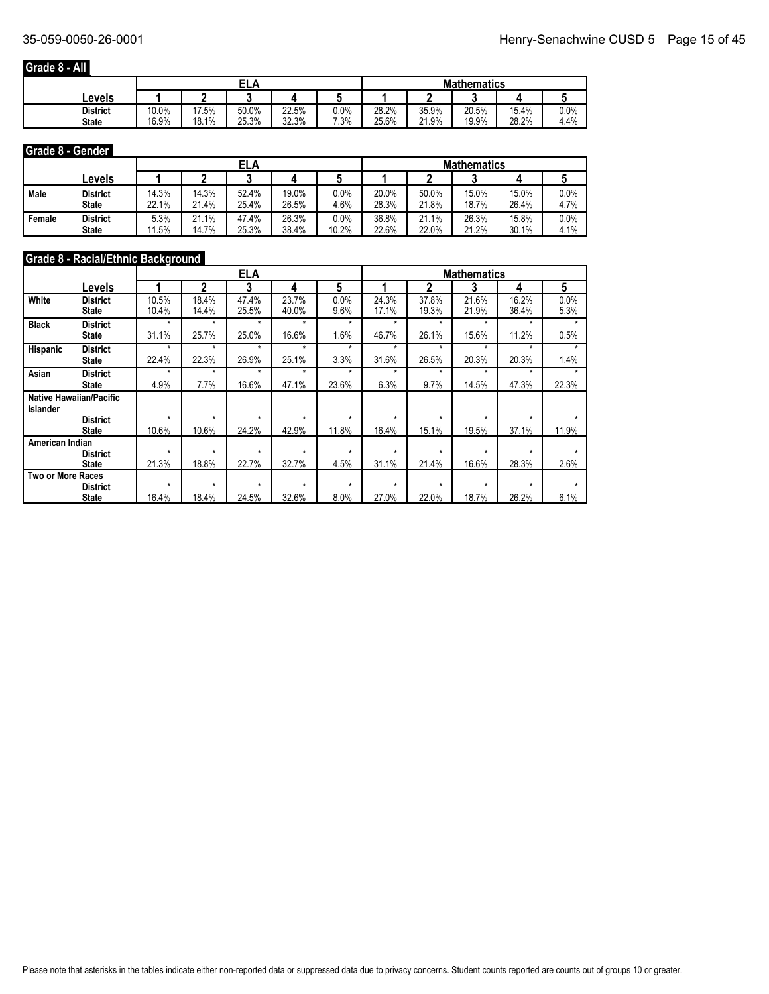## **Grade 8 - All**

|                 |       |       | EL/<br>л |       |         | <b>Mathematics</b> |       |       |       |      |
|-----------------|-------|-------|----------|-------|---------|--------------------|-------|-------|-------|------|
| Levels          |       |       |          |       |         |                    |       |       |       |      |
| <b>District</b> | 10.0% | 17.5% | 50.0%    | 22.5% | $0.0\%$ | 28.2%              | 35.9% | 20.5% | 15.4% | 0.0% |
| <b>State</b>    | 16.9% | 18.1% | 25.3%    | 32.3% | 7.3%    | 25.6%              | 21.9% | 19.9% | 28.2% | 4.4% |

#### **Grade 8 - Gender**

|        |                 |       |       | ELA   |       |       | <b>Mathematics</b> |       |       |       |         |  |
|--------|-----------------|-------|-------|-------|-------|-------|--------------------|-------|-------|-------|---------|--|
|        | ∟evels          |       |       |       |       |       |                    |       |       |       |         |  |
| Male   | District        | 14.3% | 14.3% | 52.4% | 19.0% | 0.0%  | 20.0%              | 50.0% | 15.0% | 15.0% | $0.0\%$ |  |
|        | <b>State</b>    | 22.1% | 21.4% | 25.4% | 26.5% | 4.6%  | 28.3%              | 21.8% | 18.7% | 26.4% | 4.7%    |  |
| Female | <b>District</b> | 5.3%  | 21.1% | 47.4% | 26.3% | 0.0%  | 36.8%              | 21.1% | 26.3% | 15.8% | 0.0%    |  |
|        | <b>State</b>    | 11.5% | 14.7% | 25.3% | 38.4% | 10.2% | 22.6%              | 22.0% | 21.2% | 30.1% | 4.1%    |  |

## **Grade 8 - Racial/Ethnic Background**

|                          |                                |         |         | <b>ELA</b> |         |         |         |         | <b>Mathematics</b> |         |       |
|--------------------------|--------------------------------|---------|---------|------------|---------|---------|---------|---------|--------------------|---------|-------|
|                          | Levels                         |         | 2       | 3          | 4       | 5       |         | 2       | 3                  | 4       | 5     |
| White                    | <b>District</b>                | 10.5%   | 18.4%   | 47.4%      | 23.7%   | 0.0%    | 24.3%   | 37.8%   | 21.6%              | 16.2%   | 0.0%  |
|                          | State                          | 10.4%   | 14.4%   | 25.5%      | 40.0%   | 9.6%    | 17.1%   | 19.3%   | 21.9%              | 36.4%   | 5.3%  |
| <b>Black</b>             | <b>District</b>                | $\star$ | $\star$ | $\star$    | $\star$ | $\star$ | $\star$ | $\star$ | $\star$            | ÷       |       |
|                          | State                          | 31.1%   | 25.7%   | 25.0%      | 16.6%   | 1.6%    | 46.7%   | 26.1%   | 15.6%              | 11.2%   | 0.5%  |
| <b>Hispanic</b>          | <b>District</b>                | $\star$ | $\star$ | $\star$    | $\star$ | $\star$ | $\star$ | $\star$ | $\star$            | $\star$ |       |
|                          | State                          | 22.4%   | 22.3%   | 26.9%      | 25.1%   | 3.3%    | 31.6%   | 26.5%   | 20.3%              | 20.3%   | 1.4%  |
| Asian                    | <b>District</b>                | $\star$ | $\star$ | $\star$    | $\star$ | $\star$ | $\star$ | $\star$ | $\star$            | ÷       |       |
|                          | State                          | 4.9%    | 7.7%    | 16.6%      | 47.1%   | 23.6%   | 6.3%    | 9.7%    | 14.5%              | 47.3%   | 22.3% |
|                          | <b>Native Hawaiian/Pacific</b> |         |         |            |         |         |         |         |                    |         |       |
| <b>Islander</b>          |                                |         |         |            |         |         |         |         |                    |         |       |
|                          | <b>District</b>                | $\star$ | $\star$ | $\star$    | $\star$ | $\star$ | $\star$ | $\star$ | $\star$            | ÷       |       |
|                          | <b>State</b>                   | 10.6%   | 10.6%   | 24.2%      | 42.9%   | 11.8%   | 16.4%   | 15.1%   | 19.5%              | 37.1%   | 11.9% |
| American Indian          |                                |         |         |            |         |         |         |         |                    |         |       |
|                          | <b>District</b>                | $\star$ | $\star$ | $\star$    | $\star$ | $\star$ | $\star$ | $\star$ | $\star$            | $\star$ |       |
|                          | <b>State</b>                   | 21.3%   | 18.8%   | 22.7%      | 32.7%   | 4.5%    | 31.1%   | 21.4%   | 16.6%              | 28.3%   | 2.6%  |
| <b>Two or More Races</b> |                                |         |         |            |         |         |         |         |                    |         |       |
|                          | <b>District</b>                | $\star$ | $\star$ | $\star$    | $\star$ | $\star$ | $\star$ | $\star$ | $\star$            | $\star$ |       |
|                          | <b>State</b>                   | 16.4%   | 18.4%   | 24.5%      | 32.6%   | 8.0%    | 27.0%   | 22.0%   | 18.7%              | 26.2%   | 6.1%  |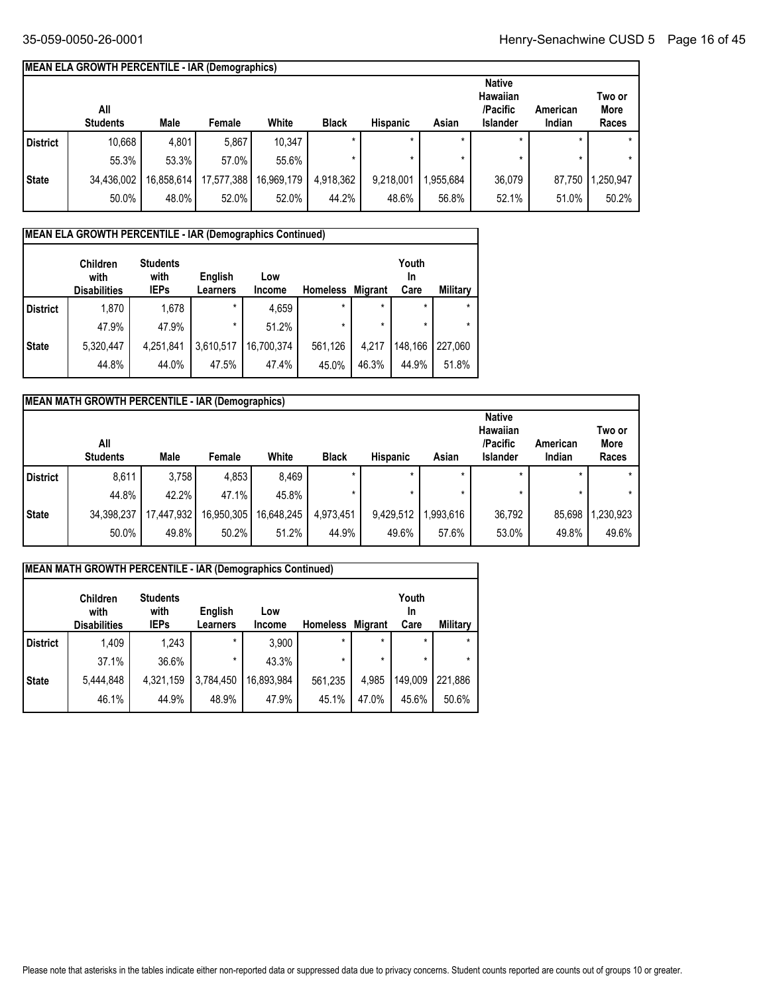## **MEAN ELA GROWTH PERCENTILE - IAR (Demographics)**

|              | All<br><b>Students</b> | Male       | Female     | White      | <b>Black</b> | <b>Hispanic</b> | Asian    | <b>Native</b><br>Hawaiian<br>/Pacific<br>Islander | American<br>Indian | Two or<br>More<br>Races |
|--------------|------------------------|------------|------------|------------|--------------|-----------------|----------|---------------------------------------------------|--------------------|-------------------------|
| l District   | 10,668                 | 4,801      | 5,867      | 10,347     | $\star$      |                 |          |                                                   |                    | $\star$                 |
|              | 55.3%                  | 53.3%      | 57.0%      | 55.6%      |              |                 |          |                                                   |                    | $\star$                 |
| <b>State</b> | 34,436,002             | 16,858,614 | 17,577,388 | 16,969,179 | 4,918,362    | 9,218,001       | .955.684 | 36,079                                            | 87.750             | ,250,947                |
|              | 50.0%                  | 48.0%      | 52.0%      | 52.0%      | 44.2%        | 48.6%           | 56.8%    | 52.1%                                             | 51.0%              | 50.2%                   |

## **MEAN ELA GROWTH PERCENTILE - IAR (Demographics Continued)**

|                 | <b>Children</b><br>with<br><b>Disabilities</b> | <b>Students</b><br>with<br><b>IEPs</b> | English<br>Learners | Low<br>Income | <b>Homeless</b> | <b>Migrant</b> | Youth<br>In<br>Care | <b>Military</b> |
|-----------------|------------------------------------------------|----------------------------------------|---------------------|---------------|-----------------|----------------|---------------------|-----------------|
| <b>District</b> | 1,870                                          | 1,678                                  | $\star$             | 4,659         | $\star$         | $\star$        | $\star$             | $\star$         |
|                 | 47.9%                                          | 47.9%                                  | $\star$             | 51.2%         | $\star$         | $\star$        |                     | $\star$         |
| <b>State</b>    | 5,320,447                                      | 4,251,841                              | 3,610,517           | 16,700,374    | 561,126         | 4,217          | 148,166             | 227.060         |
|                 | 44.8%                                          | 44.0%                                  | 47.5%               | 47.4%         | 45.0%           | 46.3%          | 44.9%               | 51.8%           |

|              | <b>MEAN MATH GROWTH PERCENTILE - IAR (Demographics)</b> |            |            |            |              |                 |           |                                                          |                    |                         |
|--------------|---------------------------------------------------------|------------|------------|------------|--------------|-----------------|-----------|----------------------------------------------------------|--------------------|-------------------------|
|              | All<br><b>Students</b>                                  | Male       | Female     | White      | <b>Black</b> | <b>Hispanic</b> | Asian     | <b>Native</b><br>Hawaiian<br>/Pacific<br><b>Islander</b> | American<br>Indian | Two or<br>More<br>Races |
| District     | 8,611                                                   | 3.758      | 4,853      | 8.469      |              |                 |           |                                                          |                    |                         |
|              | 44.8%                                                   | 42.2%      | 47.1%      | 45.8%      |              |                 |           | $\star$                                                  |                    |                         |
| <b>State</b> | 34,398,237                                              | 17,447,932 | 16,950,305 | 16,648,245 | 4,973,451    | 9,429,512       | 1,993,616 | 36.792                                                   | 85,698             | 1,230,923               |
|              | 50.0%                                                   | 49.8%      | 50.2%      | 51.2%      | 44.9%        | 49.6%           | 57.6%     | 53.0%                                                    | 49.8%              | 49.6%                   |

|                 | <b>MEAN MATH GROWTH PERCENTILE - IAR (Demographics Continued)</b> |                                        |                            |                      |                 |                |                     |                 |  |  |  |  |
|-----------------|-------------------------------------------------------------------|----------------------------------------|----------------------------|----------------------|-----------------|----------------|---------------------|-----------------|--|--|--|--|
|                 | <b>Children</b><br>with<br><b>Disabilities</b>                    | <b>Students</b><br>with<br><b>IEPs</b> | English<br><b>Learners</b> | Low<br><b>Income</b> | <b>Homeless</b> | <b>Migrant</b> | Youth<br>In<br>Care | <b>Military</b> |  |  |  |  |
| <b>District</b> | 1,409                                                             | 1.243                                  | $\star$                    | 3,900                | $\star$         | $\star$        | $\star$             |                 |  |  |  |  |
|                 | 37.1%                                                             | 36.6%                                  | $\star$                    | 43.3%                | $\star$         | $\star$        | *                   |                 |  |  |  |  |
| <b>State</b>    | 5,444,848                                                         | 4,321,159                              | 3,784,450                  | 16,893,984           | 561,235         | 4,985          | 149.009             | 221,886         |  |  |  |  |
|                 | 46.1%                                                             | 44.9%                                  | 48.9%                      | 47.9%                | 45.1%           | 47.0%          | 45.6%               | 50.6%           |  |  |  |  |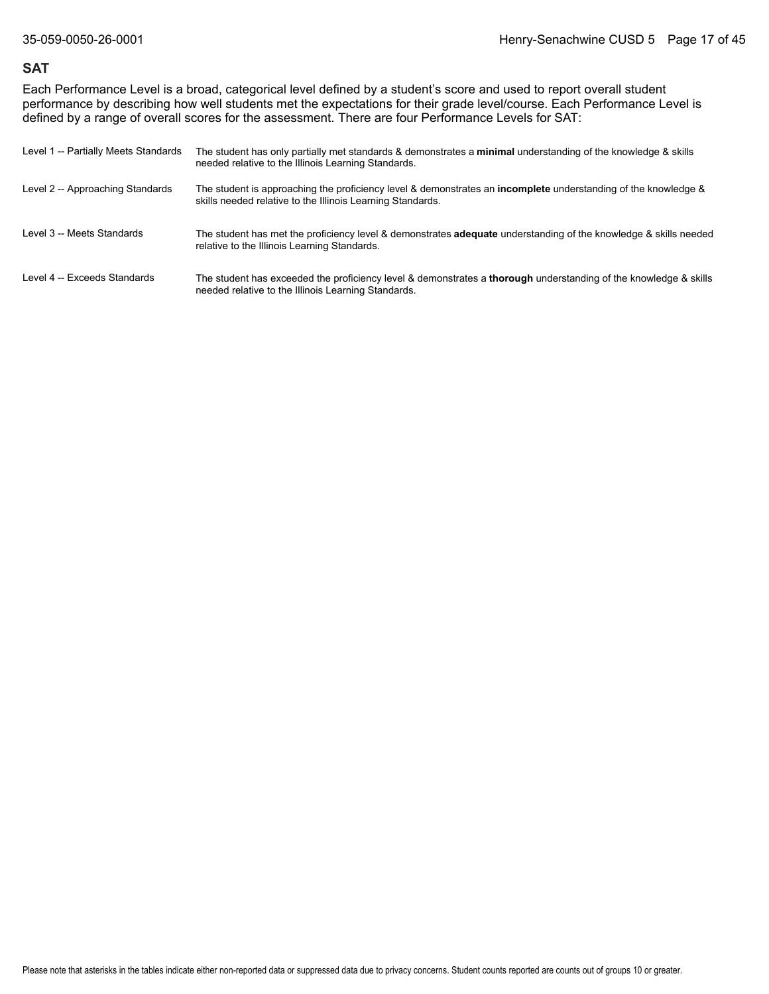#### **SAT**

Each Performance Level is a broad, categorical level defined by a student's score and used to report overall student performance by describing how well students met the expectations for their grade level/course. Each Performance Level is defined by a range of overall scores for the assessment. There are four Performance Levels for SAT:

| Level 1 -- Partially Meets Standards | The student has only partially met standards & demonstrates a minimal understanding of the knowledge & skills<br>needed relative to the Illinois Learning Standards.                |
|--------------------------------------|-------------------------------------------------------------------------------------------------------------------------------------------------------------------------------------|
| Level 2 -- Approaching Standards     | The student is approaching the proficiency level & demonstrates an <b>incomplete</b> understanding of the knowledge &<br>skills needed relative to the Illinois Learning Standards. |
| Level 3 -- Meets Standards           | The student has met the proficiency level & demonstrates <b>adequate</b> understanding of the knowledge & skills needed<br>relative to the Illinois Learning Standards.             |
| Level 4 -- Exceeds Standards         | The student has exceeded the proficiency level & demonstrates a <b>thorough</b> understanding of the knowledge & skills<br>needed relative to the Illinois Learning Standards.      |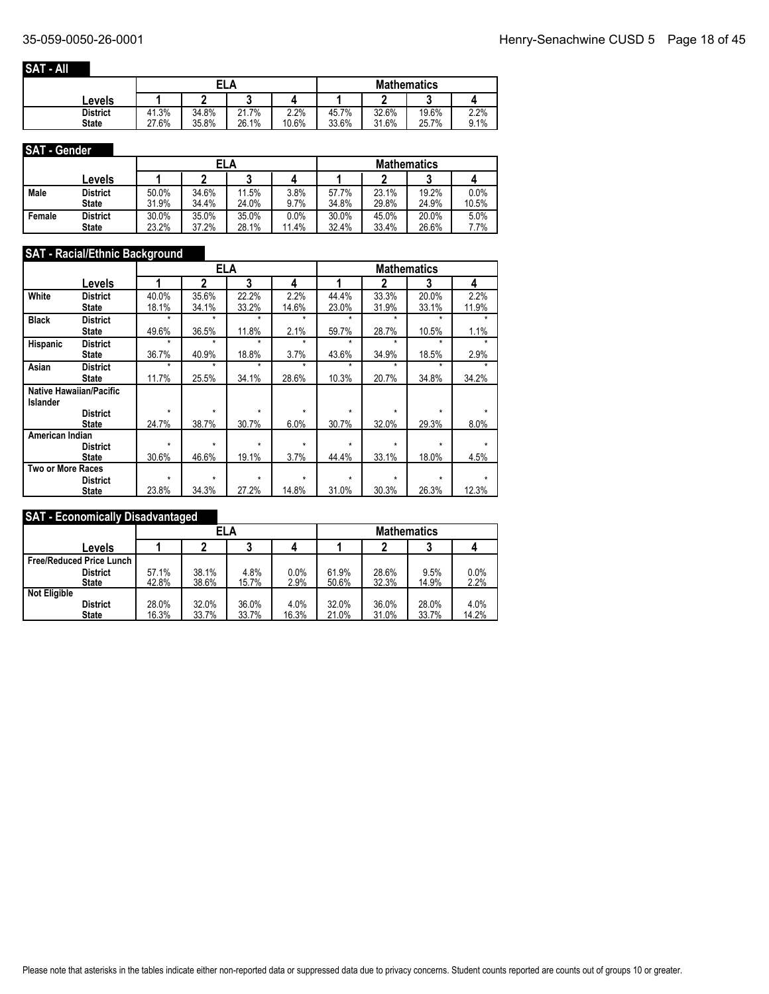#### **SAT - All**

|                 |       | ELA   |            |       | <b>Mathematics</b> |       |       |      |  |  |
|-----------------|-------|-------|------------|-------|--------------------|-------|-------|------|--|--|
| Levels          |       |       |            |       |                    |       |       |      |  |  |
| <b>District</b> | 41.3% | 34.8% | 7%<br>21.7 | 2.2%  | 45.7%              | 32.6% | 19.6% | 2.2% |  |  |
| <b>State</b>    | 27.6% | 35.8% | 26.1%      | 10.6% | 33.6%              | 31.6% | 25.7% | 9.1% |  |  |

#### **SAT - Gender**

|        |                 |           | ELA   |       |       |       |       | <b>Mathematics</b> |       |
|--------|-----------------|-----------|-------|-------|-------|-------|-------|--------------------|-------|
|        | Levels          |           |       |       |       |       |       |                    |       |
| Male   | <b>District</b> | 50.0%     | 34.6% | 11.5% | 3.8%  | 57.7% | 23.1% | 19.2%              | 0.0%  |
|        | <b>State</b>    | .9%<br>31 | 34.4% | 24.0% | 9.7%  | 34.8% | 29.8% | 24.9%              | 10.5% |
| Female | <b>District</b> | 30.0%     | 35.0% | 35.0% | 0.0%  | 30.0% | 45.0% | 20.0%              | 5.0%  |
|        | <b>State</b>    | 23.2%     | 37.2% | 28.1% | 11.4% | 32.4% | 33.4% | 26.6%              | 7.7%  |

#### **SAT - Racial/Ethnic Background**

|                          |                                |         | <b>ELA</b> |         |         |         |         | <b>Mathematics</b> |       |  |
|--------------------------|--------------------------------|---------|------------|---------|---------|---------|---------|--------------------|-------|--|
|                          | Levels                         |         | 2          | 3       | 4       | 4       | 2       | 3                  | 4     |  |
| White                    | <b>District</b>                | 40.0%   | 35.6%      | 22.2%   | 2.2%    | 44.4%   | 33.3%   | 20.0%              | 2.2%  |  |
|                          | <b>State</b>                   | 18.1%   | 34.1%      | 33.2%   | 14.6%   | 23.0%   | 31.9%   | 33.1%              | 11.9% |  |
| <b>Black</b>             | <b>District</b>                | $\star$ | $\star$    | $\star$ | $\star$ | $\star$ | $\star$ | $\star$            | ÷     |  |
|                          | <b>State</b>                   | 49.6%   | 36.5%      | 11.8%   | 2.1%    | 59.7%   | 28.7%   | 10.5%              | 1.1%  |  |
| <b>Hispanic</b>          | <b>District</b>                | $\star$ | $\star$    | $\star$ | $\star$ | ÷       | $\star$ | $\star$            | ÷     |  |
|                          | <b>State</b>                   | 36.7%   | 40.9%      | 18.8%   | 3.7%    | 43.6%   | 34.9%   | 18.5%              | 2.9%  |  |
| Asian                    | <b>District</b>                | $\star$ | $\star$    | $\star$ | $\star$ | $\star$ | $\star$ | $\star$            | ÷     |  |
|                          | <b>State</b>                   | 11.7%   | 25.5%      | 34.1%   | 28.6%   | 10.3%   | 20.7%   | 34.8%              | 34.2% |  |
|                          | <b>Native Hawaiian/Pacific</b> |         |            |         |         |         |         |                    |       |  |
| <b>Islander</b>          |                                |         |            |         |         |         |         |                    |       |  |
|                          | <b>District</b>                | $\star$ | $\star$    | $\star$ | $\star$ | $\star$ | $\star$ | $\star$            | ÷     |  |
|                          | <b>State</b>                   | 24.7%   | 38.7%      | 30.7%   | 6.0%    | 30.7%   | 32.0%   | 29.3%              | 8.0%  |  |
| American Indian          |                                |         |            |         |         |         |         |                    |       |  |
|                          | <b>District</b>                | *       | $\star$    | $\star$ | $\star$ | $\star$ | $\star$ | ÷                  | ÷     |  |
|                          | <b>State</b>                   | 30.6%   | 46.6%      | 19.1%   | 3.7%    | 44.4%   | 33.1%   | 18.0%              | 4.5%  |  |
| <b>Two or More Races</b> |                                |         |            |         |         |         |         |                    |       |  |
|                          | <b>District</b>                | $\star$ | $\star$    | $\star$ | $\star$ | $\star$ | $\star$ | ÷                  |       |  |
|                          | <b>State</b>                   | 23.8%   | 34.3%      | 27.2%   | 14.8%   | 31.0%   | 30.3%   | 26.3%              | 12.3% |  |

## **SAT - Economically Disadvantaged**

|                                 |       | ELA   |       |       |       | <b>Mathematics</b> |       |       |
|---------------------------------|-------|-------|-------|-------|-------|--------------------|-------|-------|
| Levels                          |       |       |       |       |       |                    |       |       |
| <b>Free/Reduced Price Lunch</b> |       |       |       |       |       |                    |       |       |
| <b>District</b>                 | 57.1% | 38.1% | 4.8%  | 0.0%  | 61.9% | 28.6%              | 9.5%  | 0.0%  |
| <b>State</b>                    | 42.8% | 38.6% | 15.7% | 2.9%  | 50.6% | 32.3%              | 14.9% | 2.2%  |
| <b>Not Eligible</b>             |       |       |       |       |       |                    |       |       |
| <b>District</b>                 | 28.0% | 32.0% | 36.0% | 4.0%  | 32.0% | 36.0%              | 28.0% | 4.0%  |
| State                           | 16.3% | 33.7% | 33.7% | 16.3% | 21.0% | 31.0%              | 33.7% | 14.2% |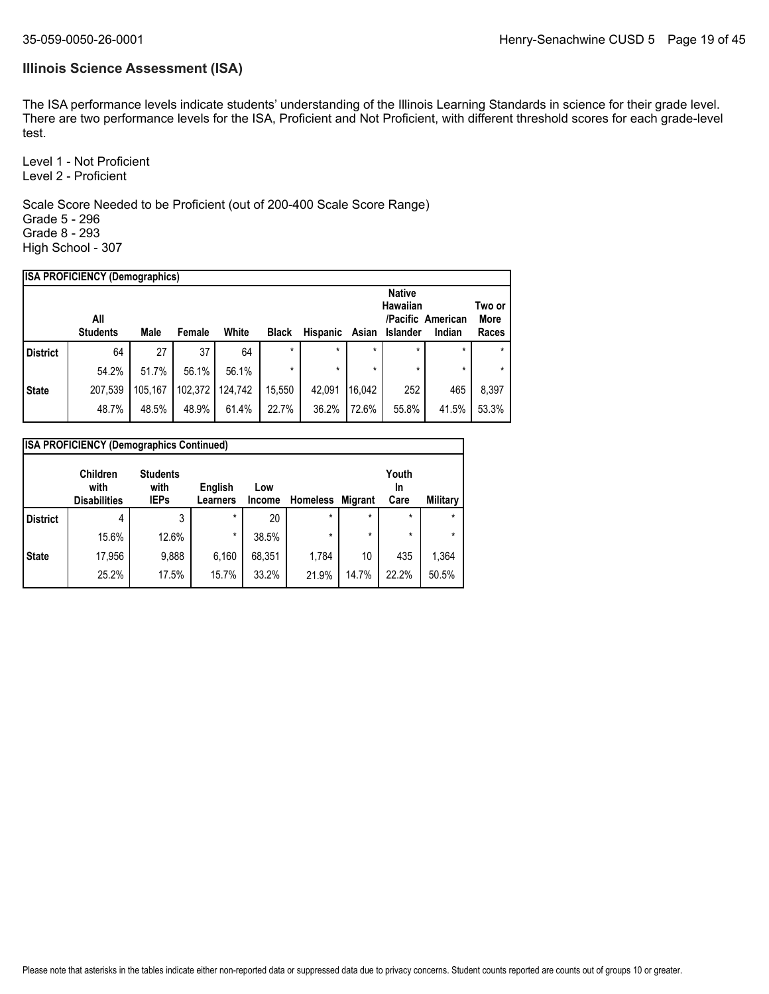### **Illinois Science Assessment (ISA)**

The ISA performance levels indicate students' understanding of the Illinois Learning Standards in science for their grade level. There are two performance levels for the ISA, Proficient and Not Proficient, with different threshold scores for each grade-level test.

Level 1 - Not Proficient Level 2 - Proficient

Scale Score Needed to be Proficient (out of 200-400 Scale Score Range) Grade 5 - 296 Grade 8 - 293 High School - 307

| <b>ISA PROFICIENCY (Demographics)</b> |                 |         |         |         |              |          |         |               |                   |         |
|---------------------------------------|-----------------|---------|---------|---------|--------------|----------|---------|---------------|-------------------|---------|
|                                       |                 |         |         |         |              |          |         | <b>Native</b> |                   |         |
|                                       |                 |         |         |         |              |          |         | Hawaiian      |                   | Two or  |
|                                       | All             |         |         |         |              |          |         |               | /Pacific American | More    |
|                                       | <b>Students</b> | Male    | Female  | White   | <b>Black</b> | Hispanic | Asian   | Islander      | Indian            | Races   |
| <b>District</b>                       | 64              | 27      | 37      | 64      | $\star$      | $\star$  | $\star$ | $\star$       | $\star$           | $\star$ |
|                                       | 54.2%           | 51.7%   | 56.1%   | 56.1%   | $\star$      | $\star$  | $\star$ | $\star$       | $\star$           | $\star$ |
| <b>State</b>                          | 207,539         | 105.167 | 102,372 | 124.742 | 15,550       | 42.091   | 16.042  | 252           | 465               | 8,397   |
|                                       | 48.7%           | 48.5%   | 48.9%   | 61.4%   | 22.7%        | 36.2%    | 72.6%   | 55.8%         | 41.5%             | 53.3%   |

|                 | <b>ISA PROFICIENCY (Demographics Continued)</b> |                                        |                     |               |                 |                |                     |          |  |  |  |
|-----------------|-------------------------------------------------|----------------------------------------|---------------------|---------------|-----------------|----------------|---------------------|----------|--|--|--|
|                 | <b>Children</b><br>with<br><b>Disabilities</b>  | <b>Students</b><br>with<br><b>IEPs</b> | English<br>Learners | Low<br>Income | <b>Homeless</b> | <b>Migrant</b> | Youth<br>In<br>Care | Military |  |  |  |
| <b>District</b> | 4                                               | 3                                      | $\star$             | 20            | $\star$         | $\star$        | $\star$             | $\star$  |  |  |  |
|                 | 15.6%                                           | 12.6%                                  | $\star$             | 38.5%         | $\star$         | $\star$        | $\star$             | $\star$  |  |  |  |
| <b>State</b>    | 17,956                                          | 9,888                                  | 6,160               | 68,351        | 1,784           | 10             | 435                 | 1,364    |  |  |  |
|                 | 25.2%                                           | 17.5%                                  | 15.7%               | 33.2%         | 21.9%           | 14.7%          | 22.2%               | 50.5%    |  |  |  |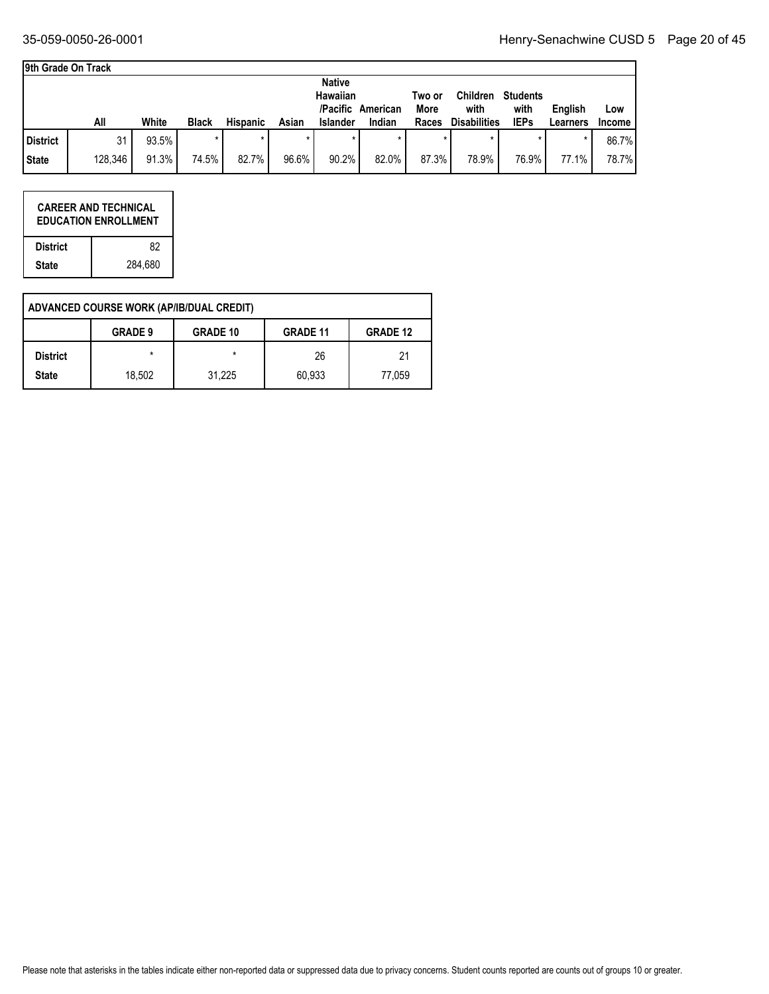٦

#### **9th Grade On Track**

|                 |         |       |              |                 |       | <b>Native</b><br><b>Hawaiian</b> | /Pacific American | Two or<br>More | <b>Children</b><br>with | <b>Students</b><br>with | English  | Low           |
|-----------------|---------|-------|--------------|-----------------|-------|----------------------------------|-------------------|----------------|-------------------------|-------------------------|----------|---------------|
|                 | All     | White | <b>Black</b> | <b>Hispanic</b> | Asian | Islander                         | Indian            | Races          | <b>Disabilities</b>     | <b>IEPs</b>             | Learners | <b>Income</b> |
| <b>District</b> | 31      | 93.5% |              |                 |       |                                  |                   |                |                         |                         |          | 86.7%         |
| <b>State</b>    | 128,346 | 91.3% | 74.5%        | 82.7%           | 96.6% | 90.2%                            | 82.0%             | 87.3%          | 78.9%                   | 76.9%                   | 77.1%    | 78.7%         |

|                 | <b>CAREER AND TECHNICAL</b><br><b>EDUCATION ENROLLMENT</b> |
|-----------------|------------------------------------------------------------|
| <b>District</b> | 82                                                         |
| <b>State</b>    | 284.680                                                    |

|                 | ADVANCED COURSE WORK (AP/IB/DUAL CREDIT) |                 |                 |                 |
|-----------------|------------------------------------------|-----------------|-----------------|-----------------|
|                 | <b>GRADE 9</b>                           | <b>GRADE 10</b> | <b>GRADE 11</b> | <b>GRADE 12</b> |
| <b>District</b> | $\star$                                  | *               | 26              | 21              |
| <b>State</b>    | 18.502                                   | 31,225          | 60,933          | 77,059          |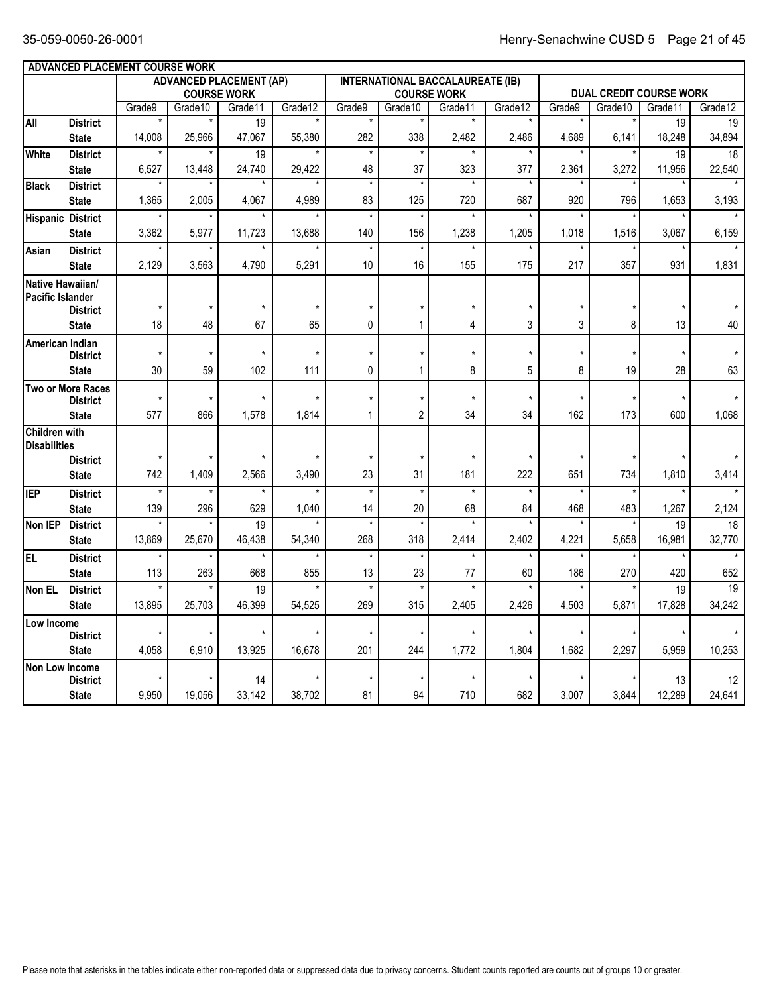|                         | ADVANCED PLACEMENT COURSE WORK              |                   |                |                                |         |               |                    |                                         |          |                |                |                                |                          |
|-------------------------|---------------------------------------------|-------------------|----------------|--------------------------------|---------|---------------|--------------------|-----------------------------------------|----------|----------------|----------------|--------------------------------|--------------------------|
|                         |                                             |                   |                | <b>ADVANCED PLACEMENT (AP)</b> |         |               |                    | <b>INTERNATIONAL BACCALAUREATE (IB)</b> |          |                |                |                                |                          |
|                         |                                             |                   |                | <b>COURSE WORK</b>             |         |               |                    | <b>COURSE WORK</b>                      |          |                | Grade10        | <b>DUAL CREDIT COURSE WORK</b> | Grade12                  |
| All                     | <b>District</b>                             | Grade9<br>$\star$ | Grade10        | Grade11<br>$\overline{19}$     | Grade12 | Grade9        | Grade10<br>$\star$ | Grade11<br>$\star$                      | Grade12  | Grade9         |                | Grade11<br>19                  | 19                       |
|                         | <b>State</b>                                | 14,008            | 25,966         | 47,067                         | 55,380  | 282           | 338                | 2,482                                   | 2,486    | 4,689          | 6,141          | 18,248                         | 34,894                   |
| White                   | <b>District</b>                             | $\star$           |                | 19                             |         | $\star$       | $\star$            | $\star$                                 | $\star$  |                |                | 19                             | $\overline{18}$          |
|                         | <b>State</b>                                | 6,527             | 13,448         | 24,740                         | 29,422  | 48            | 37                 | 323                                     | 377      | 2,361          | 3,272          | 11,956                         | 22,540                   |
| <b>Black</b>            | <b>District</b>                             | $\star$           |                | $\star$                        | $\star$ | $^\star$      | $\overline{\ast}$  | $\star$                                 | $\star$  |                | $\star$        |                                |                          |
|                         | <b>State</b>                                | 1,365             | 2,005          | 4,067                          | 4,989   | 83            | 125                | 720                                     | 687      | 920            | 796            | 1,653                          | 3,193                    |
|                         | <b>Hispanic District</b>                    |                   |                |                                |         | $\star$       | $\star$            |                                         |          |                |                |                                |                          |
|                         | <b>State</b>                                | 3,362             | 5,977          | 11,723                         | 13,688  | 140           | 156                | 1,238                                   | 1,205    | 1,018          | 1,516          | 3,067                          | 6,159                    |
| Asian                   | <b>District</b>                             |                   |                |                                |         | $\star$       | $\star$            |                                         |          |                |                |                                |                          |
|                         | <b>State</b>                                | 2,129             | 3,563          | 4,790                          | 5,291   | 10            | 16                 | 155                                     | 175      | 217            | 357            | 931                            | 1,831                    |
| <b>Pacific Islander</b> | Native Hawaiian/                            |                   |                |                                |         |               |                    |                                         |          |                |                |                                |                          |
|                         | <b>District</b>                             | $\star$           | $\star$        | $\star$                        | $\star$ | $\star$       | $\star$            | $\star$                                 | $^\star$ |                |                | $^\star$                       |                          |
|                         | <b>State</b>                                | 18                | 48             | 67                             | 65      | 0             | 1                  | 4                                       | 3        | 3              | 8              | 13                             | 40                       |
| American Indian         |                                             |                   |                |                                |         |               |                    |                                         |          |                |                |                                |                          |
|                         | <b>District</b>                             | $\star$           |                | $\star$                        | $\star$ | $\star$       | $\star$            | $\star$                                 | $\star$  | $\star$        | $\star$        |                                |                          |
|                         | <b>State</b>                                | 30                | 59             | 102                            | 111     | 0             | $\mathbf{1}$       | 8                                       | 5        | 8              | 19             | 28                             | 63                       |
|                         | <b>Two or More Races</b><br><b>District</b> | $^\star$          | $\star$        | $\star$                        | $\star$ | $\star$       | $\star$            | $\star$                                 | $^\star$ | $^\star$       | $^\star$       | $\star$                        |                          |
|                         | <b>State</b>                                | 577               | 866            | 1,578                          | 1,814   | $\mathbf{1}$  | $\overline{2}$     | 34                                      | 34       | 162            | 173            | 600                            | 1,068                    |
| <b>Children with</b>    |                                             |                   |                |                                |         |               |                    |                                         |          |                |                |                                |                          |
| <b>Disabilities</b>     |                                             |                   |                |                                |         |               |                    |                                         |          |                |                |                                |                          |
|                         | <b>District</b>                             | $\star$           |                |                                | $\star$ | ÷             | $\star$            | $\star$                                 | $\star$  |                | $\star$        |                                |                          |
|                         | <b>State</b>                                | 742               | 1,409          | 2.566                          | 3,490   | 23            | 31                 | 181                                     | 222      | 651            | 734            | 1,810                          | 3,414                    |
| <b>IEP</b>              | <b>District</b>                             | $\star$<br>139    | $\star$<br>296 | $\star$                        | $\star$ | $\star$       | $\star$<br>20      | $\star$                                 | $^\star$ | $\star$<br>468 | $\star$<br>483 |                                |                          |
| Non IEP                 | <b>State</b><br><b>District</b>             | $\star$           |                | 629<br>$\overline{19}$         | 1.040   | 14<br>$\star$ | $\star$            | 68                                      | 84       |                |                | 1,267<br>$\overline{19}$       | 2,124<br>$\overline{18}$ |
|                         | <b>State</b>                                | 13,869            | 25,670         | 46,438                         | 54,340  | 268           | 318                | 2,414                                   | 2,402    | 4,221          | 5,658          | 16,981                         | 32,770                   |
| EL <sub></sub>          | <b>District</b>                             | $\star$           |                | $\star$                        | $\star$ | $\star$       | $\star$            | $\star$                                 | $\star$  | $\star$        |                |                                |                          |
|                         | <b>State</b>                                | 113               | 263            | 668                            | 855     | 13            | 23                 | 77                                      | 60       | 186            | 270            | 420                            | 652                      |
| Non EL                  | <b>District</b>                             | $\star$           | $\star$        | 19                             |         | $^\star$      | $^\star$           | $\star$                                 |          | $\star$        |                | 19                             | $\overline{19}$          |
|                         | <b>State</b>                                | 13,895            | 25,703         | 46,399                         | 54,525  | 269           | 315                | 2,405                                   | 2,426    | 4,503          | 5,871          | 17,828                         | 34,242                   |
| Low Income              |                                             |                   |                | $\star$                        | $\star$ | ż             |                    | $\star$                                 | $\star$  |                |                |                                |                          |
|                         | <b>District</b>                             | $\star$           |                |                                |         |               | $\star$            |                                         |          |                | $^\star$       |                                |                          |
|                         | <b>State</b>                                | 4,058             | 6,910          | 13,925                         | 16,678  | 201           | 244                | 1,772                                   | 1,804    | 1,682          | 2,297          | 5,959                          | 10,253                   |
|                         | Non Low Income<br><b>District</b>           |                   |                | 14                             |         | $\star$       | $\star$            | $\star$                                 |          |                |                | 13                             | 12                       |
|                         | <b>State</b>                                | 9,950             | 19,056         | 33,142                         | 38,702  | 81            | 94                 | 710                                     | 682      | 3,007          | 3.844          | 12,289                         | 24,641                   |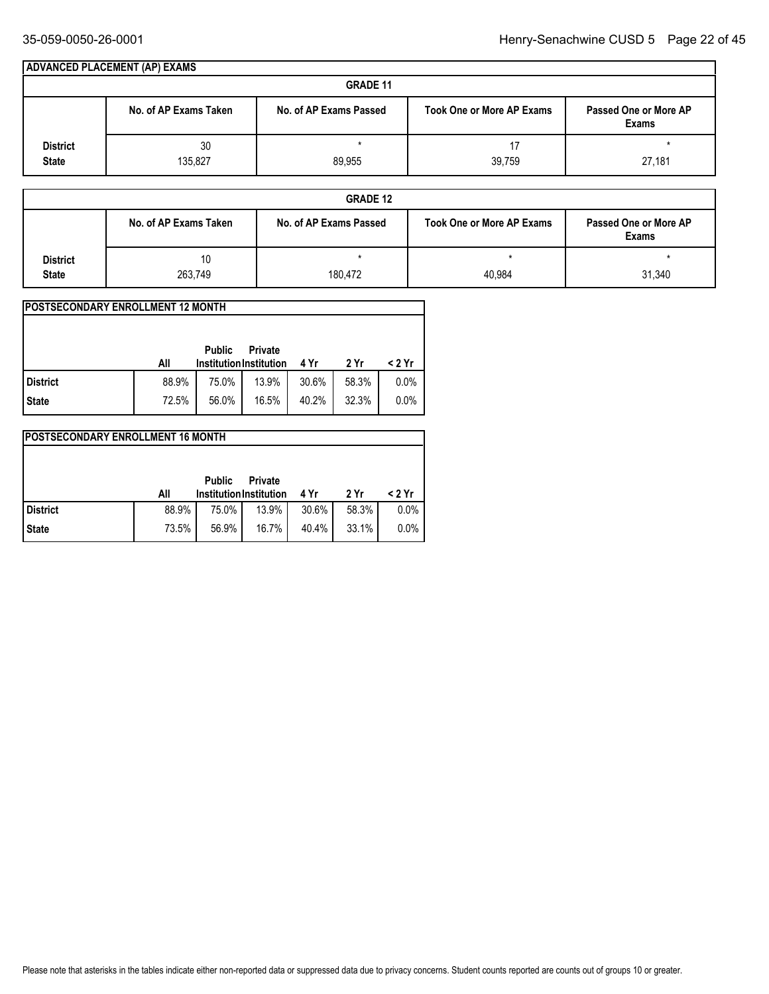|                                 | ADVANCED PLACEMENT (AP) EXAMS |                        |                                  |                                       |
|---------------------------------|-------------------------------|------------------------|----------------------------------|---------------------------------------|
|                                 |                               | <b>GRADE 11</b>        |                                  |                                       |
|                                 | No. of AP Exams Taken         | No. of AP Exams Passed | <b>Took One or More AP Exams</b> | Passed One or More AP<br><b>Exams</b> |
| <b>District</b><br><b>State</b> | 30<br>135,827                 | $\star$<br>89,955      | 39,759                           | 27,181                                |

|                 |                       | <b>GRADE 12</b>        |                                  |                                       |
|-----------------|-----------------------|------------------------|----------------------------------|---------------------------------------|
|                 | No. of AP Exams Taken | No. of AP Exams Passed | <b>Took One or More AP Exams</b> | Passed One or More AP<br><b>Exams</b> |
| <b>District</b> | 10                    |                        |                                  |                                       |
| <b>State</b>    | 263,749               | 180,472                | 40,984                           | 31,340                                |

| <b>IPOSTSECONDARY ENROLLMENT 12 MONTH</b> |       |                                                 |                |       |       |        |
|-------------------------------------------|-------|-------------------------------------------------|----------------|-------|-------|--------|
|                                           | All   | <b>Public</b><br><b>Institution Institution</b> | <b>Private</b> | 4 Yr  | 2 Yr  | < 2 Yr |
|                                           |       |                                                 |                |       |       |        |
| l District                                | 88.9% | 75.0%                                           | 13.9%          | 30.6% | 58.3% | 0.0%   |
| <b>State</b>                              | 72.5% | 56.0%                                           | 16.5%          | 40.2% | 32.3% | 0.0%   |

#### **POSTSECONDARY ENROLLMENT 16 MONTH All 4 Yr 2 Yr < 2 Yr Institution Institution Public Private State District** 73.5% 56.9% 16.7% 40.4% 33.1% 0.0% 88.9% 75.0% 13.9% 30.6% 58.3% 0.0%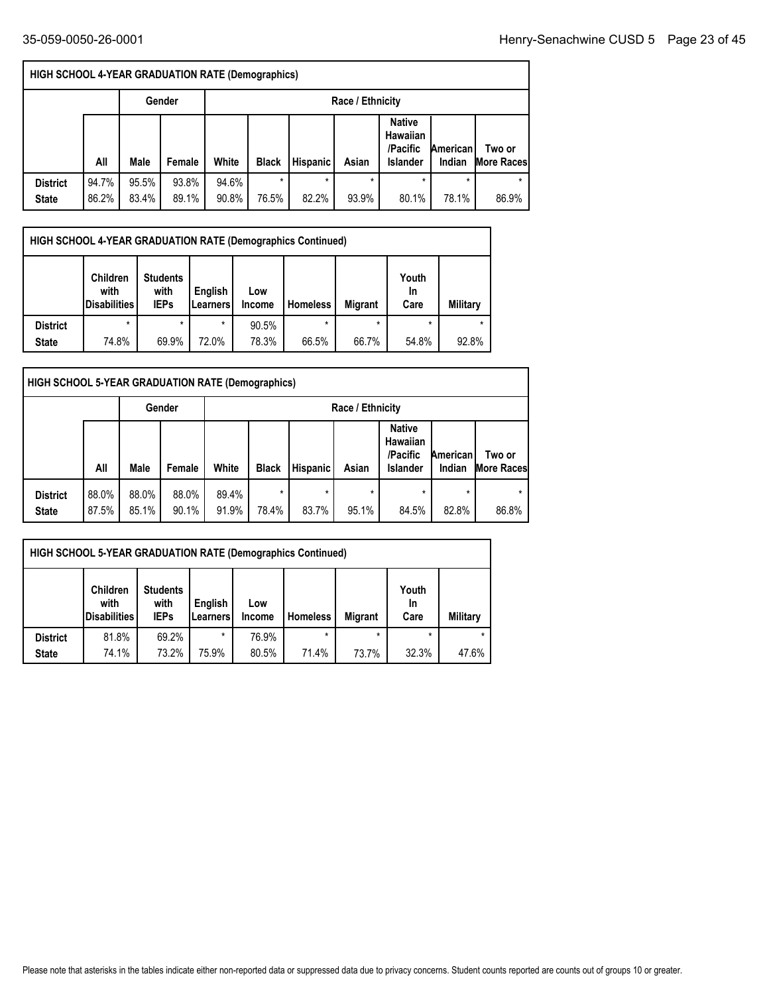| <b>HIGH SCHOOL 4-YEAR GRADUATION RATE (Demographics)</b> |                |                |                |                  |                  |                  |                  |                                                          |                    |                              |  |
|----------------------------------------------------------|----------------|----------------|----------------|------------------|------------------|------------------|------------------|----------------------------------------------------------|--------------------|------------------------------|--|
|                                                          |                |                | Gender         | Race / Ethnicity |                  |                  |                  |                                                          |                    |                              |  |
|                                                          | All            | Male           | Female         | White            | <b>Black</b>     | <b>Hispanic</b>  | Asian            | <b>Native</b><br>Hawaiian<br>/Pacific<br><b>Islander</b> | American<br>Indian | Two or<br><b>More Raceso</b> |  |
| <b>District</b><br><b>State</b>                          | 94.7%<br>86.2% | 95.5%<br>83.4% | 93.8%<br>89.1% | 94.6%<br>90.8%   | $\star$<br>76.5% | $\star$<br>82.2% | $\star$<br>93.9% | ÷<br>80.1%                                               | ÷<br>78.1%         | ÷<br>86.9%                   |  |

| HIGH SCHOOL 4-YEAR GRADUATION RATE (Demographics Continued) |                                                |                                        |                     |                      |                 |                |                     |                 |  |  |  |  |
|-------------------------------------------------------------|------------------------------------------------|----------------------------------------|---------------------|----------------------|-----------------|----------------|---------------------|-----------------|--|--|--|--|
|                                                             | <b>Children</b><br>with<br><b>Disabilities</b> | <b>Students</b><br>with<br><b>IEPs</b> | English<br>Learners | Low<br><b>Income</b> | <b>Homeless</b> | <b>Migrant</b> | Youth<br>In<br>Care | <b>Military</b> |  |  |  |  |
| <b>District</b>                                             | $\star$                                        | ÷                                      | $\star$             | 90.5%                | *               | $\star$        | $\star$             | $\star$         |  |  |  |  |
| <b>State</b>                                                | 74.8%                                          | 69.9%                                  | 72.0%               | 78.3%                | 66.5%           | 66.7%          | 54.8%               | 92.8%           |  |  |  |  |

| HIGH SCHOOL 5-YEAR GRADUATION RATE (Demographics) |                |                |                |                |                  |                 |                  |                                                          |                    |                             |  |
|---------------------------------------------------|----------------|----------------|----------------|----------------|------------------|-----------------|------------------|----------------------------------------------------------|--------------------|-----------------------------|--|
|                                                   |                |                | Gender         |                | Race / Ethnicity |                 |                  |                                                          |                    |                             |  |
|                                                   | All            | Male           | Female         | White          | <b>Black</b>     | <b>Hispanic</b> | Asian            | <b>Native</b><br>Hawaiian<br>/Pacific<br><b>Islander</b> | American<br>Indian | Two or<br><b>More Races</b> |  |
| <b>District</b><br><b>State</b>                   | 88.0%<br>87.5% | 88.0%<br>85.1% | 88.0%<br>90.1% | 89.4%<br>91.9% | $\star$<br>78.4% | *<br>83.7%      | $\star$<br>95.1% | 84.5%                                                    | $\star$<br>82.8%   | $\star$<br>86.8%            |  |

|                 | <b>HIGH SCHOOL 5-YEAR GRADUATION RATE (Demographics Continued)</b> |                                        |                     |                      |                 |                |                     |          |  |  |  |  |  |
|-----------------|--------------------------------------------------------------------|----------------------------------------|---------------------|----------------------|-----------------|----------------|---------------------|----------|--|--|--|--|--|
|                 | <b>Children</b><br>with<br><b>Disabilities</b>                     | <b>Students</b><br>with<br><b>IEPs</b> | English<br>Learners | Low<br><b>Income</b> | <b>Homeless</b> | <b>Migrant</b> | Youth<br>In<br>Care | Military |  |  |  |  |  |
| <b>District</b> | 81.8%                                                              | 69.2%                                  | $\star$             | 76.9%                |                 | $\star$        | $\star$             | $\star$  |  |  |  |  |  |
| <b>State</b>    | 74.1%                                                              | 73.2%                                  | 75.9%               | 80.5%                | 71.4%           | 73.7%          | 32.3%               | 47.6%    |  |  |  |  |  |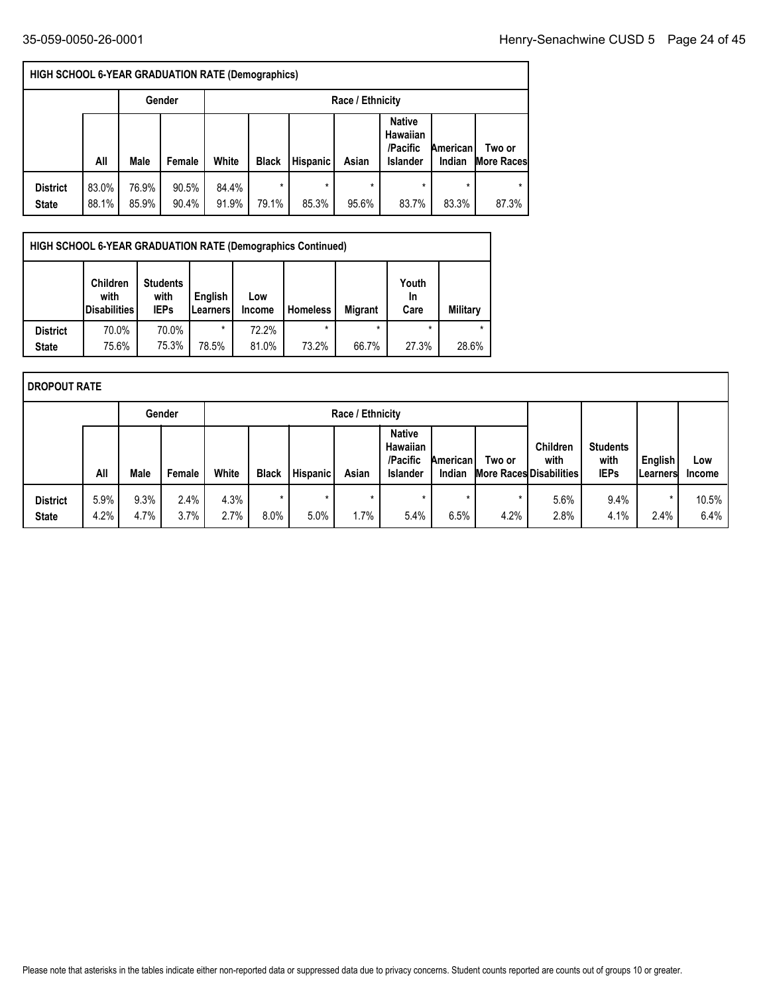| <b>HIGH SCHOOL 6-YEAR GRADUATION RATE (Demographics)</b> |                |                |                |                |                  |                  |                  |                                                          |                    |                             |  |
|----------------------------------------------------------|----------------|----------------|----------------|----------------|------------------|------------------|------------------|----------------------------------------------------------|--------------------|-----------------------------|--|
|                                                          |                |                | Gender         |                | Race / Ethnicity |                  |                  |                                                          |                    |                             |  |
|                                                          | All            | Male           | Female         | White          | <b>Black</b>     | <b>Hispanic</b>  | Asian            | <b>Native</b><br>Hawaiian<br>/Pacific<br><b>Islander</b> | American<br>Indian | Two or<br><b>More Races</b> |  |
| <b>District</b><br><b>State</b>                          | 83.0%<br>88.1% | 76.9%<br>85.9% | 90.5%<br>90.4% | 84.4%<br>91.9% | $\star$<br>79.1% | $\star$<br>85.3% | $\star$<br>95.6% | 83.7%                                                    | $\star$<br>83.3%   | 87.3%                       |  |

|                 | HIGH SCHOOL 6-YEAR GRADUATION RATE (Demographics Continued) |                                                 |                                        |                            |                      |                 |                |                     |          |  |  |  |  |
|-----------------|-------------------------------------------------------------|-------------------------------------------------|----------------------------------------|----------------------------|----------------------|-----------------|----------------|---------------------|----------|--|--|--|--|
|                 |                                                             | <b>Children</b><br>with<br><b>IDisabilities</b> | <b>Students</b><br>with<br><b>IEPs</b> | English<br><b>Learners</b> | Low<br><b>Income</b> | <b>Homeless</b> | <b>Migrant</b> | Youth<br>In<br>Care | Military |  |  |  |  |
| <b>District</b> |                                                             | 70.0%                                           | 70.0%                                  | $\star$                    | 72.2%                |                 |                | $\star$             | $\star$  |  |  |  |  |
| <b>State</b>    |                                                             | 75.6%                                           | 75.3%                                  | 78.5%                      | 81.0%                | 73.2%           | 66.7%          | 27.3%               | 28.6%    |  |  |  |  |

|                                 | I DROPOUT RATE |              |              |              |                 |                 |                 |                                                                 |                           |                 |                                                    |                                        |                             |                      |
|---------------------------------|----------------|--------------|--------------|--------------|-----------------|-----------------|-----------------|-----------------------------------------------------------------|---------------------------|-----------------|----------------------------------------------------|----------------------------------------|-----------------------------|----------------------|
| Gender<br>Race / Ethnicity      |                |              |              |              |                 |                 |                 |                                                                 |                           |                 |                                                    |                                        |                             |                      |
|                                 | All            | Male         | Female       | White        | <b>Black</b>    | <b>Hispanic</b> | Asian           | <b>Native</b><br><b>Hawaiian</b><br>/Pacific<br><b>Islander</b> | <b>American</b><br>Indian | Two or          | Children<br>with<br><b>More Races Disabilities</b> | <b>Students</b><br>with<br><b>IEPs</b> | English<br><b>ILearners</b> | Low<br><b>Income</b> |
| <b>District</b><br><b>State</b> | 5.9%<br>4.2%   | 9.3%<br>4.7% | 2.4%<br>3.7% | 4.3%<br>2.7% | $\star$<br>8.0% | $\star$<br>5.0% | $\star$<br>1.7% | $\star$<br>5.4%                                                 | $\star$<br>6.5%           | $\star$<br>4.2% | 5.6%<br>2.8%                                       | 9.4%<br>4.1%                           | $\star$<br>2.4%             | 10.5%<br>$6.4\%$     |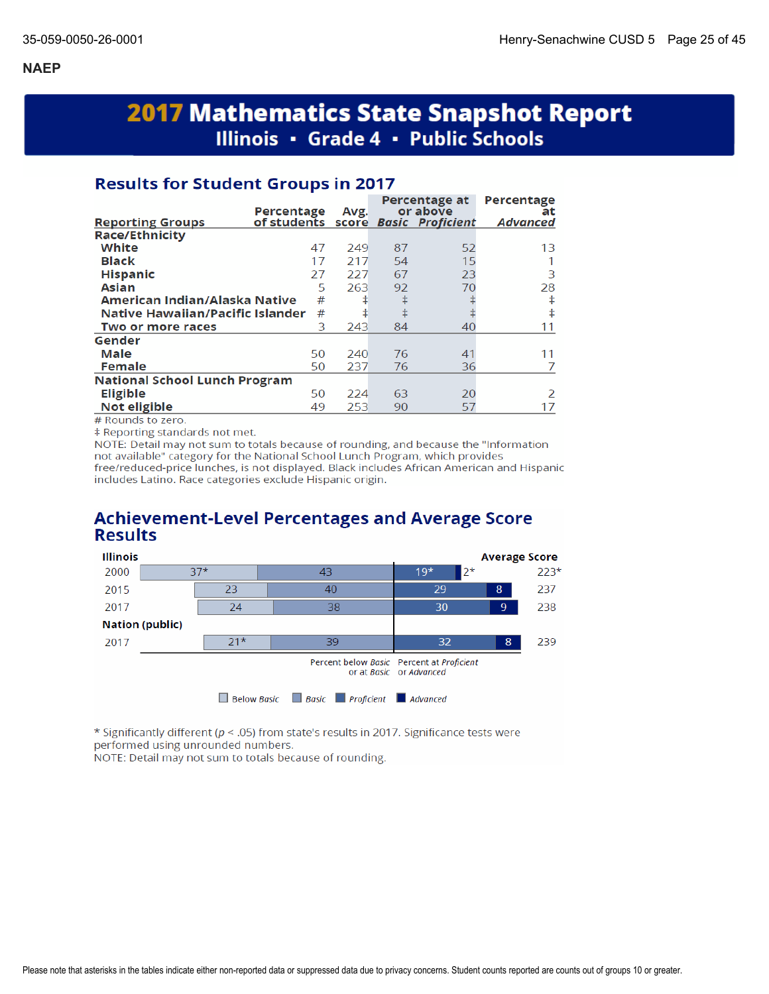# **2017 Mathematics State Snapshot Report** Illinois • Grade 4 • Public Schools

## **Results for Student Groups in 2017**

|                                      | Percentage                         | Avg. |    | Percentage at<br>or above | Percentage<br>at |
|--------------------------------------|------------------------------------|------|----|---------------------------|------------------|
| <b>Reporting Groups</b>              | of students score Basic Proficient |      |    |                           | <b>Advanced</b>  |
| <b>Race/Ethnicity</b>                |                                    |      |    |                           |                  |
| White                                | 47                                 | 249  | 87 | 52                        | 13               |
| <b>Black</b>                         | 17                                 | 217  | 54 | 15                        |                  |
| <b>Hispanic</b>                      | 27                                 | 227  | 67 | 23                        | 3                |
| <b>Asian</b>                         | 5                                  | 263  | 92 | 70                        | 28               |
| American Indian/Alaska Native        | #                                  | ŧ    | ŧ  |                           | ŧ                |
| Native Hawaiian/Pacific Islander     | #                                  | ŧ    | ŧ  |                           | ŧ                |
| Two or more races                    | 3                                  | 243  | 84 | 40                        | 11               |
| Gender                               |                                    |      |    |                           |                  |
| Male                                 | 50                                 | 240  | 76 | 41                        | 11               |
| <b>Female</b>                        | 50                                 | 237  | 76 | 36                        |                  |
| <b>National School Lunch Program</b> |                                    |      |    |                           |                  |
| <b>Eligible</b>                      | 50                                 | 224  | 63 | 20                        | $\mathcal{P}$    |
| Not eligible                         | 49                                 | 253  | 90 | 57                        | 17               |

# Rounds to zero.

‡ Reporting standards not met.

NOTE: Detail may not sum to totals because of rounding, and because the "Information not available" category for the National School Lunch Program, which provides free/reduced-price lunches, is not displayed. Black includes African American and Hispanic includes Latino. Race categories exclude Hispanic origin.

## **Achievement-Level Percentages and Average Score Results**



\* Significantly different (p < .05) from state's results in 2017. Significance tests were performed using unrounded numbers.

NOTE: Detail may not sum to totals because of rounding.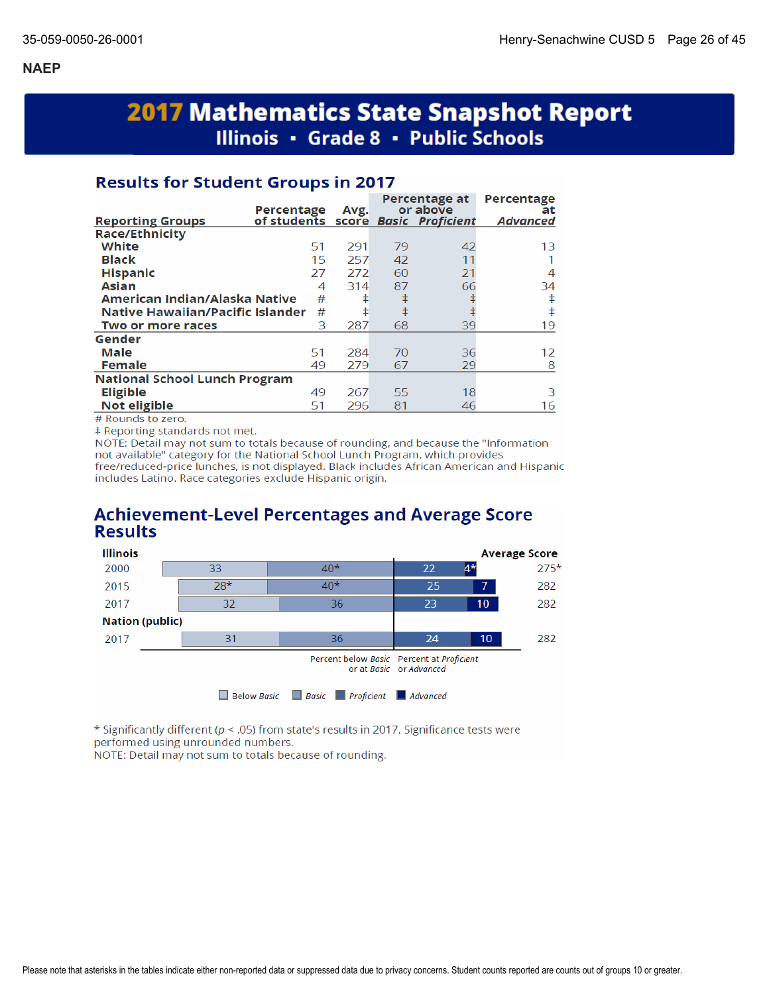# **2017 Mathematics State Snapshot Report** Illinois · Grade 8 · Public Schools

## **Results for Student Groups in 2017**

| of students score Basic Proficient<br><b>Advanced</b><br><b>Reporting Groups</b><br><b>Race/Ethnicity</b><br>White<br>42<br>51<br>291<br>79<br>13<br><b>Black</b><br>15<br>257<br>42<br>11<br><b>Hispanic</b><br>21<br>27<br>272<br>60<br>4<br>66<br><b>Asian</b><br>314<br>87<br>4<br>34<br>ŧ<br>American Indian/Alaska Native<br>#<br>ŧ<br>ŧ<br>ŧ<br>ŧ<br>Native Hawaiian/Pacific Islander<br>#<br>ŧ<br>3<br>287<br>68<br>39<br>19<br>Two or more races<br>Gender<br>Male<br>51<br>284<br>36<br>70<br>12<br><b>Female</b><br>29<br>49<br>279<br>67<br>8<br><b>National School Lunch Program</b><br><b>Eligible</b><br>18<br>49<br>267<br>55<br>З<br>Not eligible<br>296<br>81<br>51<br>16<br>46 | Percentage | Avg. | Percentage at<br>or above | Percentage<br>at |
|---------------------------------------------------------------------------------------------------------------------------------------------------------------------------------------------------------------------------------------------------------------------------------------------------------------------------------------------------------------------------------------------------------------------------------------------------------------------------------------------------------------------------------------------------------------------------------------------------------------------------------------------------------------------------------------------------|------------|------|---------------------------|------------------|
|                                                                                                                                                                                                                                                                                                                                                                                                                                                                                                                                                                                                                                                                                                   |            |      |                           |                  |
|                                                                                                                                                                                                                                                                                                                                                                                                                                                                                                                                                                                                                                                                                                   |            |      |                           |                  |
|                                                                                                                                                                                                                                                                                                                                                                                                                                                                                                                                                                                                                                                                                                   |            |      |                           |                  |
|                                                                                                                                                                                                                                                                                                                                                                                                                                                                                                                                                                                                                                                                                                   |            |      |                           |                  |
|                                                                                                                                                                                                                                                                                                                                                                                                                                                                                                                                                                                                                                                                                                   |            |      |                           |                  |
|                                                                                                                                                                                                                                                                                                                                                                                                                                                                                                                                                                                                                                                                                                   |            |      |                           |                  |
|                                                                                                                                                                                                                                                                                                                                                                                                                                                                                                                                                                                                                                                                                                   |            |      |                           |                  |
|                                                                                                                                                                                                                                                                                                                                                                                                                                                                                                                                                                                                                                                                                                   |            |      |                           |                  |
|                                                                                                                                                                                                                                                                                                                                                                                                                                                                                                                                                                                                                                                                                                   |            |      |                           |                  |
|                                                                                                                                                                                                                                                                                                                                                                                                                                                                                                                                                                                                                                                                                                   |            |      |                           |                  |
|                                                                                                                                                                                                                                                                                                                                                                                                                                                                                                                                                                                                                                                                                                   |            |      |                           |                  |
|                                                                                                                                                                                                                                                                                                                                                                                                                                                                                                                                                                                                                                                                                                   |            |      |                           |                  |
|                                                                                                                                                                                                                                                                                                                                                                                                                                                                                                                                                                                                                                                                                                   |            |      |                           |                  |
|                                                                                                                                                                                                                                                                                                                                                                                                                                                                                                                                                                                                                                                                                                   |            |      |                           |                  |
|                                                                                                                                                                                                                                                                                                                                                                                                                                                                                                                                                                                                                                                                                                   |            |      |                           |                  |

# Rounds to zero.

# Reporting standards not met.

NOTE: Detail may not sum to totals because of rounding, and because the "Information not available" category for the National School Lunch Program, which provides free/reduced-price lunches, is not displayed. Black includes African American and Hispanic includes Latino. Race categories exclude Hispanic origin.

## **Achievement-Level Percentages and Average Score Results**



\* Significantly different ( $p < .05$ ) from state's results in 2017. Significance tests were performed using unrounded numbers.

NOTE: Detail may not sum to totals because of rounding.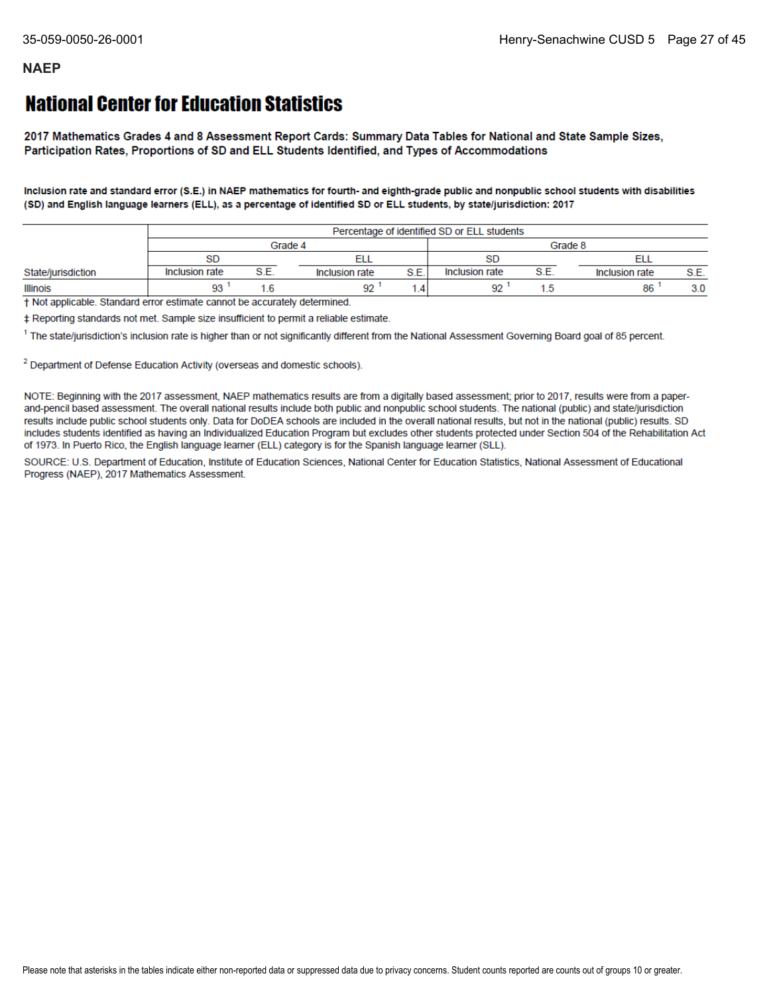# **National Center for Education Statistics**

2017 Mathematics Grades 4 and 8 Assessment Report Cards: Summary Data Tables for National and State Sample Sizes, Participation Rates, Proportions of SD and ELL Students Identified, and Types of Accommodations

Inclusion rate and standard error (S.E.) in NAEP mathematics for fourth- and eighth-grade public and nonpublic school students with disabilities (SD) and English language learners (ELL), as a percentage of identified SD or ELL students, by state/jurisdiction: 2017

|                    |                |    |                |      | Percentage of identified SD or ELL students |     |                |      |
|--------------------|----------------|----|----------------|------|---------------------------------------------|-----|----------------|------|
|                    |                |    | Grade 4        |      |                                             |     | Grade 8        |      |
|                    | <b>SD</b>      |    |                |      |                                             |     |                |      |
| State/jurisdiction | Inclusion rate | ੨⊏ | Inclusion rate | S.E. | Inclusion rate                              | S F | Inclusion rate | S.E. |
| <b>Illinois</b>    | ۵٩             |    | 92             |      | Q9                                          |     | 86             | 3.0  |

+ Not applicable. Standard error estimate cannot be accurately determined.

‡ Reporting standards not met. Sample size insufficient to permit a reliable estimate.

<sup>1</sup> The state/jurisdiction's inclusion rate is higher than or not significantly different from the National Assessment Governing Board goal of 85 percent.

<sup>2</sup> Department of Defense Education Activity (overseas and domestic schools).

NOTE: Beginning with the 2017 assessment, NAEP mathematics results are from a digitally based assessment; prior to 2017, results were from a paperand-pencil based assessment. The overall national results include both public and nonpublic school students. The national (public) and state/jurisdiction results include public school students only. Data for DoDEA schools are included in the overall national results, but not in the national (public) results. SD includes students identified as having an Individualized Education Program but excludes other students protected under Section 504 of the Rehabilitation Act of 1973. In Puerto Rico, the English language learner (ELL) category is for the Spanish language learner (SLL).

SOURCE: U.S. Department of Education, Institute of Education Sciences, National Center for Education Statistics, National Assessment of Educational Progress (NAEP), 2017 Mathematics Assessment.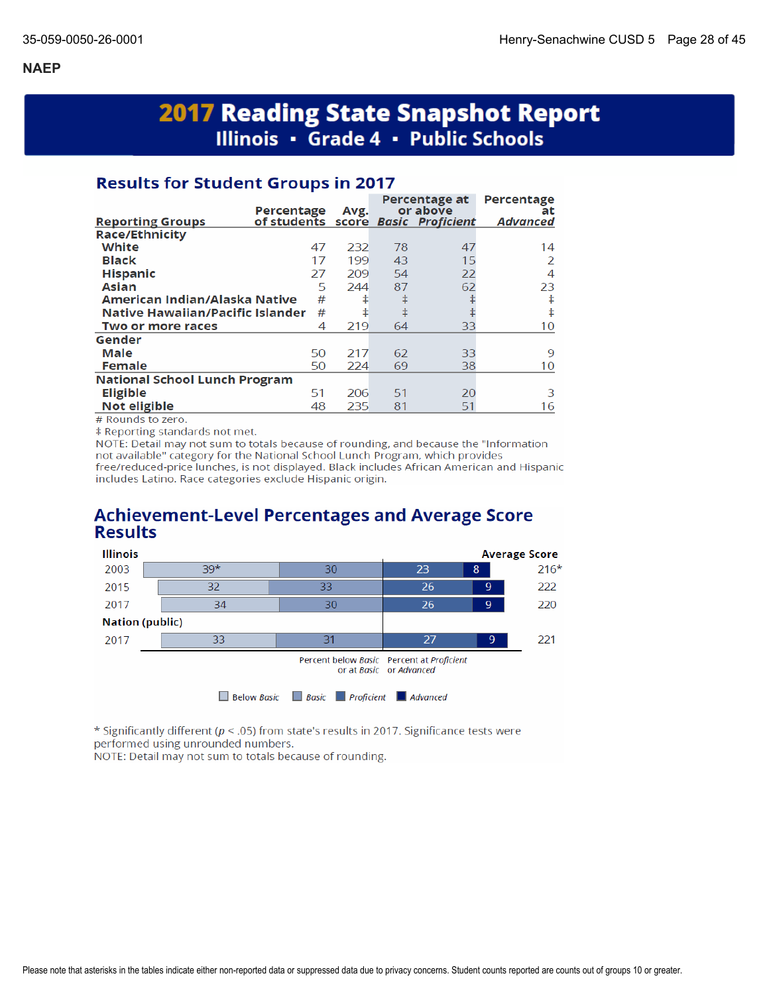# **2017 Reading State Snapshot Report** Illinois · Grade 4 · Public Schools

## **Results for Student Groups in 2017**

|                                      | Percentage                         | Avg. |    | Percentage at<br>or above | Percentage<br>at |
|--------------------------------------|------------------------------------|------|----|---------------------------|------------------|
| <b>Reporting Groups</b>              | of students score Basic Proficient |      |    |                           | <b>Advanced</b>  |
| <b>Race/Ethnicity</b>                |                                    |      |    |                           |                  |
| White                                | 47                                 | 232  | 78 | 47                        | 14               |
| <b>Black</b>                         | 17                                 | 199  | 43 | 15                        | 2                |
| <b>Hispanic</b>                      | 27                                 | 209  | 54 | 22                        | 4                |
| <b>Asian</b>                         | 5                                  | 244  | 87 | 62                        | 23               |
| American Indian/Alaska Native        | #                                  | ŧ    | ŧ  |                           | ŧ                |
| Native Hawaiian/Pacific Islander     | #                                  | ŧ    | ŧ  |                           | ŧ                |
| Two or more races                    | 4                                  | 219  | 64 | 33                        | 10               |
| Gender                               |                                    |      |    |                           |                  |
| Male                                 | 50                                 | 217  | 62 | 33                        | 9                |
| <b>Female</b>                        | 50                                 | 224  | 69 | 38                        | 10               |
| <b>National School Lunch Program</b> |                                    |      |    |                           |                  |
| <b>Eligible</b>                      | 51                                 | 206  | 51 | 20                        | 3                |
| Not eligible                         | 48                                 | 235  | 81 | 51                        | 16               |

# Rounds to zero.

‡ Reporting standards not met.

NOTE: Detail may not sum to totals because of rounding, and because the "Information not available" category for the National School Lunch Program, which provides free/reduced-price lunches, is not displayed. Black includes African American and Hispanic includes Latino. Race categories exclude Hispanic origin.

## **Achievement-Level Percentages and Average Score Results**



\* Significantly different ( $p < .05$ ) from state's results in 2017. Significance tests were performed using unrounded numbers.

NOTE: Detail may not sum to totals because of rounding.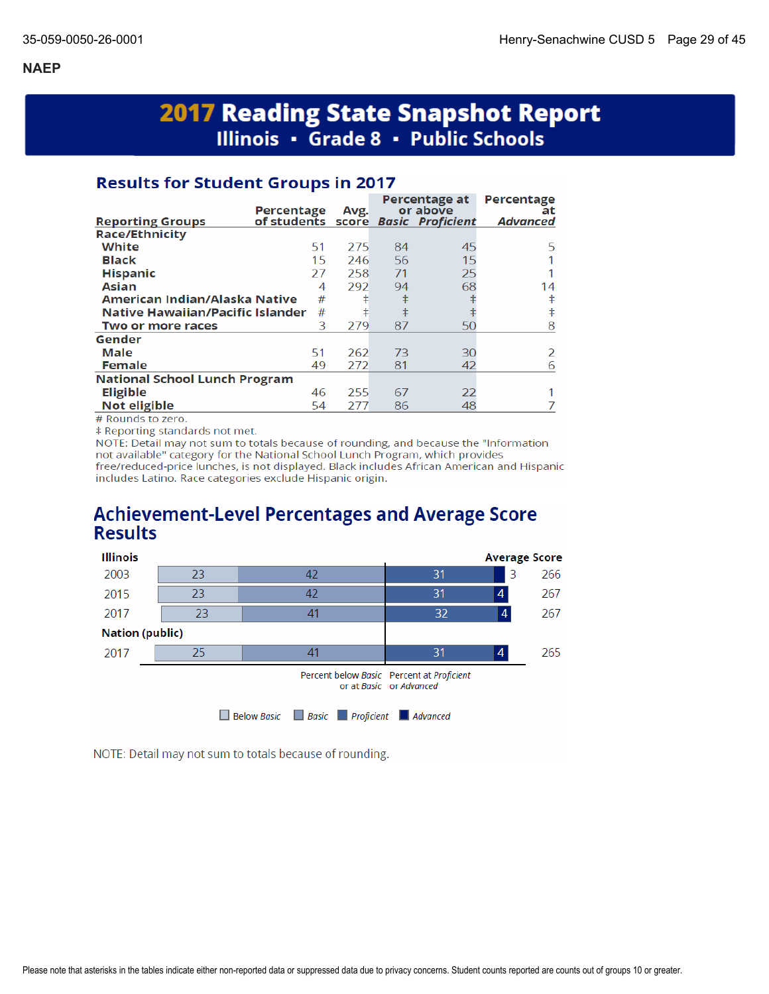# **2017 Reading State Snapshot Report** Illinois • Grade 8 • Public Schools

## **Results for Student Groups in 2017**

| or above<br>Percentage<br>Avg.                                                   | at            |
|----------------------------------------------------------------------------------|---------------|
| of students score Basic Proficient<br><b>Advanced</b><br><b>Reporting Groups</b> |               |
| <b>Race/Ethnicity</b>                                                            |               |
| White<br>51<br>275<br>45<br>84                                                   | 5             |
| <b>Black</b><br>15<br>56<br>15<br>246                                            |               |
| <b>Hispanic</b><br>258<br>71<br>25<br>27                                         |               |
| 292<br>68<br><b>Asian</b><br>94<br>4                                             | 14            |
| ŧ<br>American Indian/Alaska Native<br>#<br>ŧ                                     | ŧ             |
| $\ddagger$<br>Native Hawaiian/Pacific Islander<br>#<br>ŧ                         | ŧ             |
| 3<br>279<br>87<br>50<br>Two or more races                                        | 8             |
| Gender                                                                           |               |
| Male<br>51<br>73<br>262<br>30                                                    | $\mathcal{P}$ |
| <b>Female</b><br>42<br>49<br>272<br>81                                           | 6             |
| <b>National School Lunch Program</b>                                             |               |
| <b>Eligible</b><br>255<br>22<br>46<br>67                                         |               |
| Not eligible<br>48<br>54<br>277<br>86                                            |               |

# Rounds to zero.

‡ Reporting standards not met.

NOTE: Detail may not sum to totals because of rounding, and because the "Information not available" category for the National School Lunch Program, which provides free/reduced-price lunches, is not displayed. Black includes African American and Hispanic includes Latino. Race categories exclude Hispanic origin.

# **Achievement-Level Percentages and Average Score Results**



NOTE: Detail may not sum to totals because of rounding.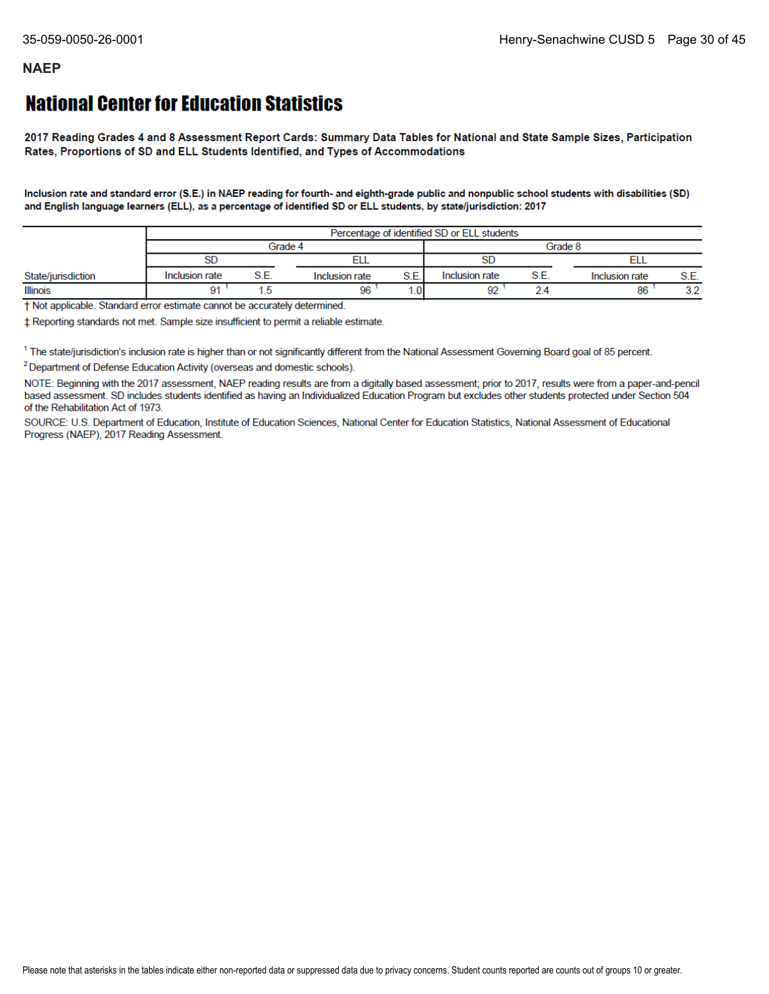# **National Center for Education Statistics**

2017 Reading Grades 4 and 8 Assessment Report Cards: Summary Data Tables for National and State Sample Sizes, Participation Rates, Proportions of SD and ELL Students Identified, and Types of Accommodations

Inclusion rate and standard error (S.E.) in NAEP reading for fourth- and eighth-grade public and nonpublic school students with disabilities (SD) and English language learners (ELL), as a percentage of identified SD or ELL students, by state/jurisdiction: 2017

|                    | Percentage of identified SD or ELL students |  |                |                 |                |      |                |           |  |
|--------------------|---------------------------------------------|--|----------------|-----------------|----------------|------|----------------|-----------|--|
|                    | Grade 4                                     |  |                |                 | Grade 8        |      |                |           |  |
|                    | SD                                          |  |                |                 |                |      |                |           |  |
| State/jurisdiction | Inclusion rate                              |  | Inclusion rate | S.E.            | Inclusion rate | S.E. | Inclusion rate | S.E.      |  |
| <b>Illinois</b>    |                                             |  | 96             | .0 <sub>1</sub> | $\sim$         |      | 86             | າາ<br>J.Z |  |

† Not applicable. Standard error estimate cannot be accurately determined.

± Reporting standards not met. Sample size insufficient to permit a reliable estimate.

<sup>1</sup> The state/jurisdiction's inclusion rate is higher than or not significantly different from the National Assessment Governing Board goal of 85 percent.

<sup>2</sup> Department of Defense Education Activity (overseas and domestic schools).

NOTE: Beginning with the 2017 assessment, NAEP reading results are from a digitally based assessment; prior to 2017, results were from a paper-and-pencil based assessment. SD includes students identified as having an Individualized Education Program but excludes other students protected under Section 504 of the Rehabilitation Act of 1973.

SOURCE: U.S. Department of Education, Institute of Education Sciences, National Center for Education Statistics, National Assessment of Educational Progress (NAEP), 2017 Reading Assessment.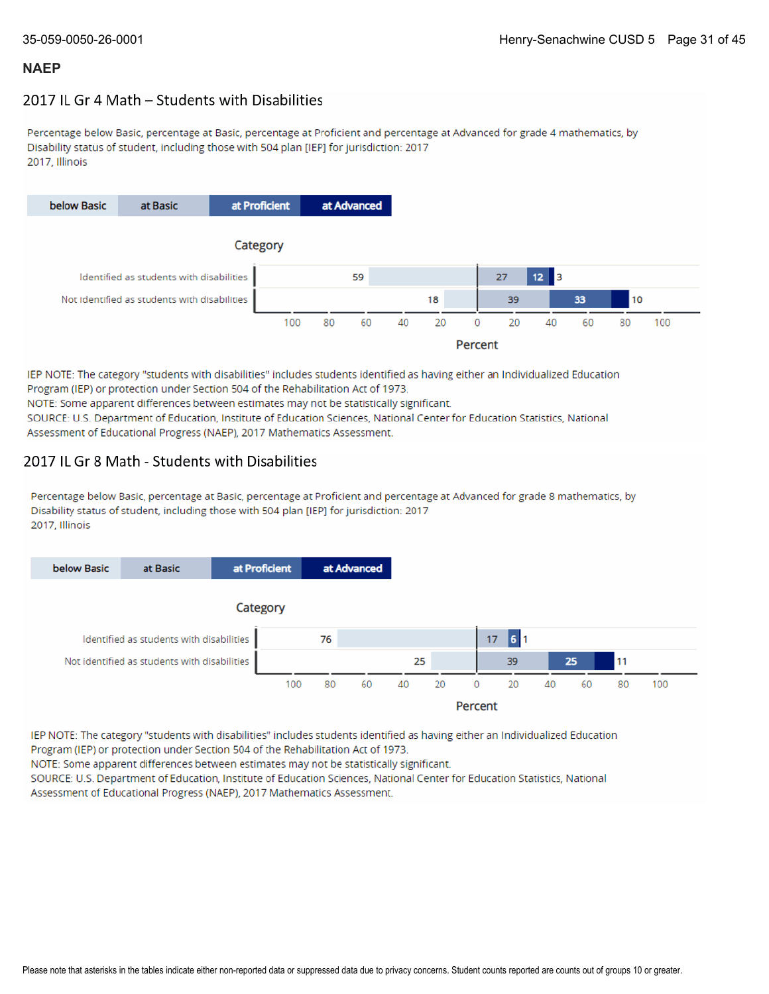## 2017 IL Gr 4 Math - Students with Disabilities

Percentage below Basic, percentage at Basic, percentage at Proficient and percentage at Advanced for grade 4 mathematics, by Disability status of student, including those with 504 plan [IEP] for jurisdiction: 2017 2017. Illinois



IEP NOTE: The category "students with disabilities" includes students identified as having either an Individualized Education Program (IEP) or protection under Section 504 of the Rehabilitation Act of 1973. NOTE: Some apparent differences between estimates may not be statistically significant.

SOURCE: U.S. Department of Education, Institute of Education Sciences, National Center for Education Statistics, National Assessment of Educational Progress (NAEP), 2017 Mathematics Assessment.

### 2017 IL Gr 8 Math - Students with Disabilities

Percentage below Basic, percentage at Basic, percentage at Proficient and percentage at Advanced for grade 8 mathematics, by Disability status of student, including those with 504 plan [IEP] for jurisdiction: 2017 2017, Illinois



IEP NOTE: The category "students with disabilities" includes students identified as having either an Individualized Education Program (IEP) or protection under Section 504 of the Rehabilitation Act of 1973.

NOTE: Some apparent differences between estimates may not be statistically significant.

SOURCE: U.S. Department of Education, Institute of Education Sciences, National Center for Education Statistics, National Assessment of Educational Progress (NAEP), 2017 Mathematics Assessment.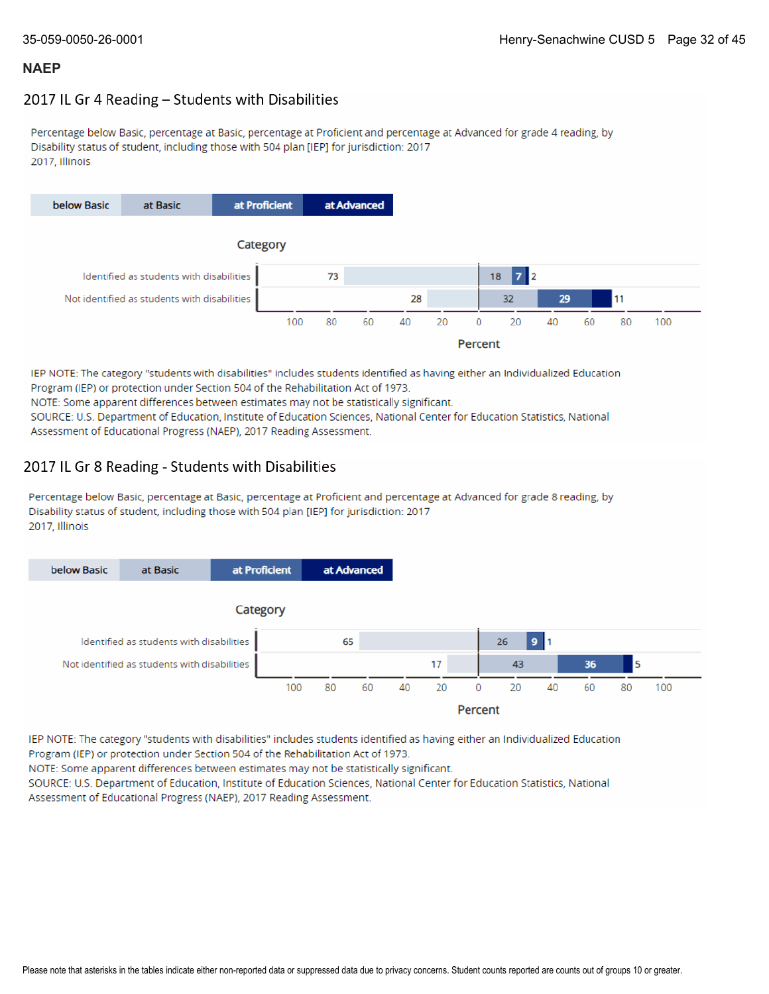## 2017 IL Gr 4 Reading - Students with Disabilities

Percentage below Basic, percentage at Basic, percentage at Proficient and percentage at Advanced for grade 4 reading, by Disability status of student, including those with 504 plan [IEP] for jurisdiction: 2017 2017, Illinois



IEP NOTE: The category "students with disabilities" includes students identified as having either an Individualized Education Program (IEP) or protection under Section 504 of the Rehabilitation Act of 1973. NOTE: Some apparent differences between estimates may not be statistically significant. SOURCE: U.S. Department of Education, Institute of Education Sciences, National Center for Education Statistics, National Assessment of Educational Progress (NAEP), 2017 Reading Assessment.

## 2017 IL Gr 8 Reading - Students with Disabilities

Percentage below Basic, percentage at Basic, percentage at Proficient and percentage at Advanced for grade 8 reading, by Disability status of student, including those with 504 plan [IEP] for jurisdiction: 2017 2017, Illinois



IEP NOTE: The category "students with disabilities" includes students identified as having either an Individualized Education Program (IEP) or protection under Section 504 of the Rehabilitation Act of 1973.

NOTE: Some apparent differences between estimates may not be statistically significant.

SOURCE: U.S. Department of Education, Institute of Education Sciences, National Center for Education Statistics, National Assessment of Educational Progress (NAEP), 2017 Reading Assessment.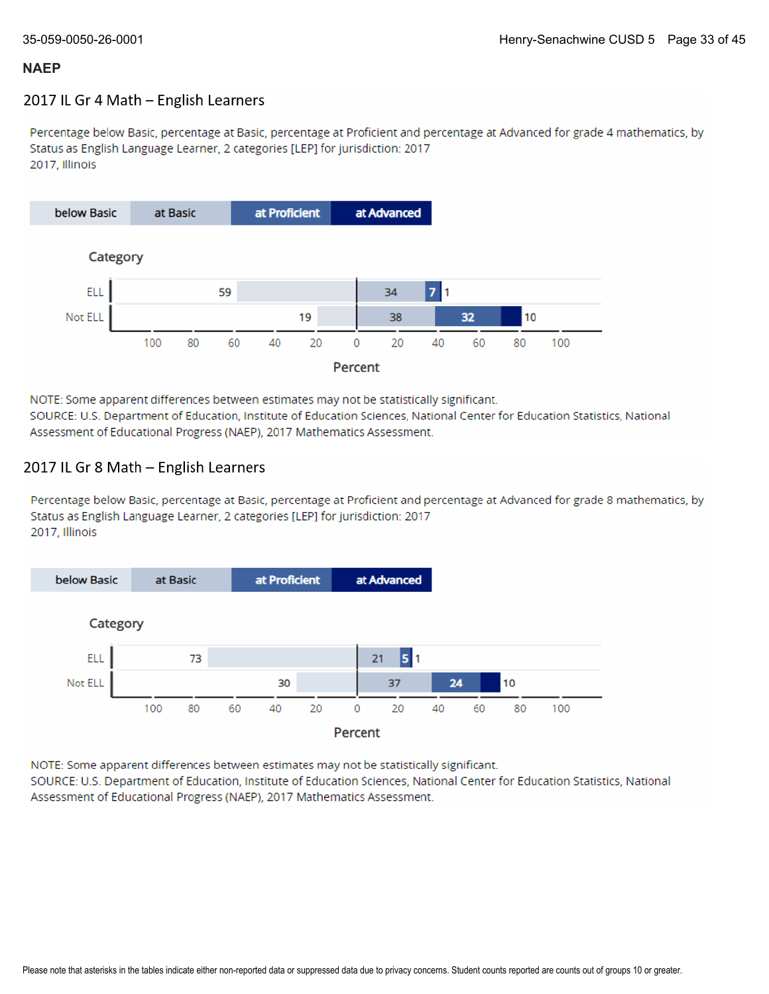## 2017 IL Gr 4 Math - English Learners

Percentage below Basic, percentage at Basic, percentage at Proficient and percentage at Advanced for grade 4 mathematics, by Status as English Language Learner, 2 categories [LEP] for jurisdiction: 2017 2017, Illinois



NOTE: Some apparent differences between estimates may not be statistically significant. SOURCE: U.S. Department of Education, Institute of Education Sciences, National Center for Education Statistics, National Assessment of Educational Progress (NAEP), 2017 Mathematics Assessment.

## 2017 IL Gr 8 Math - English Learners

Percentage below Basic, percentage at Basic, percentage at Proficient and percentage at Advanced for grade 8 mathematics, by Status as English Language Learner, 2 categories [LEP] for jurisdiction: 2017 2017, Illinois



NOTE: Some apparent differences between estimates may not be statistically significant.

SOURCE: U.S. Department of Education, Institute of Education Sciences, National Center for Education Statistics, National Assessment of Educational Progress (NAEP), 2017 Mathematics Assessment.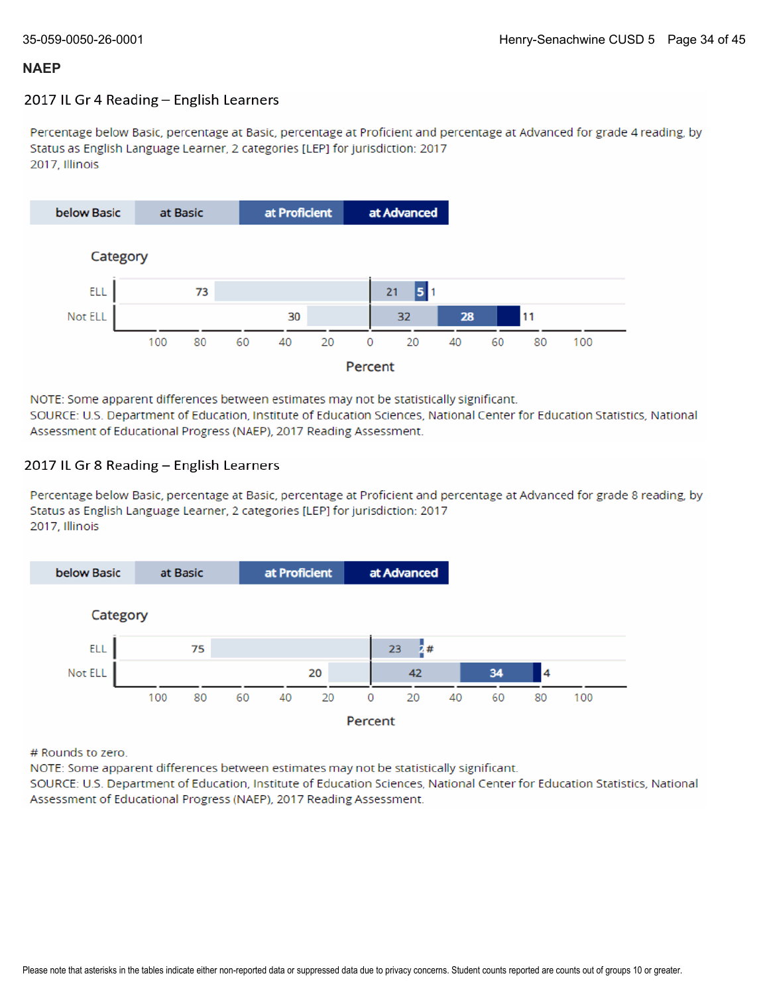### 2017 IL Gr 4 Reading - English Learners

Percentage below Basic, percentage at Basic, percentage at Proficient and percentage at Advanced for grade 4 reading, by Status as English Language Learner, 2 categories [LEP] for jurisdiction: 2017 2017, Illinois



NOTE: Some apparent differences between estimates may not be statistically significant. SOURCE: U.S. Department of Education, Institute of Education Sciences, National Center for Education Statistics, National Assessment of Educational Progress (NAEP), 2017 Reading Assessment.

### 2017 IL Gr 8 Reading - English Learners

Percentage below Basic, percentage at Basic, percentage at Proficient and percentage at Advanced for grade 8 reading, by Status as English Language Learner, 2 categories [LEP] for jurisdiction: 2017 2017, Illinois



# Rounds to zero.

NOTE: Some apparent differences between estimates may not be statistically significant.

SOURCE: U.S. Department of Education, Institute of Education Sciences, National Center for Education Statistics, National Assessment of Educational Progress (NAEP), 2017 Reading Assessment.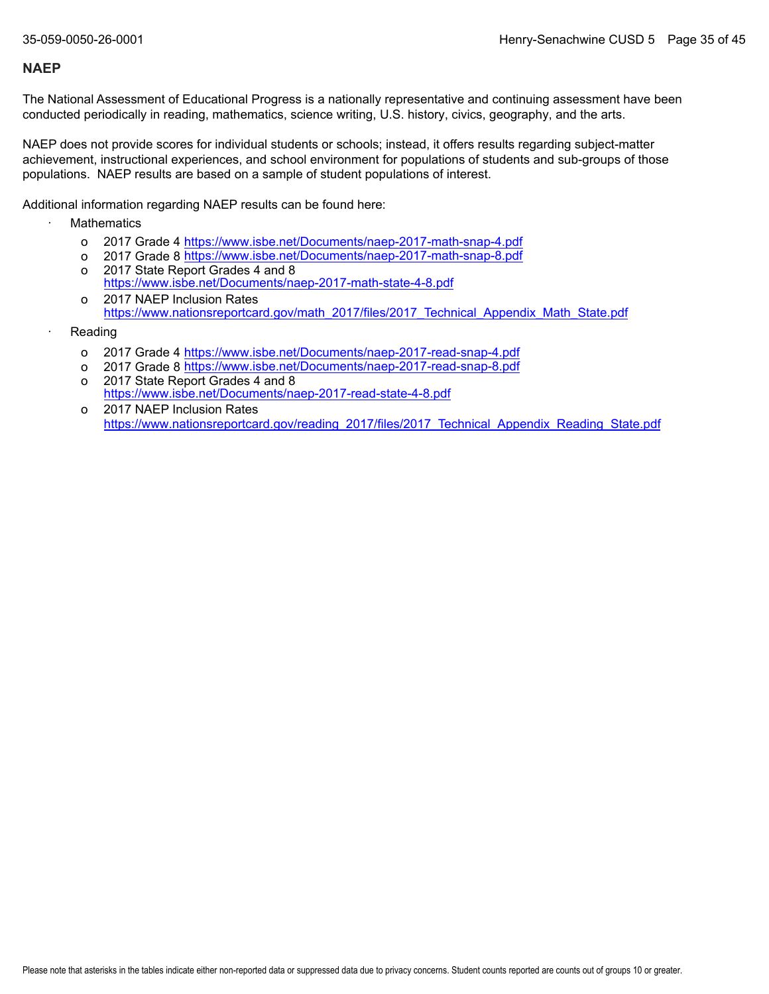The National Assessment of Educational Progress is a nationally representative and continuing assessment have been conducted periodically in reading, mathematics, science writing, U.S. history, civics, geography, and the arts.

NAEP does not provide scores for individual students or schools; instead, it offers results regarding subject-matter achievement, instructional experiences, and school environment for populations of students and sub-groups of those populations. NAEP results are based on a sample of student populations of interest.

Additional information regarding NAEP results can be found here:

- **Mathematics** 
	- o 2017 Grade 4 <u><https://www.isbe.net/Documents/naep-2017-math-snap-4.pdf></u>
	- o 2017 Grade 8 <u><https://www.isbe.net/Documents/naep-2017-math-snap-8.pdf></u>
	- o 2017 State Report Grades 4 and 8 <https://www.isbe.net/Documents/naep-2017-math-state-4-8.pdf>
	- o 2017 NAEP Inclusion Rates [https://www.nationsreportcard.gov/math\\_2017/files/2017\\_Technical\\_Appendix\\_Math\\_State.pdf](https://www.nationsreportcard.gov/math_2017/files/2017_Technical_Appendix_Math_State.pdf)
- **Reading** 
	- o 2017 Grade 4 <u><https://www.isbe.net/Documents/naep-2017-read-snap-4.pdf></u>
	- o 2017 Grade 8 <u><https://www.isbe.net/Documents/naep-2017-read-snap-8.pdf></u>
	- o 2017 State Report Grades 4 and 8 <https://www.isbe.net/Documents/naep-2017-read-state-4-8.pdf>
	- o 2017 NAEP Inclusion Rates [https://www.nationsreportcard.gov/reading\\_2017/files/2017\\_Technical\\_Appendix\\_Reading\\_State.pdf](https://www.nationsreportcard.gov/reading_2017/files/2017_Technical_Appendix_Reading_State.pdf)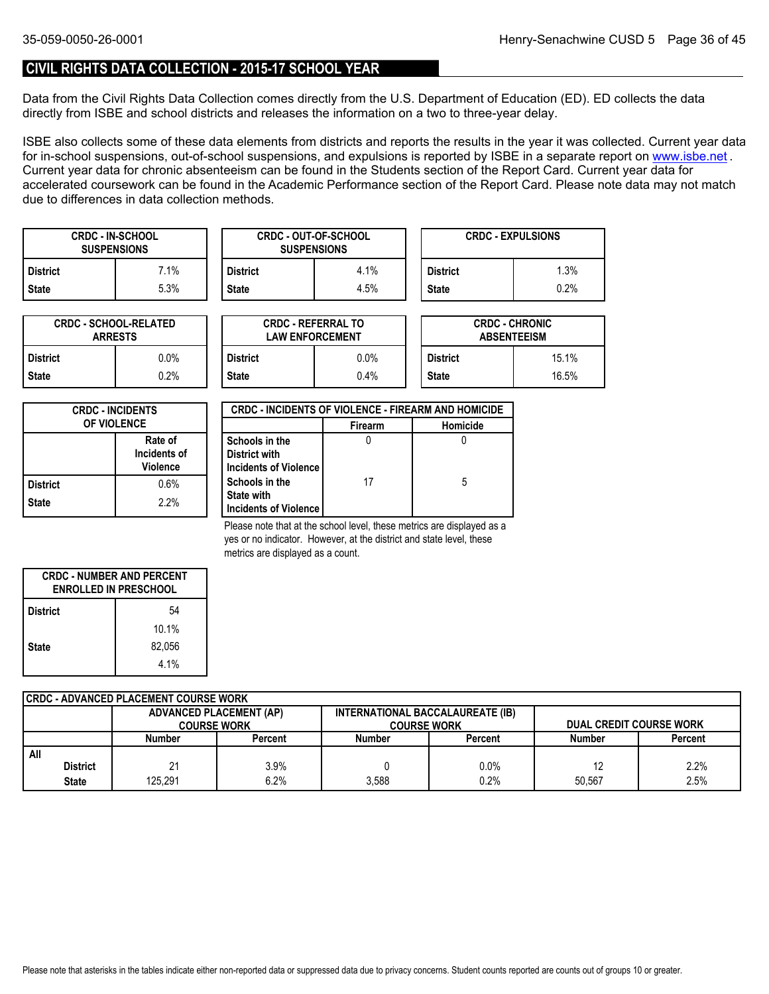## **CIVIL RIGHTS DATA COLLECTION - 2015-17 SCHOOL YEAR**

Data from the Civil Rights Data Collection comes directly from the U.S. Department of Education (ED). ED collects the data directly from ISBE and school districts and releases the information on a two to three-year delay.

ISBE also collects some of these data elements from districts and reports the results in the year it was collected. Current year data forin-school suspensions, out-of-school suspensions, and expulsions is reported by ISBE in a separate report on <u>www.isbe.net</u> . Current year data for chronic absenteeism can be found in the Students section of the Report Card. Current year data for accelerated coursework can be found in the Academic Performance section of the Report Card. Please note data may not match due to differences in data collection methods.

| <b>CRDC - IN-SCHOOL</b><br><b>SUSPENSIONS</b> |      |                 | <b>CRDC - OUT-OF-SCHOOL</b><br><b>SUSPENSIONS</b> | <b>CRDC - EXPULSIONS</b> |      |  |
|-----------------------------------------------|------|-----------------|---------------------------------------------------|--------------------------|------|--|
| <b>District</b>                               | 7.1% | <b>District</b> | 4.1%                                              | <b>District</b>          | .3%  |  |
| <b>State</b>                                  | 5.3% | <b>State</b>    | 4.5%                                              | <b>State</b>             | 0.2% |  |

| <b>CRDC - SCHOOL-RELATED</b><br><b>ARRESTS</b> |         |  |  |  |
|------------------------------------------------|---------|--|--|--|
| <b>District</b>                                | $0.0\%$ |  |  |  |
| <b>State</b>                                   | 0.2%    |  |  |  |

| TED     |                 | <b>CRDC - REFERRAL TO</b><br><b>LAW ENFORCEMENT</b> | <b>CRDC - CHRONIC</b><br><b>ABSENTEEISM</b> |       |  |
|---------|-----------------|-----------------------------------------------------|---------------------------------------------|-------|--|
| 0.0%    | <b>District</b> | $0.0\%$                                             | <b>District</b>                             | 15.1% |  |
| $0.2\%$ | <b>State</b>    | 0.4%                                                | <b>State</b>                                | 16.5% |  |

| <b>CRDC - INCIDENTS</b><br><b>OF VIOLENCE</b> |      |  |  |  |
|-----------------------------------------------|------|--|--|--|
| Rate of<br>Incidents of<br><b>Violence</b>    |      |  |  |  |
| <b>District</b>                               | 0.6% |  |  |  |
| <b>State</b>                                  | 2.2% |  |  |  |

| <b>CRDC - INCIDENTS OF VIOLENCE - FIREARM AND HOMICIDE</b>   |                |          |  |  |  |  |
|--------------------------------------------------------------|----------------|----------|--|--|--|--|
|                                                              | <b>Firearm</b> | Homicide |  |  |  |  |
| Schools in the<br>District with<br>Incidents of Violence     |                |          |  |  |  |  |
| Schools in the<br><b>State with</b><br>Incidents of Violence | 17             | 5        |  |  |  |  |

Please note that at the school level, these metrics are displayed as a yes or no indicator. However, at the district and state level, these metrics are displayed as a count.

| <b>CRDC - NUMBER AND PERCENT</b><br><b>ENROLLED IN PRESCHOOL</b> |        |  |  |  |  |
|------------------------------------------------------------------|--------|--|--|--|--|
| 54<br><b>District</b>                                            |        |  |  |  |  |
|                                                                  | 10.1%  |  |  |  |  |
| <b>State</b>                                                     | 82,056 |  |  |  |  |
|                                                                  | 4.1%   |  |  |  |  |

| CRDC - ADVANCED PLACEMENT COURSE WORK |                 |                                |         |                                  |         |               |                                |  |  |
|---------------------------------------|-----------------|--------------------------------|---------|----------------------------------|---------|---------------|--------------------------------|--|--|
|                                       |                 | <b>ADVANCED PLACEMENT (AP)</b> |         | INTERNATIONAL BACCALAUREATE (IB) |         |               |                                |  |  |
|                                       |                 | <b>COURSE WORK</b>             |         | <b>COURSE WORK</b>               |         |               | <b>DUAL CREDIT COURSE WORK</b> |  |  |
|                                       |                 | Number                         | Percent | <b>Number</b>                    | Percent | <b>Number</b> | Percent                        |  |  |
| All                                   |                 |                                |         |                                  |         |               |                                |  |  |
|                                       | <b>District</b> |                                | $3.9\%$ |                                  | 0.0%    | 12            | 2.2%                           |  |  |
|                                       | <b>State</b>    | 125.291                        | 6.2%    | 3.588                            | 0.2%    | 50.567        | 2.5%                           |  |  |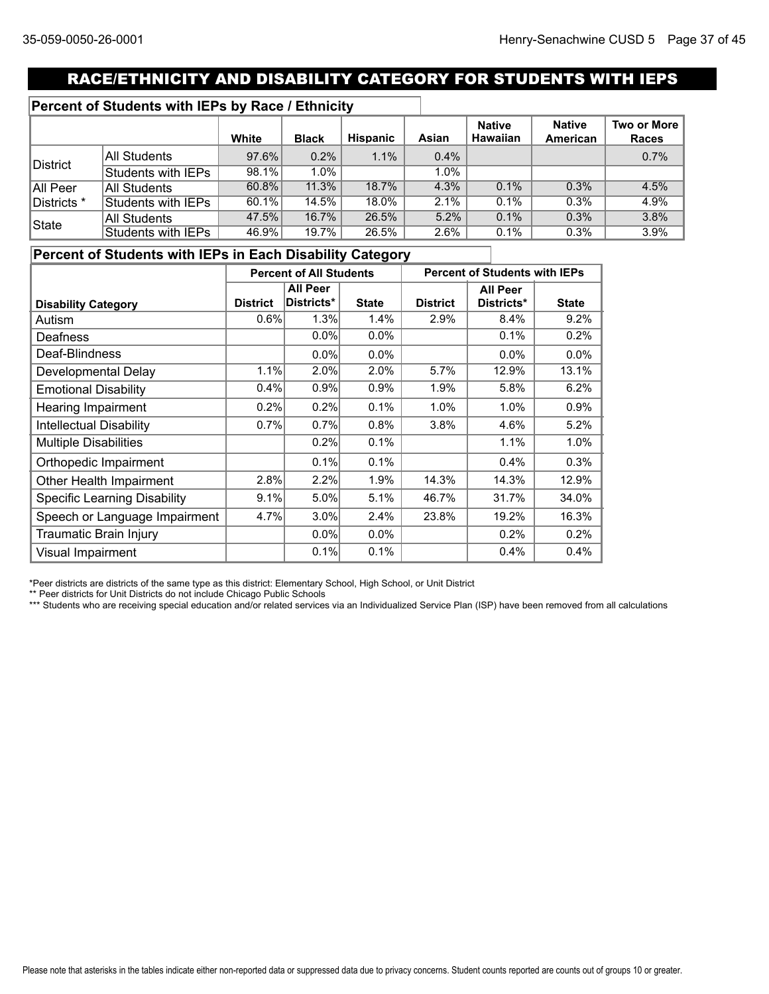# RACE/ETHNICITY AND DISABILITY CATEGORY FOR STUDENTS WITH IEPS

## **Percent of Students with IEPs by Race / Ethnicity**

|             |                    | White    | <b>Black</b> | Hispanic | Asian   | <b>Native</b><br><b>Hawaiian</b> | <b>Native</b><br>American | Two or More<br><b>Races</b> |
|-------------|--------------------|----------|--------------|----------|---------|----------------------------------|---------------------------|-----------------------------|
| District    | All Students       | $97.6\%$ | $0.2\%$      | 1.1%     | $0.4\%$ |                                  |                           | 0.7%                        |
|             | Students with IEPs | 98.1%    | 1.0%         |          | $1.0\%$ |                                  |                           |                             |
| All Peer    | All Students       | $60.8\%$ | 11.3%        | 18.7%    | 4.3%    | $0.1\%$                          | 0.3%                      | 4.5%                        |
| Districts * | Students with IEPs | 60.1%    | 14.5%        | 18.0%    | 2.1%    | $0.1\%$                          | 0.3%                      | 4.9%                        |
| State       | All Students       | 47.5%    | 16.7%        | 26.5%    | 5.2%    | 0.1%                             | 0.3%                      | 3.8%                        |
|             | Students with IEPs | 46.9%    | 19.7%        | 26.5%    | 2.6%    | 0.1%                             | 0.3%                      | 3.9%                        |

## **Percent of Students with IEPs in Each Disability Category**

|                                     | <b>Percent of All Students</b> |                 |              | <b>Percent of Students with IEPs</b> |                 |              |
|-------------------------------------|--------------------------------|-----------------|--------------|--------------------------------------|-----------------|--------------|
|                                     |                                | <b>All Peer</b> |              |                                      | <b>All Peer</b> |              |
| <b>Disability Category</b>          | <b>District</b>                | Districts*      | <b>State</b> | <b>District</b>                      | Districts*      | <b>State</b> |
| Autism                              | 0.6%                           | 1.3%            | 1.4%         | 2.9%                                 | 8.4%            | 9.2%         |
| Deafness                            |                                | $0.0\%$         | $0.0\%$      |                                      | 0.1%            | 0.2%         |
| Deaf-Blindness                      |                                | $0.0\%$         | $0.0\%$      |                                      | 0.0%            | 0.0%         |
| Developmental Delay                 | 1.1%                           | 2.0%            | 2.0%         | 5.7%                                 | 12.9%           | 13.1%        |
| <b>Emotional Disability</b>         | 0.4%                           | 0.9%            | 0.9%         | 1.9%                                 | 5.8%            | 6.2%         |
| Hearing Impairment                  | 0.2%                           | 0.2%            | 0.1%         | 1.0%                                 | 1.0%            | 0.9%         |
| <b>Intellectual Disability</b>      | 0.7%                           | 0.7%            | 0.8%         | 3.8%                                 | 4.6%            | 5.2%         |
| <b>Multiple Disabilities</b>        |                                | 0.2%            | 0.1%         |                                      | 1.1%            | 1.0%         |
| Orthopedic Impairment               |                                | 0.1%            | 0.1%         |                                      | 0.4%            | 0.3%         |
| Other Health Impairment             | 2.8%                           | 2.2%            | 1.9%         | 14.3%                                | 14.3%           | 12.9%        |
| <b>Specific Learning Disability</b> | 9.1%                           | 5.0%            | 5.1%         | 46.7%                                | 31.7%           | 34.0%        |
| Speech or Language Impairment       | 4.7%                           | 3.0%            | 2.4%         | 23.8%                                | 19.2%           | 16.3%        |
| Traumatic Brain Injury              |                                | $0.0\%$         | $0.0\%$      |                                      | 0.2%            | 0.2%         |
| Visual Impairment                   |                                | 0.1%            | 0.1%         |                                      | 0.4%            | 0.4%         |

\*Peer districts are districts of the same type as this district: Elementary School, High School, or Unit District

\*\* Peer districts for Unit Districts do not include Chicago Public Schools

\*\*\* Students who are receiving special education and/or related services via an Individualized Service Plan (ISP) have been removed from all calculations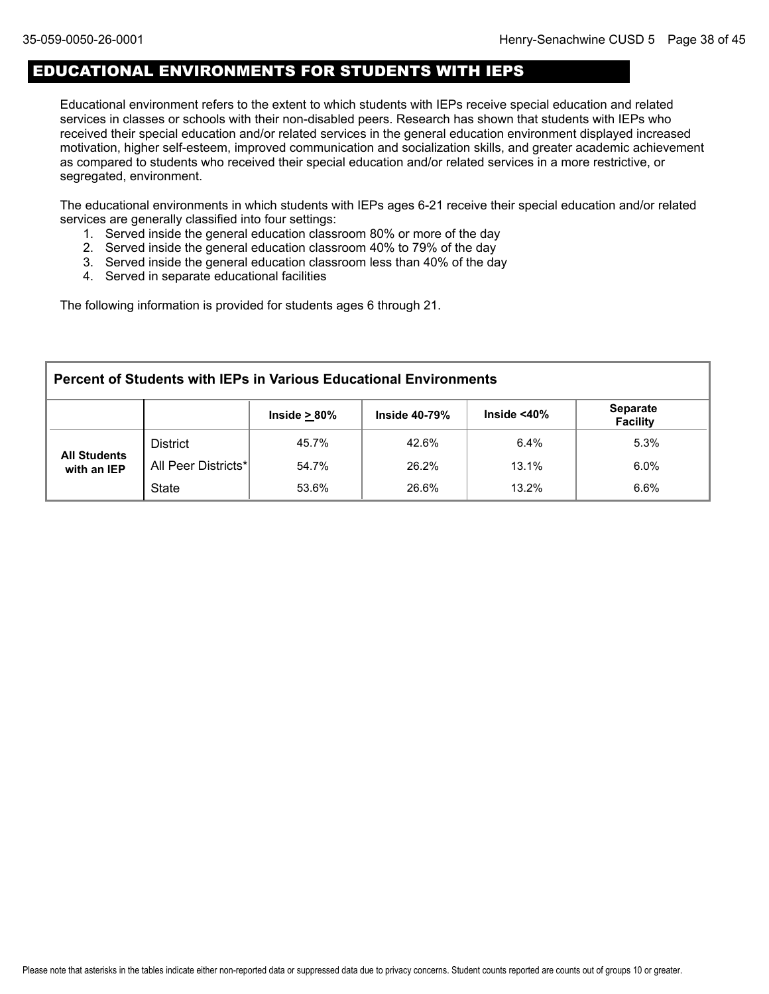## EDUCATIONAL ENVIRONMENTS FOR STUDENTS WITH IEPS

Educational environment refers to the extent to which students with IEPs receive special education and related services in classes or schools with their non-disabled peers. Research has shown that students with IEPs who received their special education and/or related services in the general education environment displayed increased motivation, higher self-esteem, improved communication and socialization skills, and greater academic achievement as compared to students who received their special education and/or related services in a more restrictive, or segregated, environment.

The educational environments in which students with IEPs ages 6-21 receive their special education and/or related services are generally classified into four settings:

- 1. Served inside the general education classroom 80% or more of the day
- 2. Served inside the general education classroom 40% to 79% of the day
- 3. Served inside the general education classroom less than 40% of the day
- 4. Served in separate educational facilities

The following information is provided for students ages 6 through 21.

| <b>Percent of Students with IEPs in Various Educational Environments</b> |                                                                                                        |       |       |       |         |  |  |  |  |
|--------------------------------------------------------------------------|--------------------------------------------------------------------------------------------------------|-------|-------|-------|---------|--|--|--|--|
|                                                                          | <b>Separate</b><br>Inside $<$ 40 $\%$<br>Inside $\geq 80\%$<br><b>Inside 40-79%</b><br><b>Facility</b> |       |       |       |         |  |  |  |  |
| <b>All Students</b><br>with an IEP                                       | <b>District</b>                                                                                        | 45.7% | 42.6% | 6.4%  | 5.3%    |  |  |  |  |
|                                                                          | All Peer Districts*                                                                                    | 54.7% | 26.2% | 13.1% | $6.0\%$ |  |  |  |  |
|                                                                          | <b>State</b>                                                                                           | 53.6% | 26.6% | 13.2% | 6.6%    |  |  |  |  |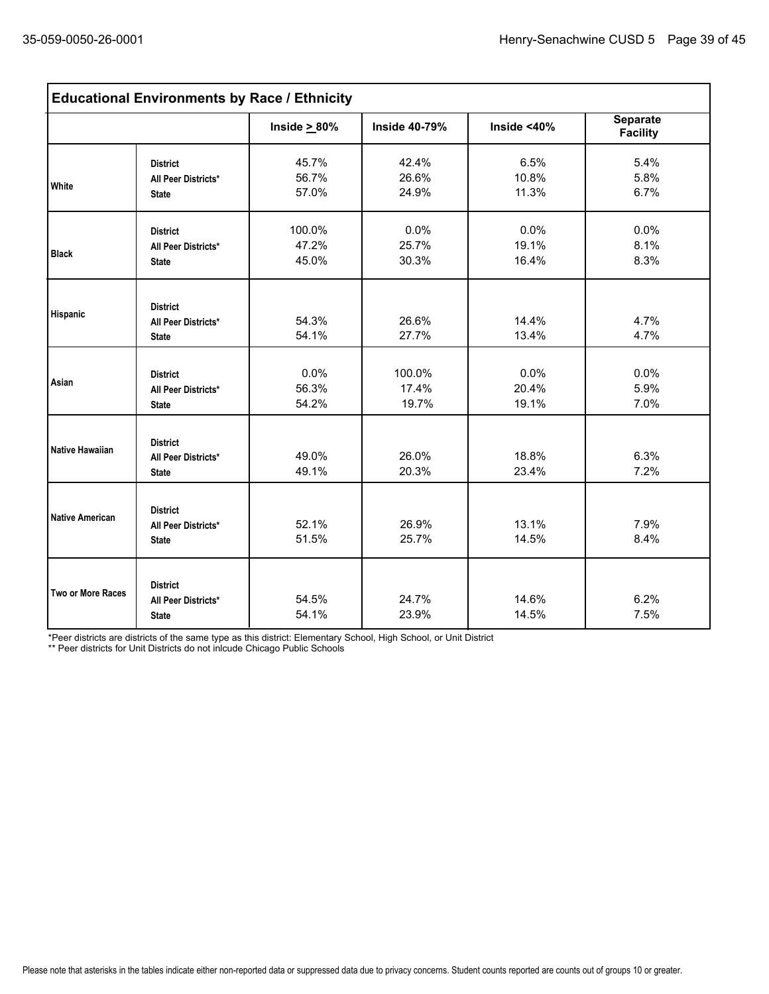| <b>Educational Environments by Race / Ethnicity</b> |                                                        |                          |                          |                        |                                    |  |  |
|-----------------------------------------------------|--------------------------------------------------------|--------------------------|--------------------------|------------------------|------------------------------------|--|--|
|                                                     |                                                        | Inside $\geq 80\%$       | <b>Inside 40-79%</b>     | Inside $<$ 40%         | <b>Separate</b><br><b>Facility</b> |  |  |
| White                                               | <b>District</b><br>All Peer Districts*<br><b>State</b> | 45.7%<br>56.7%<br>57.0%  | 42.4%<br>26.6%<br>24.9%  | 6.5%<br>10.8%<br>11.3% | 5.4%<br>5.8%<br>6.7%               |  |  |
| <b>Black</b>                                        | <b>District</b><br>All Peer Districts*<br><b>State</b> | 100.0%<br>47.2%<br>45.0% | 0.0%<br>25.7%<br>30.3%   | 0.0%<br>19.1%<br>16.4% | 0.0%<br>8.1%<br>8.3%               |  |  |
| Hispanic                                            | <b>District</b><br>All Peer Districts*<br><b>State</b> | 54.3%<br>54.1%           | 26.6%<br>27.7%           | 14.4%<br>13.4%         | 4.7%<br>4.7%                       |  |  |
| Asian                                               | <b>District</b><br>All Peer Districts*<br><b>State</b> | 0.0%<br>56.3%<br>54.2%   | 100.0%<br>17.4%<br>19.7% | 0.0%<br>20.4%<br>19.1% | 0.0%<br>5.9%<br>7.0%               |  |  |
| <b>Native Hawaiian</b>                              | <b>District</b><br>All Peer Districts*<br><b>State</b> | 49.0%<br>49.1%           | 26.0%<br>20.3%           | 18.8%<br>23.4%         | 6.3%<br>7.2%                       |  |  |
| <b>Native American</b>                              | <b>District</b><br>All Peer Districts*<br><b>State</b> | 52.1%<br>51.5%           | 26.9%<br>25.7%           | 13.1%<br>14.5%         | 7.9%<br>8.4%                       |  |  |
| Two or More Races                                   | <b>District</b><br>All Peer Districts*<br><b>State</b> | 54.5%<br>54.1%           | 24.7%<br>23.9%           | 14.6%<br>14.5%         | 6.2%<br>7.5%                       |  |  |

\*Peer districts are districts of the same type as this district: Elementary School, High School, or Unit District

\*\* Peer districts for Unit Districts do not inlcude Chicago Public Schools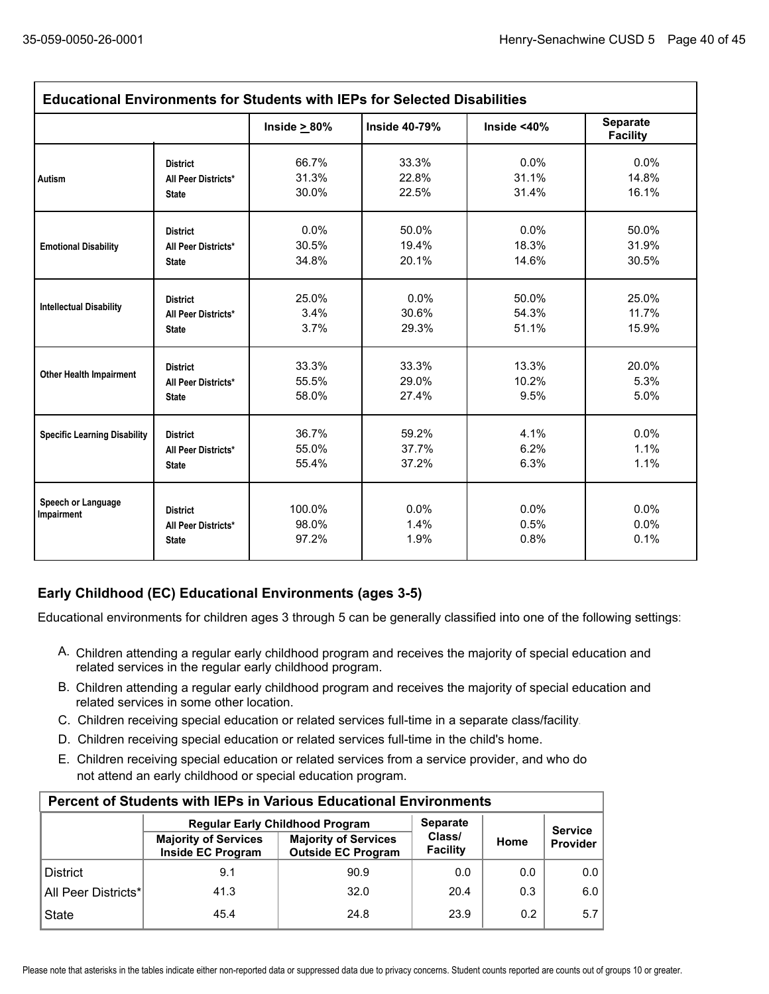| <b>Educational Environments for Students with IEPs for Selected Disabilities</b> |                                                        |                          |                      |                      |                                    |  |
|----------------------------------------------------------------------------------|--------------------------------------------------------|--------------------------|----------------------|----------------------|------------------------------------|--|
|                                                                                  |                                                        | Inside $\geq 80\%$       | <b>Inside 40-79%</b> | Inside $<$ 40%       | <b>Separate</b><br><b>Facility</b> |  |
| <b>Autism</b>                                                                    | <b>District</b>                                        | 66.7%                    | 33.3%                | 0.0%                 | 0.0%                               |  |
|                                                                                  | All Peer Districts*                                    | 31.3%                    | 22.8%                | 31.1%                | 14.8%                              |  |
|                                                                                  | <b>State</b>                                           | 30.0%                    | 22.5%                | 31.4%                | 16.1%                              |  |
| <b>Emotional Disability</b>                                                      | <b>District</b>                                        | 0.0%                     | 50.0%                | 0.0%                 | 50.0%                              |  |
|                                                                                  | All Peer Districts*                                    | 30.5%                    | 19.4%                | 18.3%                | 31.9%                              |  |
|                                                                                  | <b>State</b>                                           | 34.8%                    | 20.1%                | 14.6%                | 30.5%                              |  |
| <b>Intellectual Disability</b>                                                   | <b>District</b>                                        | 25.0%                    | 0.0%                 | 50.0%                | 25.0%                              |  |
|                                                                                  | All Peer Districts*                                    | 3.4%                     | 30.6%                | 54.3%                | 11.7%                              |  |
|                                                                                  | <b>State</b>                                           | 3.7%                     | 29.3%                | 51.1%                | 15.9%                              |  |
| <b>Other Health Impairment</b>                                                   | <b>District</b>                                        | 33.3%                    | 33.3%                | 13.3%                | 20.0%                              |  |
|                                                                                  | All Peer Districts*                                    | 55.5%                    | 29.0%                | 10.2%                | 5.3%                               |  |
|                                                                                  | <b>State</b>                                           | 58.0%                    | 27.4%                | 9.5%                 | 5.0%                               |  |
| <b>Specific Learning Disability</b>                                              | <b>District</b>                                        | 36.7%                    | 59.2%                | 4.1%                 | 0.0%                               |  |
|                                                                                  | All Peer Districts*                                    | 55.0%                    | 37.7%                | 6.2%                 | 1.1%                               |  |
|                                                                                  | <b>State</b>                                           | 55.4%                    | 37.2%                | 6.3%                 | 1.1%                               |  |
| Speech or Language<br>Impairment                                                 | <b>District</b><br>All Peer Districts*<br><b>State</b> | 100.0%<br>98.0%<br>97.2% | 0.0%<br>1.4%<br>1.9% | 0.0%<br>0.5%<br>0.8% | 0.0%<br>0.0%<br>0.1%               |  |

## **Early Childhood (EC) Educational Environments (ages 3-5)**

Educational environments for children ages 3 through 5 can be generally classified into one of the following settings:

- A. Children attending a regular early childhood program and receives the majority of special education and related services in the regular early childhood program.
- B. Children attending a regular early childhood program and receives the majority of special education and related services in some other location.
- C. Children receiving special education or related services full-time in a separate class/facility.
- D. Children receiving special education or related services full-time in the child's home.
- E. Children receiving special education or related services from a service provider, and who do not attend an early childhood or special education program.

| <b>Percent of Students with IEPs in Various Educational Environments</b> |                                                  |                                                          |                    |                |          |  |  |  |
|--------------------------------------------------------------------------|--------------------------------------------------|----------------------------------------------------------|--------------------|----------------|----------|--|--|--|
|                                                                          | <b>Regular Early Childhood Program</b>           | <b>Separate</b>                                          |                    | <b>Service</b> |          |  |  |  |
|                                                                          | <b>Majority of Services</b><br>Inside EC Program | <b>Majority of Services</b><br><b>Outside EC Program</b> | Class/<br>Facility | Home           | Provider |  |  |  |
| <b>District</b>                                                          | 9.1                                              | 90.9                                                     | 0.0                | 0.0            | 0.0      |  |  |  |
| All Peer Districts*                                                      | 41.3                                             | 32.0                                                     | 20.4               | 0.3            | 6.0      |  |  |  |
| <b>State</b>                                                             | 45.4                                             | 24.8                                                     | 23.9               | 0.2            | 5.7      |  |  |  |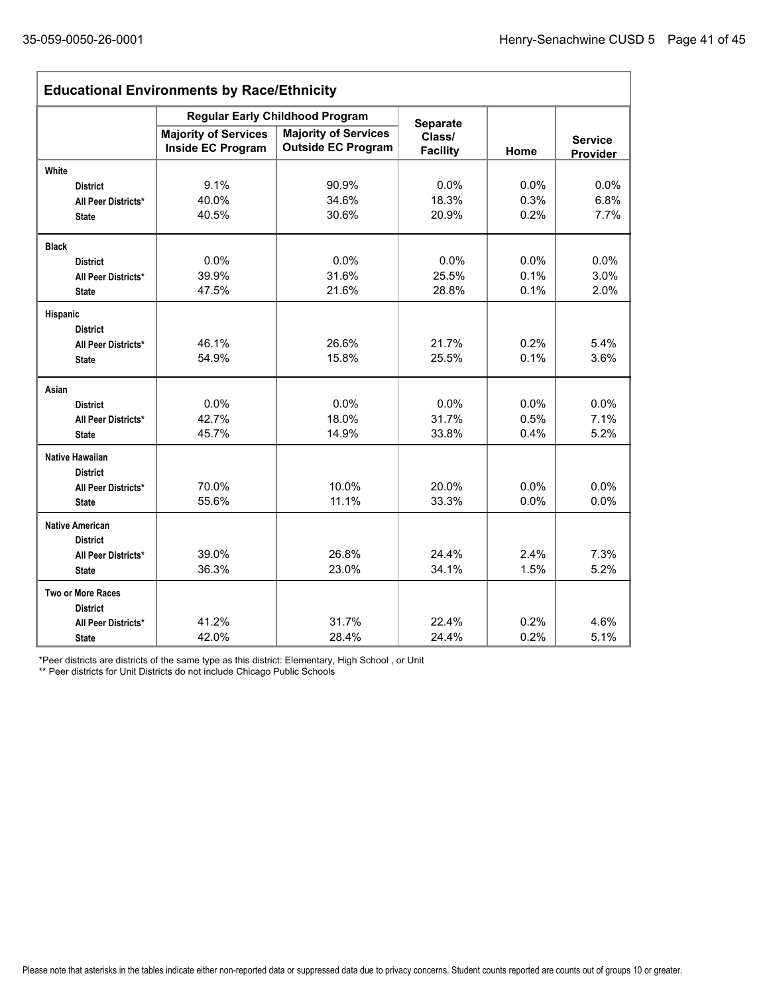| <b>Educational Environments by Race/Ethnicity</b> |                                                  |                                                          |                           |      |                            |  |
|---------------------------------------------------|--------------------------------------------------|----------------------------------------------------------|---------------------------|------|----------------------------|--|
|                                                   | <b>Regular Early Childhood Program</b>           | <b>Separate</b>                                          |                           |      |                            |  |
|                                                   | <b>Majority of Services</b><br>Inside EC Program | <b>Majority of Services</b><br><b>Outside EC Program</b> | Class/<br><b>Facility</b> | Home | <b>Service</b><br>Provider |  |
| White                                             |                                                  |                                                          |                           |      |                            |  |
| <b>District</b>                                   | 9.1%                                             | 90.9%                                                    | 0.0%                      | 0.0% | 0.0%                       |  |
| All Peer Districts*                               | 40.0%                                            | 34.6%                                                    | 18.3%                     | 0.3% | 6.8%                       |  |
| <b>State</b>                                      | 40.5%                                            | 30.6%                                                    | 20.9%                     | 0.2% | 7.7%                       |  |
| <b>Black</b>                                      |                                                  |                                                          |                           |      |                            |  |
| <b>District</b>                                   | 0.0%                                             | 0.0%                                                     | 0.0%                      | 0.0% | 0.0%                       |  |
| All Peer Districts*                               | 39.9%                                            | 31.6%                                                    | 25.5%                     | 0.1% | 3.0%                       |  |
| <b>State</b>                                      | 47.5%                                            | 21.6%                                                    | 28.8%                     | 0.1% | 2.0%                       |  |
| Hispanic                                          |                                                  |                                                          |                           |      |                            |  |
| <b>District</b>                                   |                                                  |                                                          |                           |      |                            |  |
| All Peer Districts*                               | 46.1%                                            | 26.6%                                                    | 21.7%                     | 0.2% | 5.4%                       |  |
| <b>State</b>                                      | 54.9%                                            | 15.8%                                                    | 25.5%                     | 0.1% | 3.6%                       |  |
| Asian                                             |                                                  |                                                          |                           |      |                            |  |
| <b>District</b>                                   | 0.0%                                             | 0.0%                                                     | 0.0%                      | 0.0% | 0.0%                       |  |
| All Peer Districts*                               | 42.7%                                            | 18.0%                                                    | 31.7%                     | 0.5% | 7.1%                       |  |
| <b>State</b>                                      | 45.7%                                            | 14.9%                                                    | 33.8%                     | 0.4% | 5.2%                       |  |
| <b>Native Hawaiian</b>                            |                                                  |                                                          |                           |      |                            |  |
| <b>District</b>                                   |                                                  |                                                          |                           |      |                            |  |
| All Peer Districts*                               | 70.0%                                            | 10.0%                                                    | 20.0%                     | 0.0% | 0.0%                       |  |
| <b>State</b>                                      | 55.6%                                            | 11.1%                                                    | 33.3%                     | 0.0% | 0.0%                       |  |
| <b>Native American</b>                            |                                                  |                                                          |                           |      |                            |  |
| <b>District</b>                                   |                                                  |                                                          |                           |      |                            |  |
| All Peer Districts*                               | 39.0%                                            | 26.8%                                                    | 24.4%                     | 2.4% | 7.3%                       |  |
| <b>State</b>                                      | 36.3%                                            | 23.0%                                                    | 34.1%                     | 1.5% | 5.2%                       |  |
| <b>Two or More Races</b>                          |                                                  |                                                          |                           |      |                            |  |
| <b>District</b>                                   |                                                  |                                                          |                           |      |                            |  |
| All Peer Districts*                               | 41.2%                                            | 31.7%                                                    | 22.4%                     | 0.2% | 4.6%                       |  |
| <b>State</b>                                      | 42.0%                                            | 28.4%                                                    | 24.4%                     | 0.2% | 5.1%                       |  |

\*Peer districts are districts of the same type as this district: Elementary, High School , or Unit

\*\* Peer districts for Unit Districts do not include Chicago Public Schools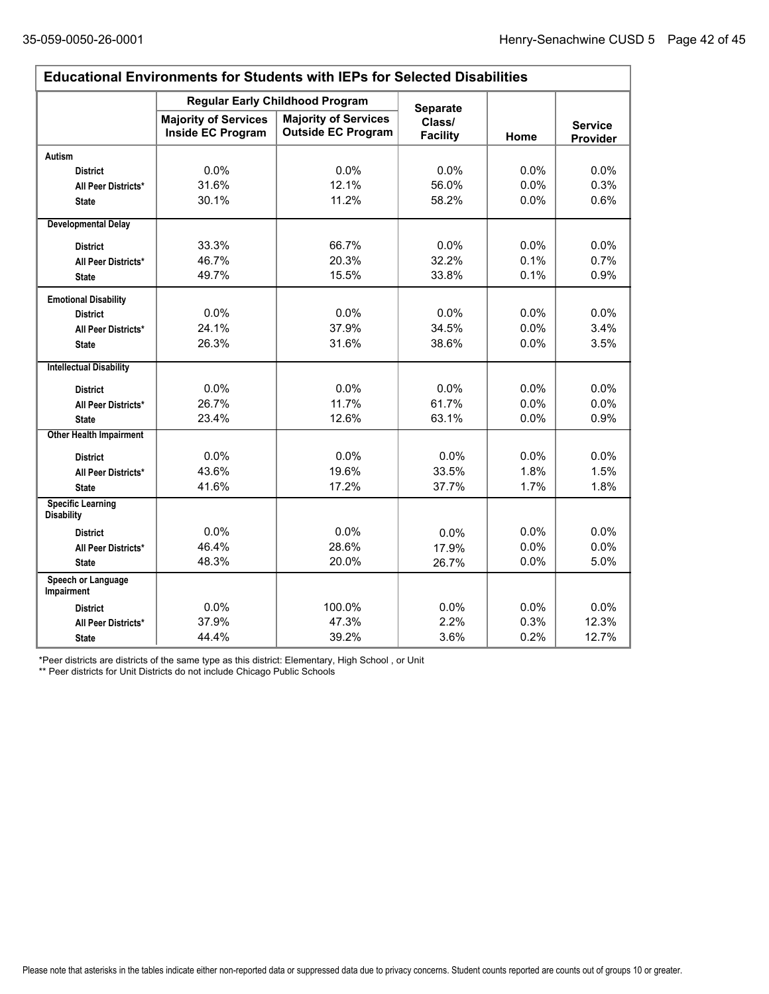$\Gamma$ 

÷,

| <b>Educational Environments for Students with IEPs for Selected Disabilities</b> |                                                         |                                                          |                           |         |                            |  |
|----------------------------------------------------------------------------------|---------------------------------------------------------|----------------------------------------------------------|---------------------------|---------|----------------------------|--|
|                                                                                  | <b>Regular Early Childhood Program</b>                  | <b>Separate</b>                                          |                           |         |                            |  |
|                                                                                  | <b>Majority of Services</b><br><b>Inside EC Program</b> | <b>Majority of Services</b><br><b>Outside EC Program</b> | Class/<br><b>Facility</b> | Home    | <b>Service</b><br>Provider |  |
| <b>Autism</b>                                                                    |                                                         |                                                          |                           |         |                            |  |
| <b>District</b>                                                                  | 0.0%                                                    | 0.0%                                                     | 0.0%                      | 0.0%    | 0.0%                       |  |
| All Peer Districts*                                                              | 31.6%                                                   | 12.1%                                                    | 56.0%                     | $0.0\%$ | 0.3%                       |  |
| <b>State</b>                                                                     | 30.1%                                                   | 11.2%                                                    | 58.2%                     | 0.0%    | 0.6%                       |  |
| <b>Developmental Delay</b>                                                       |                                                         |                                                          |                           |         |                            |  |
| <b>District</b>                                                                  | 33.3%                                                   | 66.7%                                                    | 0.0%                      | 0.0%    | 0.0%                       |  |
| All Peer Districts*                                                              | 46.7%                                                   | 20.3%                                                    | 32.2%                     | 0.1%    | 0.7%                       |  |
| <b>State</b>                                                                     | 49.7%                                                   | 15.5%                                                    | 33.8%                     | 0.1%    | 0.9%                       |  |
| <b>Emotional Disability</b>                                                      |                                                         |                                                          |                           |         |                            |  |
| <b>District</b>                                                                  | 0.0%                                                    | 0.0%                                                     | 0.0%                      | 0.0%    | 0.0%                       |  |
| All Peer Districts*                                                              | 24.1%                                                   | 37.9%                                                    | 34.5%                     | 0.0%    | 3.4%                       |  |
| <b>State</b>                                                                     | 26.3%                                                   | 31.6%                                                    | 38.6%                     | 0.0%    | 3.5%                       |  |
| <b>Intellectual Disability</b>                                                   |                                                         |                                                          |                           |         |                            |  |
| <b>District</b>                                                                  | 0.0%                                                    | 0.0%                                                     | 0.0%                      | 0.0%    | 0.0%                       |  |
| All Peer Districts*                                                              | 26.7%                                                   | 11.7%                                                    | 61.7%                     | 0.0%    | 0.0%                       |  |
| <b>State</b>                                                                     | 23.4%                                                   | 12.6%                                                    | 63.1%                     | 0.0%    | 0.9%                       |  |
| <b>Other Health Impairment</b>                                                   |                                                         |                                                          |                           |         |                            |  |
| <b>District</b>                                                                  | 0.0%                                                    | 0.0%                                                     | 0.0%                      | 0.0%    | 0.0%                       |  |
| All Peer Districts*                                                              | 43.6%                                                   | 19.6%                                                    | 33.5%                     | 1.8%    | 1.5%                       |  |
| <b>State</b>                                                                     | 41.6%                                                   | 17.2%                                                    | 37.7%                     | 1.7%    | 1.8%                       |  |
| <b>Specific Learning</b><br><b>Disability</b>                                    |                                                         |                                                          |                           |         |                            |  |
| <b>District</b>                                                                  | 0.0%                                                    | 0.0%                                                     | 0.0%                      | 0.0%    | 0.0%                       |  |
| All Peer Districts*                                                              | 46.4%                                                   | 28.6%                                                    | 17.9%                     | 0.0%    | 0.0%                       |  |
| <b>State</b>                                                                     | 48.3%                                                   | 20.0%                                                    | 26.7%                     | 0.0%    | 5.0%                       |  |
| Speech or Language<br>Impairment                                                 |                                                         |                                                          |                           |         |                            |  |
| <b>District</b>                                                                  | 0.0%                                                    | 100.0%                                                   | 0.0%                      | 0.0%    | 0.0%                       |  |
| All Peer Districts*                                                              | 37.9%                                                   | 47.3%                                                    | 2.2%                      | 0.3%    | 12.3%                      |  |
| <b>State</b>                                                                     | 44.4%                                                   | 39.2%                                                    | 3.6%                      | 0.2%    | 12.7%                      |  |

\*Peer districts are districts of the same type as this district: Elementary, High School , or Unit

\*\* Peer districts for Unit Districts do not include Chicago Public Schools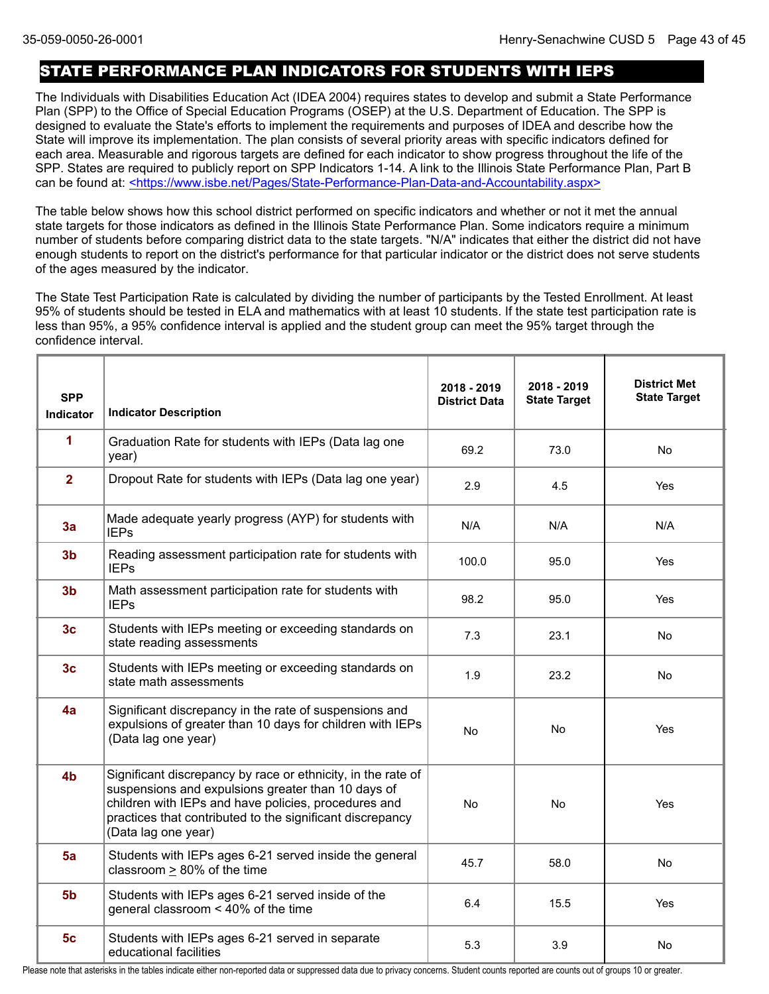## STATE PERFORMANCE PLAN INDICATORS FOR STUDENTS WITH IEPS

The Individuals with Disabilities Education Act (IDEA 2004) requires states to develop and submit a State Performance Plan (SPP) to the Office of Special Education Programs (OSEP) at the U.S. Department of Education. The SPP is designed to evaluate the State's efforts to implement the requirements and purposes of IDEA and describe how the State will improve its implementation. The plan consists of several priority areas with specific indicators defined for each area. Measurable and rigorous targets are defined for each indicator to show progress throughout the life of the SPP. States are required to publicly report on SPP Indicators 1-14. A link to the Illinois State Performance Plan, Part B can be found at: <https://www.isbe.net/Pages/State-Performance-Plan-Data-and-Accountability.aspx>

The table below shows how this school district performed on specific indicators and whether or not it met the annual state targets for those indicators as defined in the Illinois State Performance Plan. Some indicators require a minimum number of students before comparing district data to the state targets. "N/A" indicates that either the district did not have enough students to report on the district's performance for that particular indicator or the district does not serve students of the ages measured by the indicator.

The State Test Participation Rate is calculated by dividing the number of participants by the Tested Enrollment. At least 95% of students should be tested in ELA and mathematics with at least 10 students. If the state test participation rate is less than 95%, a 95% confidence interval is applied and the student group can meet the 95% target through the confidence interval.

| <b>SPP</b><br><b>Indicator</b> | <b>Indicator Description</b>                                                                                                                                                                                                                                   | 2018 - 2019<br><b>District Data</b> | 2018 - 2019<br><b>State Target</b> | <b>District Met</b><br><b>State Target</b> |
|--------------------------------|----------------------------------------------------------------------------------------------------------------------------------------------------------------------------------------------------------------------------------------------------------------|-------------------------------------|------------------------------------|--------------------------------------------|
| 1                              | Graduation Rate for students with IEPs (Data lag one<br>year)                                                                                                                                                                                                  | 69.2                                | 73.0                               | No.                                        |
| $\overline{2}$                 | Dropout Rate for students with IEPs (Data lag one year)                                                                                                                                                                                                        | 2.9                                 | 4.5                                | Yes                                        |
| 3a                             | Made adequate yearly progress (AYP) for students with<br><b>IEPs</b>                                                                                                                                                                                           | N/A                                 | N/A                                | N/A                                        |
| 3 <sub>b</sub>                 | Reading assessment participation rate for students with<br><b>IEPs</b>                                                                                                                                                                                         | 100.0                               | 95.0                               | Yes                                        |
| 3 <sub>b</sub>                 | Math assessment participation rate for students with<br><b>IEPs</b>                                                                                                                                                                                            | 98.2                                | 95.0                               | <b>Yes</b>                                 |
| 3 <sub>c</sub>                 | Students with IEPs meeting or exceeding standards on<br>state reading assessments                                                                                                                                                                              | 7.3                                 | 23.1                               | No                                         |
| 3 <sub>c</sub>                 | Students with IEPs meeting or exceeding standards on<br>state math assessments                                                                                                                                                                                 | 1.9                                 | 23.2                               | No.                                        |
| 4a                             | Significant discrepancy in the rate of suspensions and<br>expulsions of greater than 10 days for children with IEPs<br>(Data lag one year)                                                                                                                     | No                                  | No                                 | Yes                                        |
| 4 <sub>b</sub>                 | Significant discrepancy by race or ethnicity, in the rate of<br>suspensions and expulsions greater than 10 days of<br>children with IEPs and have policies, procedures and<br>practices that contributed to the significant discrepancy<br>(Data lag one year) | No                                  | No                                 | Yes                                        |
| 5a                             | Students with IEPs ages 6-21 served inside the general<br>classroom $\geq$ 80% of the time                                                                                                                                                                     | 45.7                                | 58.0                               | No                                         |
| 5 <sub>b</sub>                 | Students with IEPs ages 6-21 served inside of the<br>general classroom < 40% of the time                                                                                                                                                                       | 6.4                                 | 15.5                               | <b>Yes</b>                                 |
| 5 <sub>c</sub>                 | Students with IEPs ages 6-21 served in separate<br>educational facilities                                                                                                                                                                                      | 5.3                                 | 3.9                                | No                                         |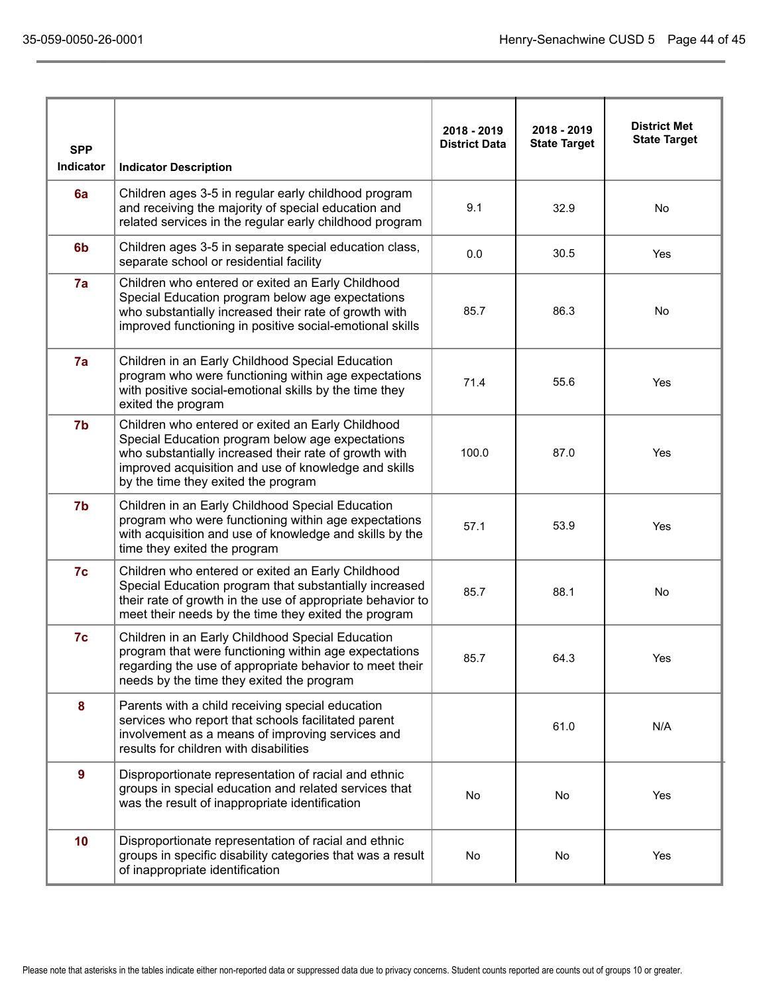| <b>SPP</b>     |                                                                                                                                                                                                                                                               | 2018 - 2019<br><b>District Data</b> | 2018 - 2019<br><b>State Target</b> | <b>District Met</b><br><b>State Target</b> |
|----------------|---------------------------------------------------------------------------------------------------------------------------------------------------------------------------------------------------------------------------------------------------------------|-------------------------------------|------------------------------------|--------------------------------------------|
| Indicator      | <b>Indicator Description</b>                                                                                                                                                                                                                                  |                                     |                                    |                                            |
| 6a             | Children ages 3-5 in regular early childhood program<br>and receiving the majority of special education and<br>related services in the regular early childhood program                                                                                        | 9.1                                 | 32.9                               | No                                         |
| 6 <sub>b</sub> | Children ages 3-5 in separate special education class,<br>separate school or residential facility                                                                                                                                                             | 0.0                                 | 30.5                               | Yes                                        |
| 7a             | Children who entered or exited an Early Childhood<br>Special Education program below age expectations<br>who substantially increased their rate of growth with<br>improved functioning in positive social-emotional skills                                    | 85.7                                | 86.3                               | No                                         |
| 7a             | Children in an Early Childhood Special Education<br>program who were functioning within age expectations<br>with positive social-emotional skills by the time they<br>exited the program                                                                      | 71.4                                | 55.6                               | Yes                                        |
| 7b             | Children who entered or exited an Early Childhood<br>Special Education program below age expectations<br>who substantially increased their rate of growth with<br>improved acquisition and use of knowledge and skills<br>by the time they exited the program | 100.0                               | 87.0                               | Yes                                        |
| 7b             | Children in an Early Childhood Special Education<br>program who were functioning within age expectations<br>with acquisition and use of knowledge and skills by the<br>time they exited the program                                                           | 57.1                                | 53.9                               | Yes                                        |
| 7c             | Children who entered or exited an Early Childhood<br>Special Education program that substantially increased<br>their rate of growth in the use of appropriate behavior to<br>meet their needs by the time they exited the program                             | 85.7                                | 88.1                               | No                                         |
| 7c             | Children in an Early Childhood Special Education<br>program that were functioning within age expectations<br>regarding the use of appropriate behavior to meet their<br>needs by the time they exited the program                                             | 85.7                                | 64.3                               | Yes                                        |
| 8              | Parents with a child receiving special education<br>services who report that schools facilitated parent<br>involvement as a means of improving services and<br>results for children with disabilities                                                         |                                     | 61.0                               | N/A                                        |
| 9              | Disproportionate representation of racial and ethnic<br>groups in special education and related services that<br>was the result of inappropriate identification                                                                                               | No                                  | No                                 | Yes                                        |
| 10             | Disproportionate representation of racial and ethnic<br>groups in specific disability categories that was a result<br>of inappropriate identification                                                                                                         | No                                  | No                                 | Yes                                        |